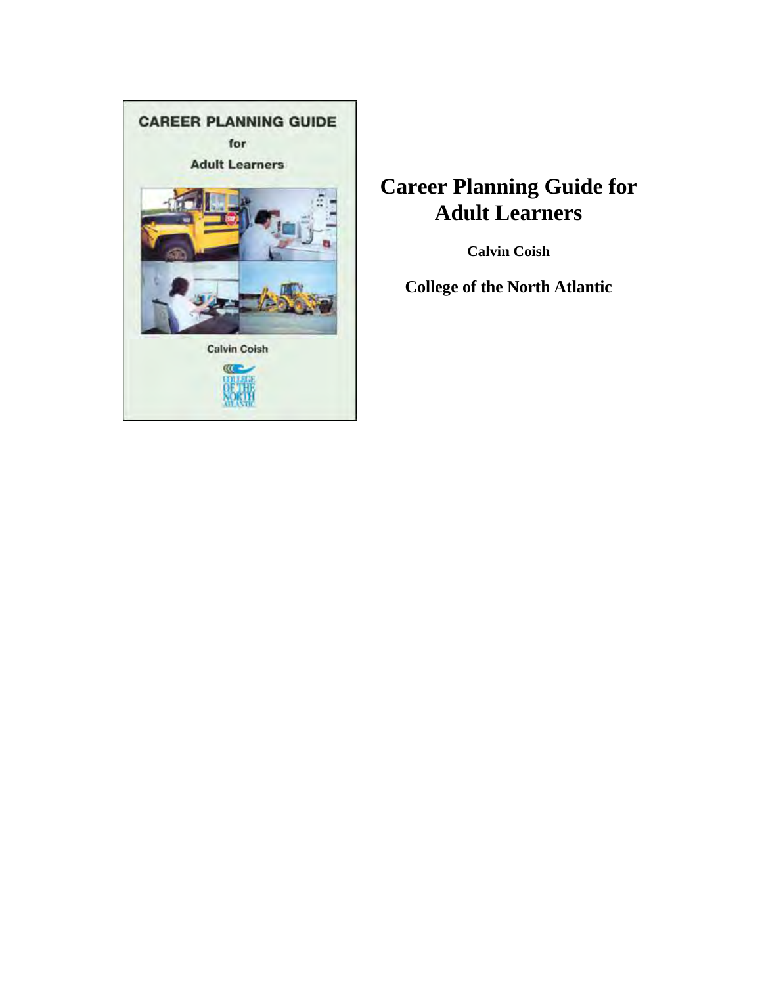

# **Career Planning Guide for Adult Learners**

**Calvin Coish**

**College of the North Atlantic**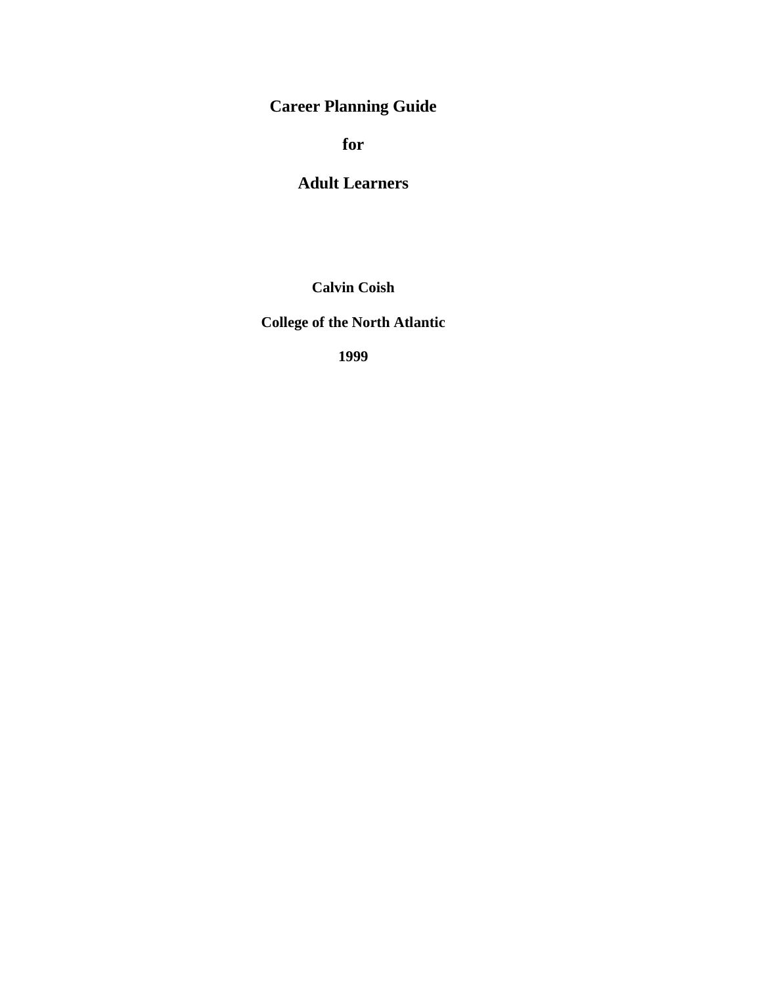**Career Planning Guide**

**for**

**Adult Learners**

**Calvin Coish**

**College of the North Atlantic**

**1999**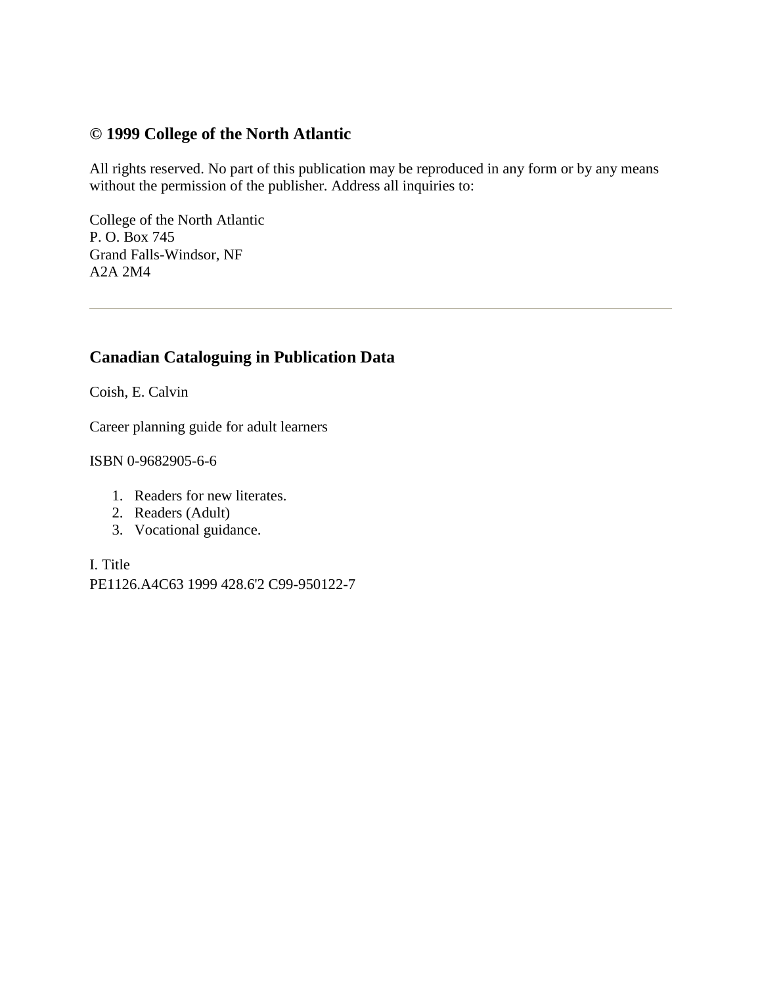#### **© 1999 College of the North Atlantic**

All rights reserved. No part of this publication may be reproduced in any form or by any means without the permission of the publisher. Address all inquiries to:

College of the North Atlantic P. O. Box 745 Grand Falls-Windsor, NF A2A 2M4

## **Canadian Cataloguing in Publication Data**

Coish, E. Calvin

Career planning guide for adult learners

ISBN 0-9682905-6-6

- 1. Readers for new literates.
- 2. Readers (Adult)
- 3. Vocational guidance.

I. Title PE1126.A4C63 1999 428.6'2 C99-950122-7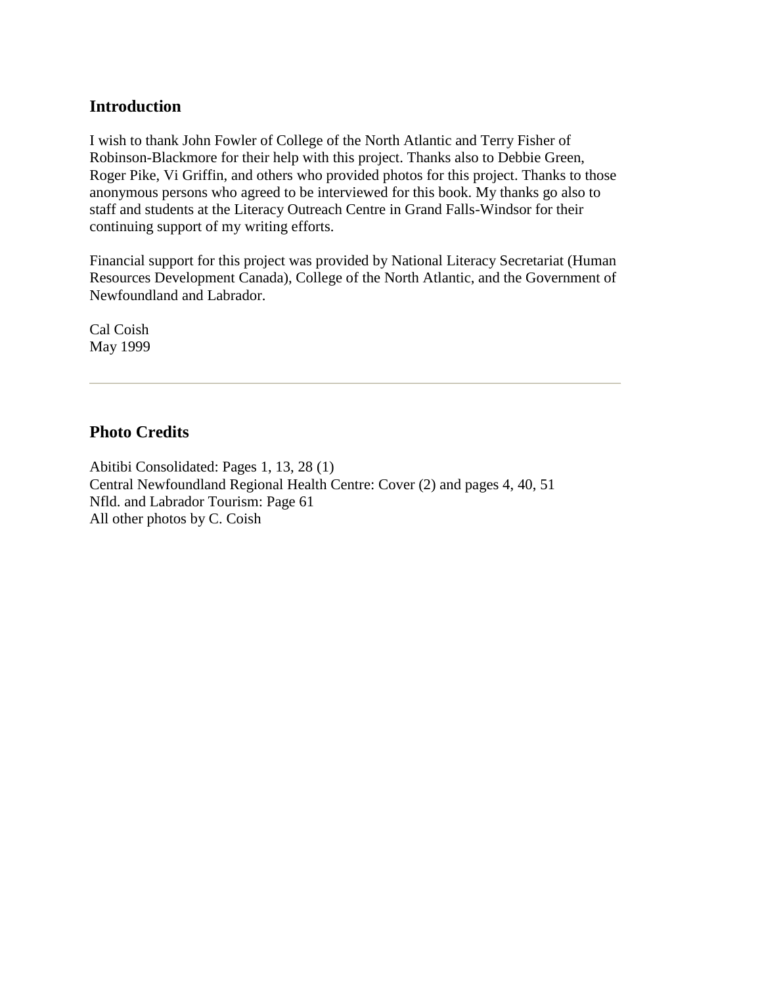## **Introduction**

I wish to thank John Fowler of College of the North Atlantic and Terry Fisher of Robinson-Blackmore for their help with this project. Thanks also to Debbie Green, Roger Pike, Vi Griffin, and others who provided photos for this project. Thanks to those anonymous persons who agreed to be interviewed for this book. My thanks go also to staff and students at the Literacy Outreach Centre in Grand Falls-Windsor for their continuing support of my writing efforts.

Financial support for this project was provided by National Literacy Secretariat (Human Resources Development Canada), College of the North Atlantic, and the Government of Newfoundland and Labrador.

Cal Coish May 1999

## **Photo Credits**

Abitibi Consolidated: Pages 1, 13, 28 (1) Central Newfoundland Regional Health Centre: Cover (2) and pages 4, 40, 51 Nfld. and Labrador Tourism: Page 61 All other photos by C. Coish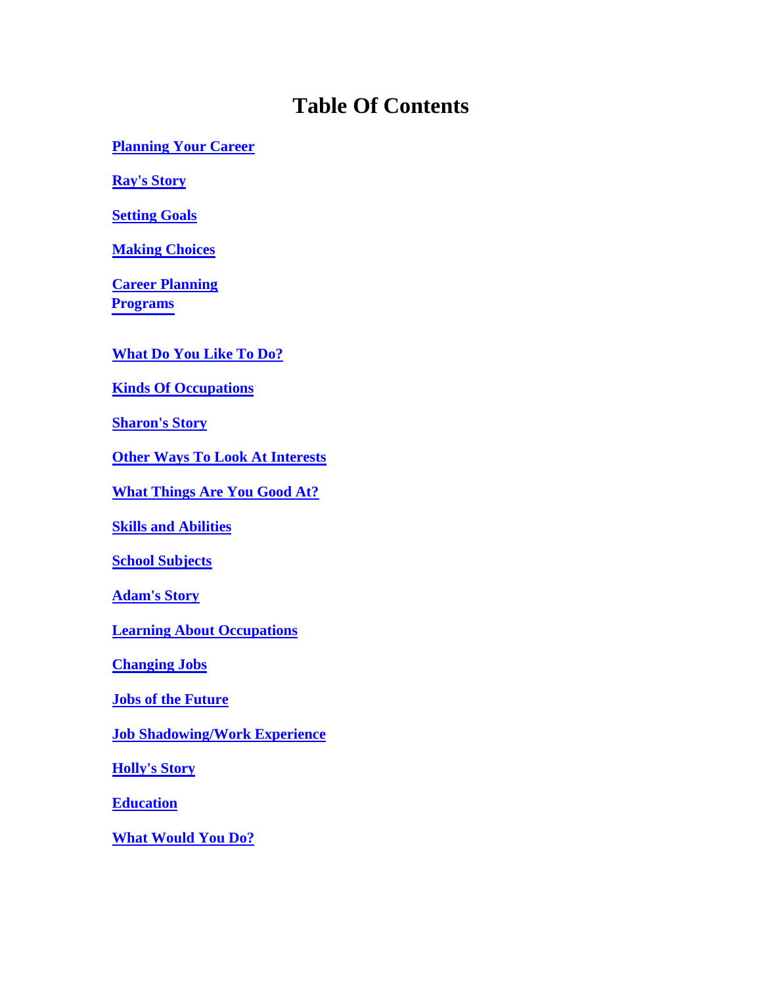# **Table Of Contents**

**[Planning Your Career](#page-6-0)**

**[Ray's Story](#page-7-0)**

**[Setting Goals](#page-10-0)**

**[Making Choices](#page-12-0)**

**[Career Planning](#page-12-0)  Programs**

**[What Do You Like To Do?](#page-13-0)**

**[Kinds Of Occupations](#page-14-0)**

**[Sharon's Story](#page-15-0)**

**[Other Ways To Look At Interests](#page-16-0)**

**[What Things Are You Good At?](#page-17-0)**

**[Skills and Abilities](#page-18-0)**

**[School Subjects](#page-19-0)**

**[Adam's Story](#page-28-0)**

**[Learning About Occupations](#page-31-0)**

**[Changing Jobs](#page-32-0)**

**[Jobs of the Future](#page-34-0)**

**[Job Shadowing/Work Experience](#page-37-0)**

**[Holly's Story](#page-41-0)**

**[Education](#page-44-0)**

**[What Would You Do?](#page-47-0)**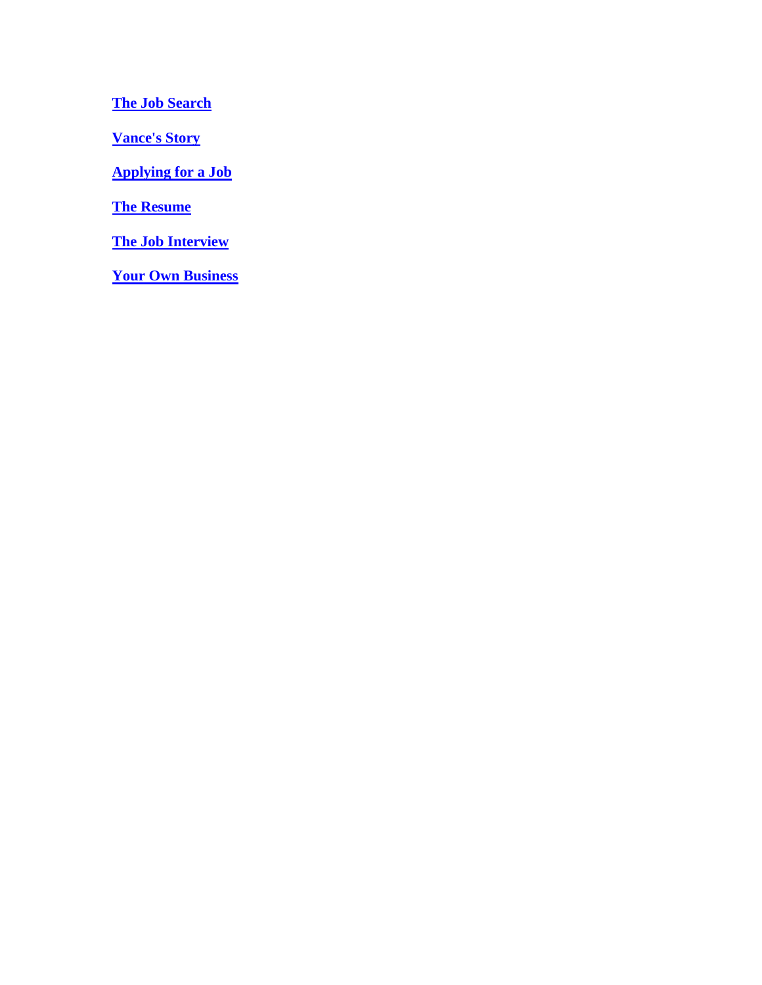**[The Job Search](#page-50-0)**

**[Vance's Story](#page-52-0)**

**[Applying for a Job](#page-55-0)**

**[The Resume](#page-59-0)**

**[The Job Interview](#page-64-0)**

**[Your Own Business](#page-69-0)**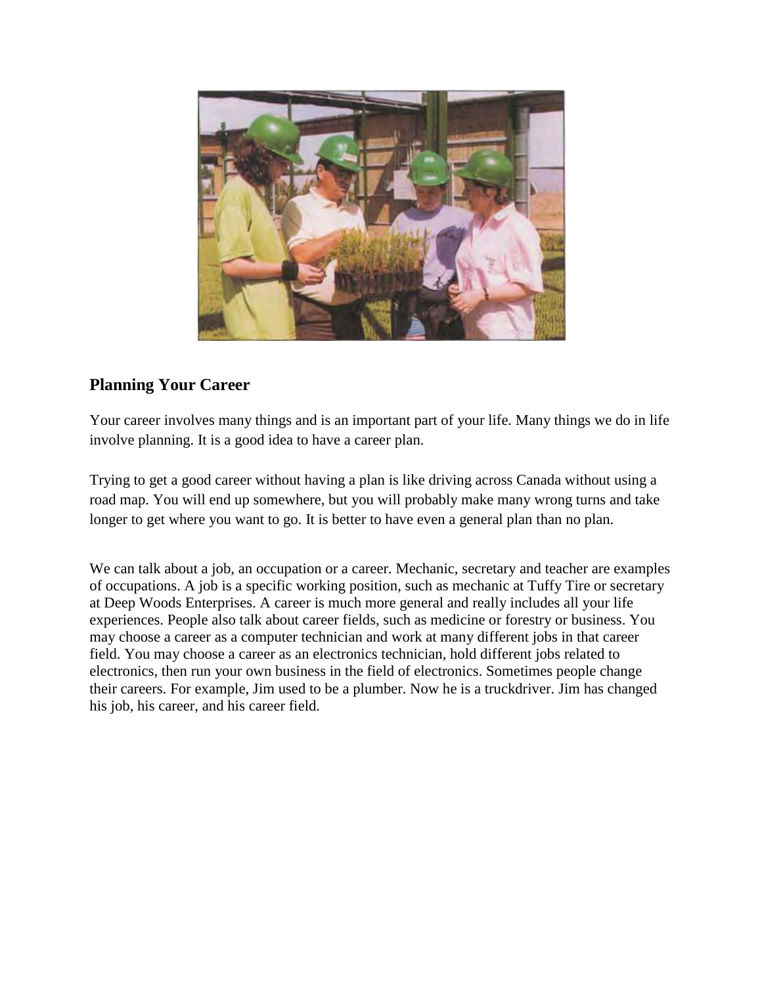<span id="page-6-0"></span>

# **Planning Your Career**

Your career involves many things and is an important part of your life. Many things we do in life involve planning. It is a good idea to have a career plan.

Trying to get a good career without having a plan is like driving across Canada without using a road map. You will end up somewhere, but you will probably make many wrong turns and take longer to get where you want to go. It is better to have even a general plan than no plan.

We can talk about a job, an occupation or a career. Mechanic, secretary and teacher are examples of occupations. A job is a specific working position, such as mechanic at Tuffy Tire or secretary at Deep Woods Enterprises. A career is much more general and really includes all your life experiences. People also talk about career fields, such as medicine or forestry or business. You may choose a career as a computer technician and work at many different jobs in that career field. You may choose a career as an electronics technician, hold different jobs related to electronics, then run your own business in the field of electronics. Sometimes people change their careers. For example, Jim used to be a plumber. Now he is a truckdriver. Jim has changed his job, his career, and his career field.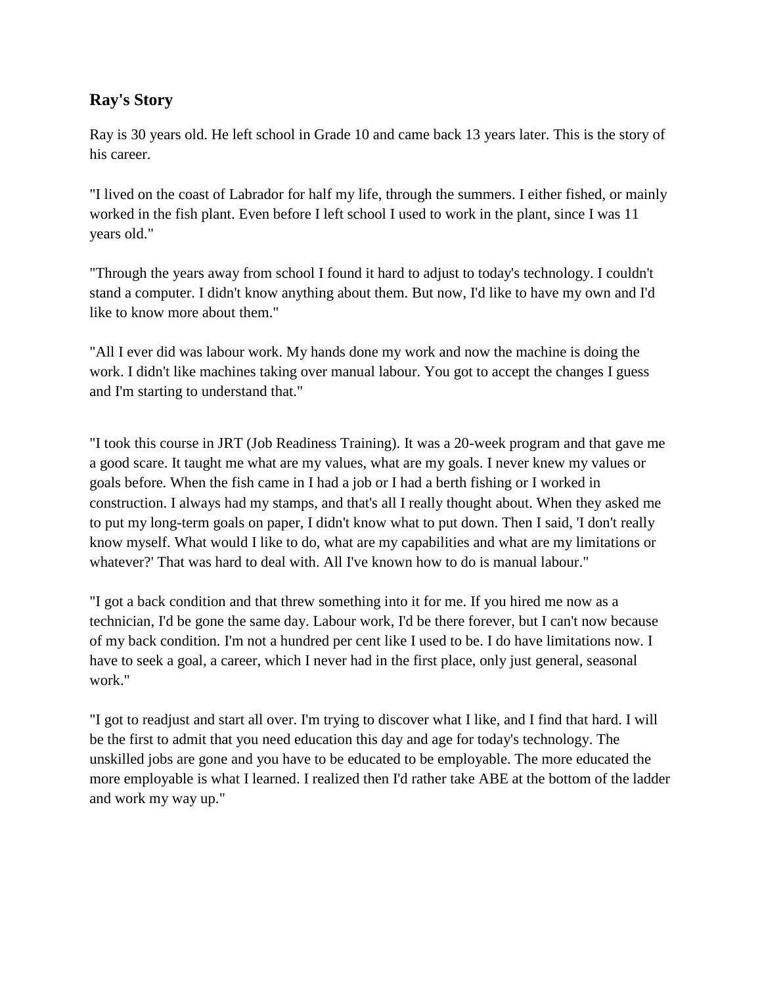# <span id="page-7-0"></span>**Ray's Story**

Ray is 30 years old. He left school in Grade 10 and came back 13 years later. This is the story of his career.

"I lived on the coast of Labrador for half my life, through the summers. I either fished, or mainly worked in the fish plant. Even before I left school I used to work in the plant, since I was 11 years old."

"Through the years away from school I found it hard to adjust to today's technology. I couldn't stand a computer. I didn't know anything about them. But now, I'd like to have my own and I'd like to know more about them."

"All I ever did was labour work. My hands done my work and now the machine is doing the work. I didn't like machines taking over manual labour. You got to accept the changes I guess and I'm starting to understand that."

"I took this course in JRT (Job Readiness Training). It was a 20-week program and that gave me a good scare. It taught me what are my values, what are my goals. I never knew my values or goals before. When the fish came in I had a job or I had a berth fishing or I worked in construction. I always had my stamps, and that's all I really thought about. When they asked me to put my long-term goals on paper, I didn't know what to put down. Then I said, 'I don't really know myself. What would I like to do, what are my capabilities and what are my limitations or whatever?' That was hard to deal with. All I've known how to do is manual labour."

"I got a back condition and that threw something into it for me. If you hired me now as a technician, I'd be gone the same day. Labour work, I'd be there forever, but I can't now because of my back condition. I'm not a hundred per cent like I used to be. I do have limitations now. I have to seek a goal, a career, which I never had in the first place, only just general, seasonal work."

"I got to readjust and start all over. I'm trying to discover what I like, and I find that hard. I will be the first to admit that you need education this day and age for today's technology. The unskilled jobs are gone and you have to be educated to be employable. The more educated the more employable is what I learned. I realized then I'd rather take ABE at the bottom of the ladder and work my way up."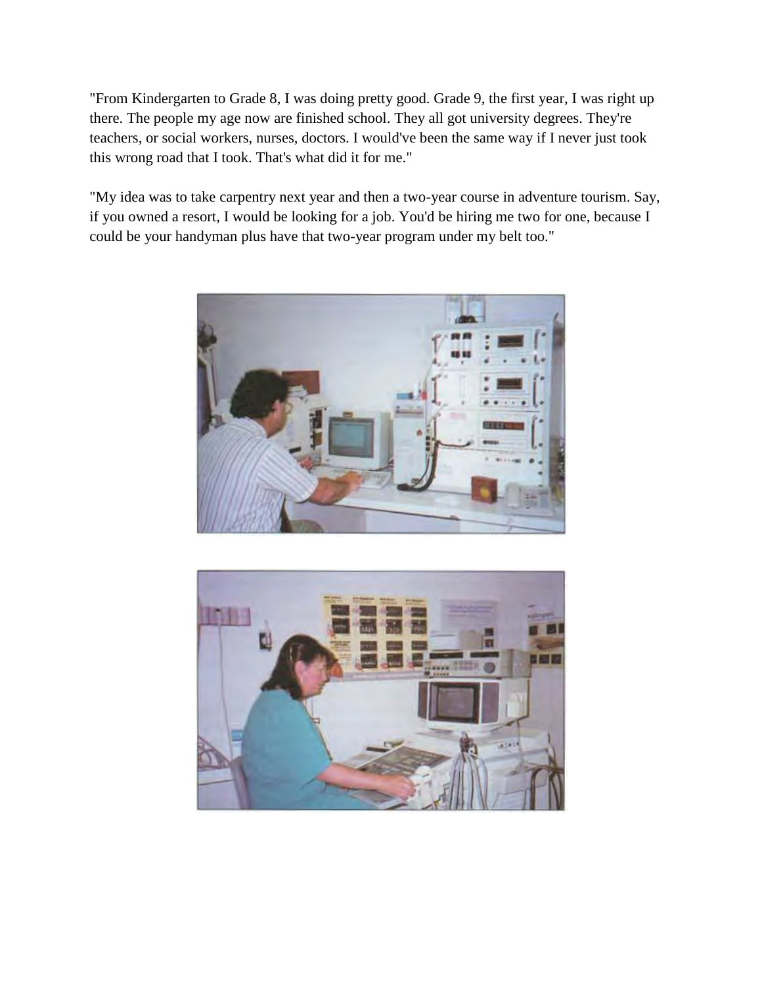"From Kindergarten to Grade 8, I was doing pretty good. Grade 9, the first year, I was right up there. The people my age now are finished school. They all got university degrees. They're teachers, or social workers, nurses, doctors. I would've been the same way if I never just took this wrong road that I took. That's what did it for me."

"My idea was to take carpentry next year and then a two-year course in adventure tourism. Say, if you owned a resort, I would be looking for a job. You'd be hiring me two for one, because I could be your handyman plus have that two-year program under my belt too."



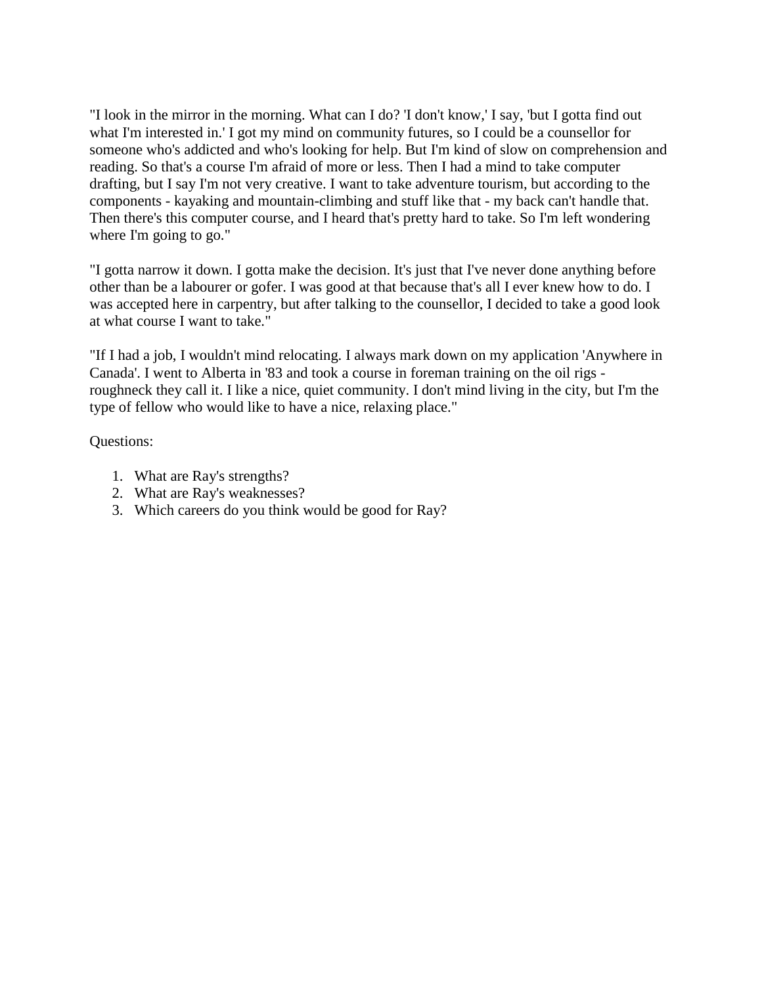"I look in the mirror in the morning. What can I do? 'I don't know,' I say, 'but I gotta find out what I'm interested in.' I got my mind on community futures, so I could be a counsellor for someone who's addicted and who's looking for help. But I'm kind of slow on comprehension and reading. So that's a course I'm afraid of more or less. Then I had a mind to take computer drafting, but I say I'm not very creative. I want to take adventure tourism, but according to the components - kayaking and mountain-climbing and stuff like that - my back can't handle that. Then there's this computer course, and I heard that's pretty hard to take. So I'm left wondering where I'm going to go."

"I gotta narrow it down. I gotta make the decision. It's just that I've never done anything before other than be a labourer or gofer. I was good at that because that's all I ever knew how to do. I was accepted here in carpentry, but after talking to the counsellor, I decided to take a good look at what course I want to take."

"If I had a job, I wouldn't mind relocating. I always mark down on my application 'Anywhere in Canada'. I went to Alberta in '83 and took a course in foreman training on the oil rigs roughneck they call it. I like a nice, quiet community. I don't mind living in the city, but I'm the type of fellow who would like to have a nice, relaxing place."

#### Questions:

- 1. What are Ray's strengths?
- 2. What are Ray's weaknesses?
- 3. Which careers do you think would be good for Ray?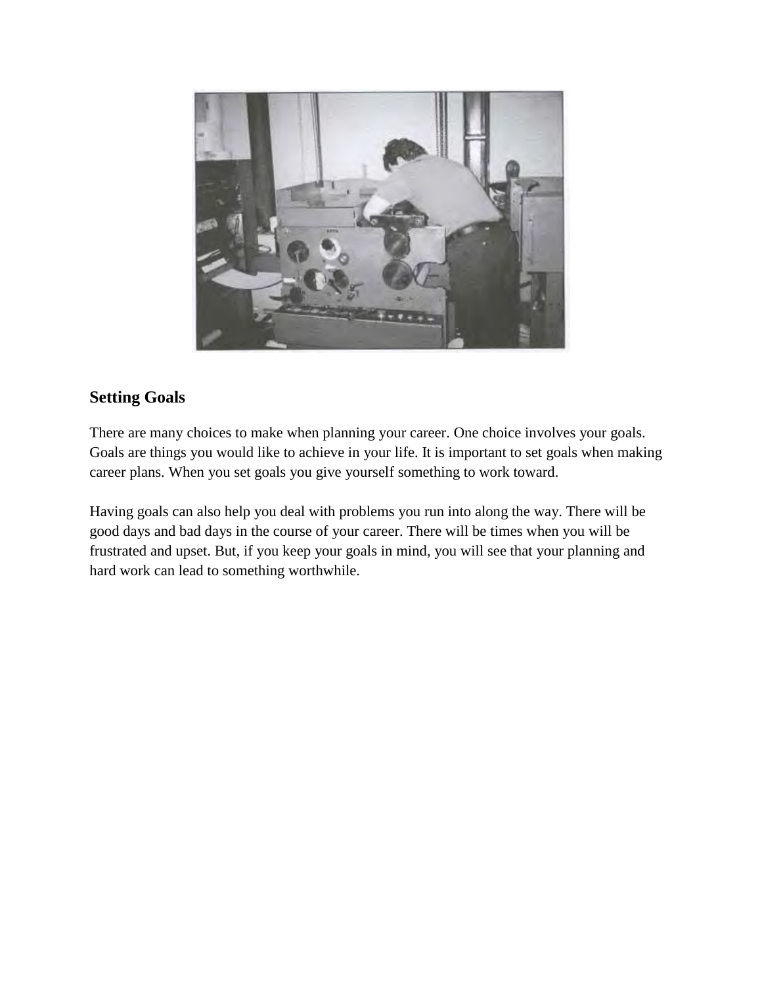<span id="page-10-0"></span>

# **Setting Goals**

There are many choices to make when planning your career. One choice involves your goals. Goals are things you would like to achieve in your life. It is important to set goals when making career plans. When you set goals you give yourself something to work toward.

Having goals can also help you deal with problems you run into along the way. There will be good days and bad days in the course of your career. There will be times when you will be frustrated and upset. But, if you keep your goals in mind, you will see that your planning and hard work can lead to something worthwhile.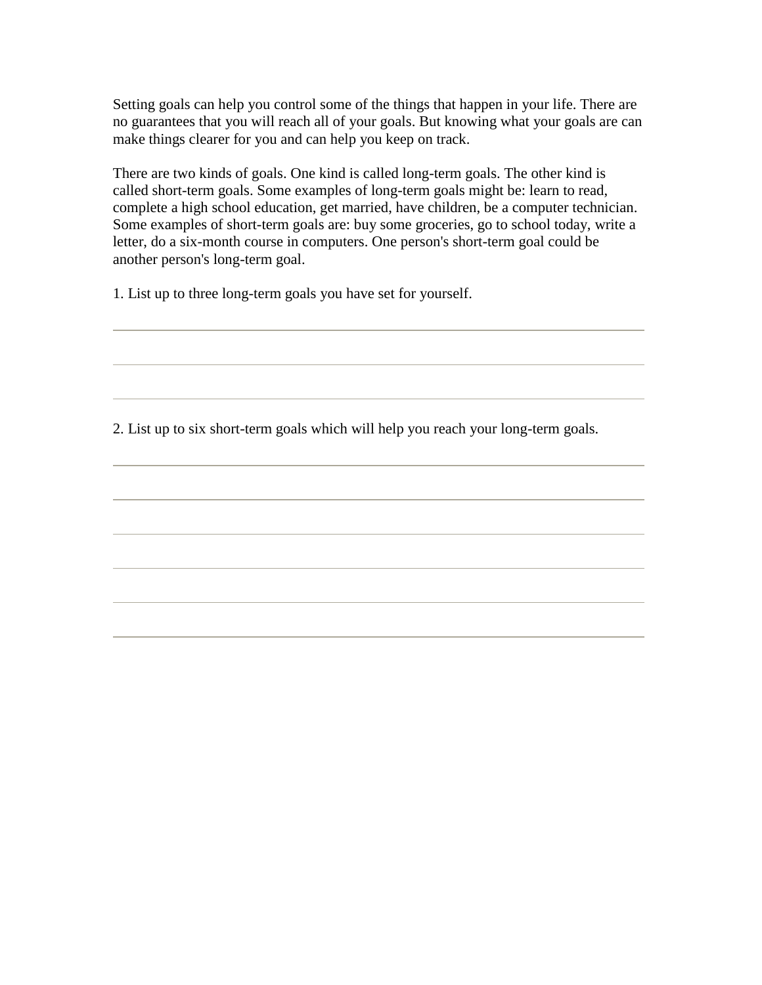Setting goals can help you control some of the things that happen in your life. There are no guarantees that you will reach all of your goals. But knowing what your goals are can make things clearer for you and can help you keep on track.

There are two kinds of goals. One kind is called long-term goals. The other kind is called short-term goals. Some examples of long-term goals might be: learn to read, complete a high school education, get married, have children, be a computer technician. Some examples of short-term goals are: buy some groceries, go to school today, write a letter, do a six-month course in computers. One person's short-term goal could be another person's long-term goal.

1. List up to three long-term goals you have set for yourself.

2. List up to six short-term goals which will help you reach your long-term goals.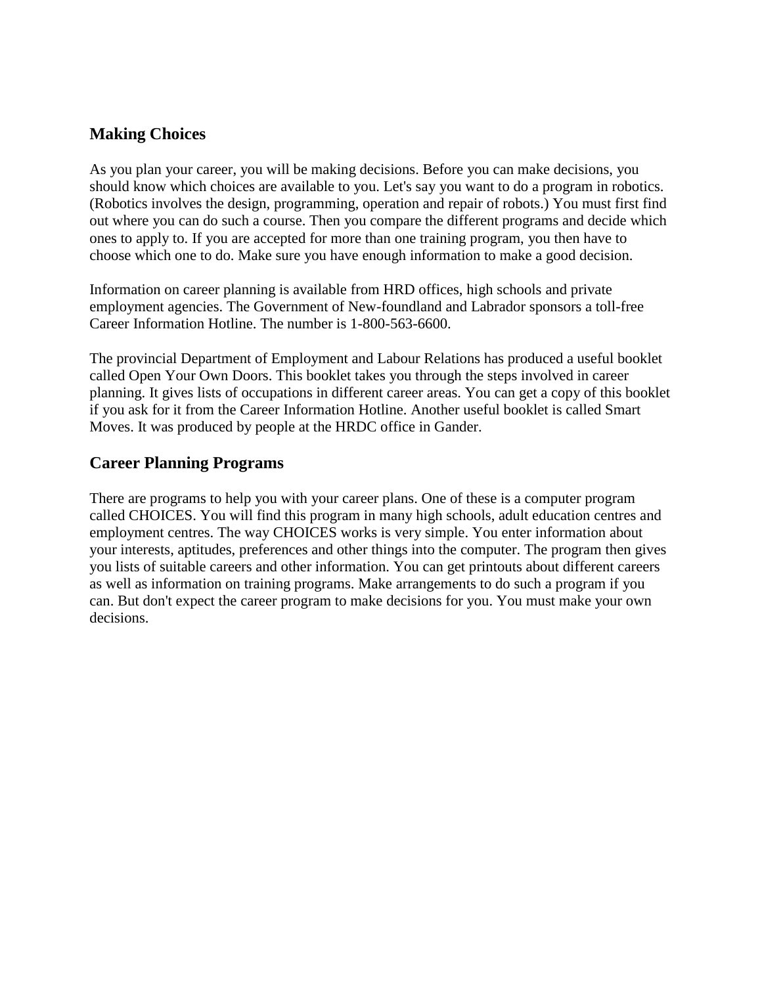## <span id="page-12-0"></span>**Making Choices**

As you plan your career, you will be making decisions. Before you can make decisions, you should know which choices are available to you. Let's say you want to do a program in robotics. (Robotics involves the design, programming, operation and repair of robots.) You must first find out where you can do such a course. Then you compare the different programs and decide which ones to apply to. If you are accepted for more than one training program, you then have to choose which one to do. Make sure you have enough information to make a good decision.

Information on career planning is available from HRD offices, high schools and private employment agencies. The Government of New-foundland and Labrador sponsors a toll-free Career Information Hotline. The number is 1-800-563-6600.

The provincial Department of Employment and Labour Relations has produced a useful booklet called Open Your Own Doors. This booklet takes you through the steps involved in career planning. It gives lists of occupations in different career areas. You can get a copy of this booklet if you ask for it from the Career Information Hotline. Another useful booklet is called Smart Moves. It was produced by people at the HRDC office in Gander.

#### **Career Planning Programs**

There are programs to help you with your career plans. One of these is a computer program called CHOICES. You will find this program in many high schools, adult education centres and employment centres. The way CHOICES works is very simple. You enter information about your interests, aptitudes, preferences and other things into the computer. The program then gives you lists of suitable careers and other information. You can get printouts about different careers as well as information on training programs. Make arrangements to do such a program if you can. But don't expect the career program to make decisions for you. You must make your own decisions.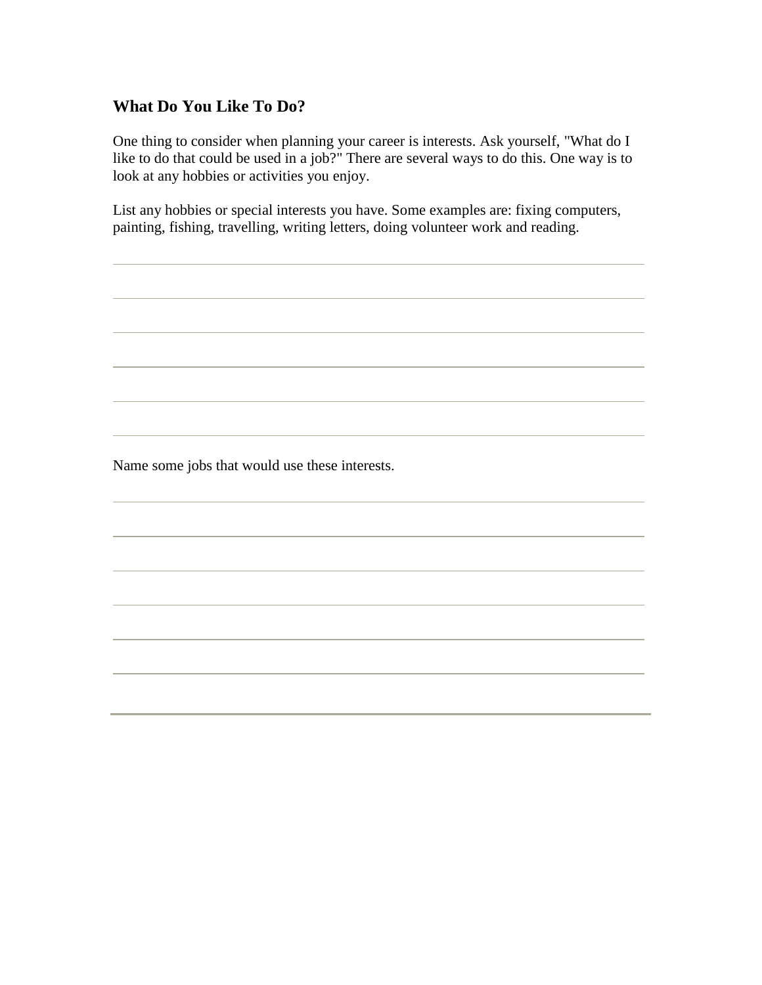### <span id="page-13-0"></span>**What Do You Like To Do?**

One thing to consider when planning your career is interests. Ask yourself, "What do I like to do that could be used in a job?" There are several ways to do this. One way is to look at any hobbies or activities you enjoy.

List any hobbies or special interests you have. Some examples are: fixing computers, painting, fishing, travelling, writing letters, doing volunteer work and reading.

Name some jobs that would use these interests.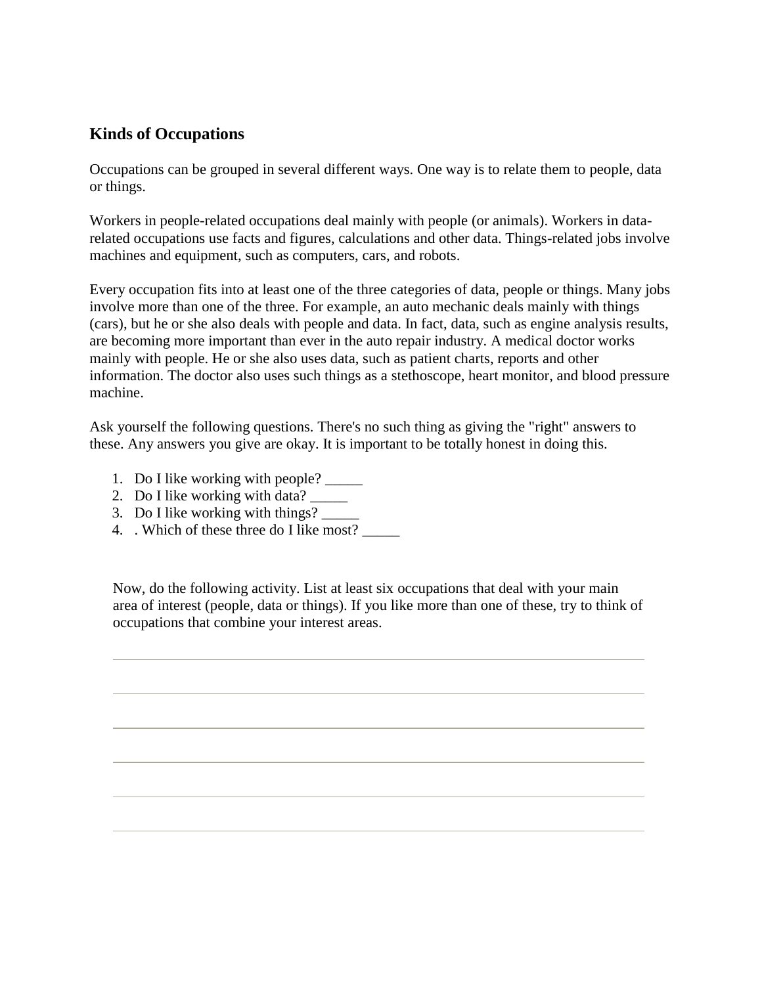## <span id="page-14-0"></span>**Kinds of Occupations**

Occupations can be grouped in several different ways. One way is to relate them to people, data or things.

Workers in people-related occupations deal mainly with people (or animals). Workers in datarelated occupations use facts and figures, calculations and other data. Things-related jobs involve machines and equipment, such as computers, cars, and robots.

Every occupation fits into at least one of the three categories of data, people or things. Many jobs involve more than one of the three. For example, an auto mechanic deals mainly with things (cars), but he or she also deals with people and data. In fact, data, such as engine analysis results, are becoming more important than ever in the auto repair industry. A medical doctor works mainly with people. He or she also uses data, such as patient charts, reports and other information. The doctor also uses such things as a stethoscope, heart monitor, and blood pressure machine.

Ask yourself the following questions. There's no such thing as giving the "right" answers to these. Any answers you give are okay. It is important to be totally honest in doing this.

- 1. Do I like working with people?
- 2. Do I like working with data?
- 3. Do I like working with things? \_\_\_\_\_
- 4. . Which of these three do I like most?

Now, do the following activity. List at least six occupations that deal with your main area of interest (people, data or things). If you like more than one of these, try to think of occupations that combine your interest areas.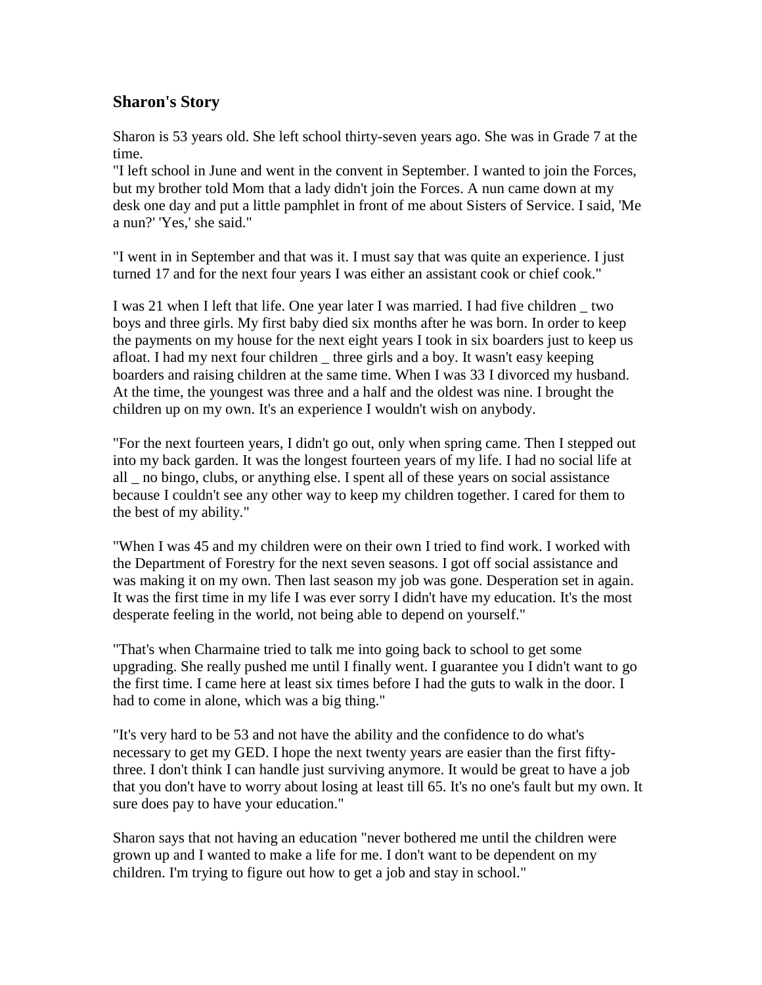## <span id="page-15-0"></span>**Sharon's Story**

Sharon is 53 years old. She left school thirty-seven years ago. She was in Grade 7 at the time.

"I left school in June and went in the convent in September. I wanted to join the Forces, but my brother told Mom that a lady didn't join the Forces. A nun came down at my desk one day and put a little pamphlet in front of me about Sisters of Service. I said, 'Me a nun?' 'Yes,' she said."

"I went in in September and that was it. I must say that was quite an experience. I just turned 17 and for the next four years I was either an assistant cook or chief cook."

I was 21 when I left that life. One year later I was married. I had five children \_ two boys and three girls. My first baby died six months after he was born. In order to keep the payments on my house for the next eight years I took in six boarders just to keep us afloat. I had my next four children \_ three girls and a boy. It wasn't easy keeping boarders and raising children at the same time. When I was 33 I divorced my husband. At the time, the youngest was three and a half and the oldest was nine. I brought the children up on my own. It's an experience I wouldn't wish on anybody.

"For the next fourteen years, I didn't go out, only when spring came. Then I stepped out into my back garden. It was the longest fourteen years of my life. I had no social life at all \_ no bingo, clubs, or anything else. I spent all of these years on social assistance because I couldn't see any other way to keep my children together. I cared for them to the best of my ability."

"When I was 45 and my children were on their own I tried to find work. I worked with the Department of Forestry for the next seven seasons. I got off social assistance and was making it on my own. Then last season my job was gone. Desperation set in again. It was the first time in my life I was ever sorry I didn't have my education. It's the most desperate feeling in the world, not being able to depend on yourself."

"That's when Charmaine tried to talk me into going back to school to get some upgrading. She really pushed me until I finally went. I guarantee you I didn't want to go the first time. I came here at least six times before I had the guts to walk in the door. I had to come in alone, which was a big thing."

"It's very hard to be 53 and not have the ability and the confidence to do what's necessary to get my GED. I hope the next twenty years are easier than the first fiftythree. I don't think I can handle just surviving anymore. It would be great to have a job that you don't have to worry about losing at least till 65. It's no one's fault but my own. It sure does pay to have your education."

Sharon says that not having an education "never bothered me until the children were grown up and I wanted to make a life for me. I don't want to be dependent on my children. I'm trying to figure out how to get a job and stay in school."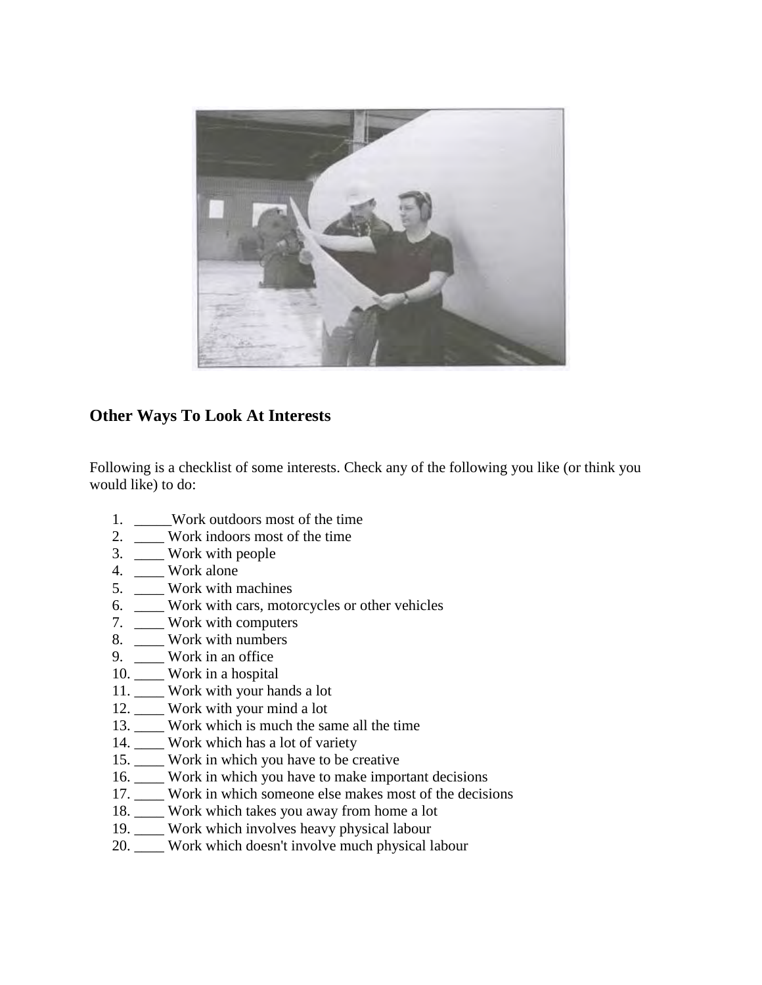<span id="page-16-0"></span>

# **Other Ways To Look At Interests**

Following is a checklist of some interests. Check any of the following you like (or think you would like) to do:

- 1. Work outdoors most of the time
- 2. \_\_\_\_ Work indoors most of the time
- 3. \_\_\_\_ Work with people
- 4. \_\_\_\_ Work alone
- 5. \_\_\_\_ Work with machines
- 6. \_\_\_\_ Work with cars, motorcycles or other vehicles
- 7. \_\_\_\_ Work with computers
- 8. \_\_\_\_ Work with numbers
- 9. \_\_\_\_ Work in an office
- 10. \_\_\_\_ Work in a hospital
- 11. \_\_\_\_ Work with your hands a lot
- 12. \_\_\_\_ Work with your mind a lot
- 13. \_\_\_\_ Work which is much the same all the time
- 14. \_\_\_\_ Work which has a lot of variety
- 15. \_\_\_\_ Work in which you have to be creative
- 16. \_\_\_\_ Work in which you have to make important decisions
- 17. \_\_\_\_ Work in which someone else makes most of the decisions
- 18. \_\_\_\_ Work which takes you away from home a lot
- 19. \_\_\_\_ Work which involves heavy physical labour
- 20. \_\_\_\_ Work which doesn't involve much physical labour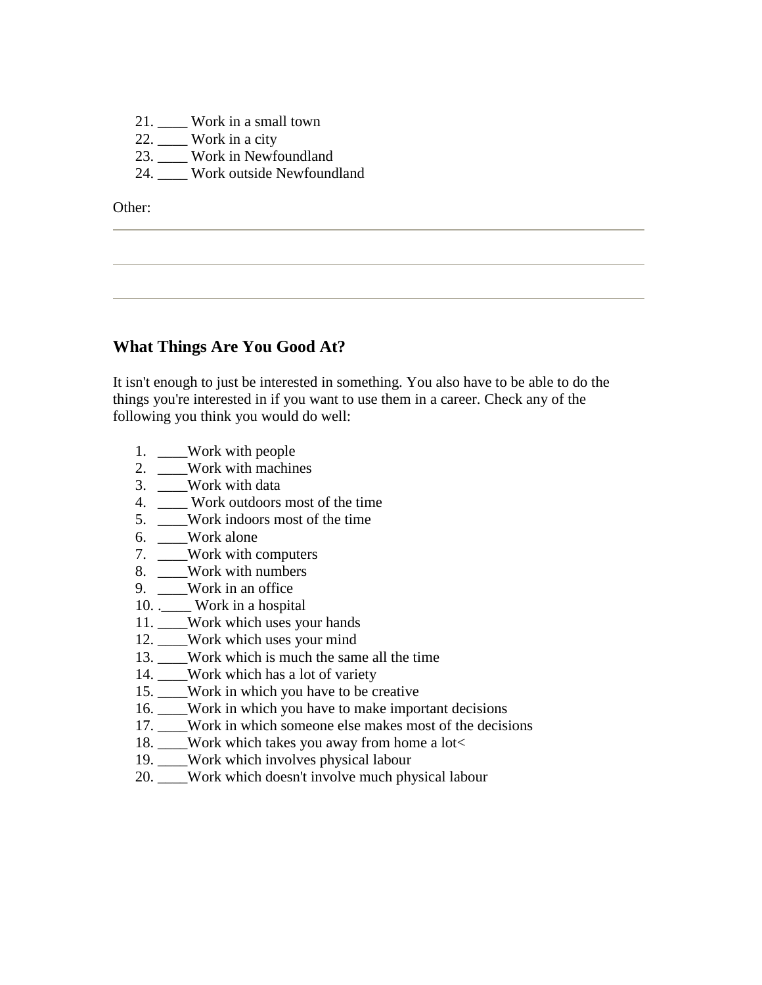- <span id="page-17-0"></span>21. \_\_\_\_ Work in a small town
- 22. Work in a city
- 23. \_\_\_\_ Work in Newfoundland
- 24. Work outside Newfoundland

Other:

#### **What Things Are You Good At?**

It isn't enough to just be interested in something. You also have to be able to do the things you're interested in if you want to use them in a career. Check any of the following you think you would do well:

- 1. \_\_\_\_Work with people
- 2. \_\_\_\_Work with machines
- 3. \_\_\_\_Work with data
- 4. \_\_\_\_ Work outdoors most of the time
- 5. \_\_\_\_Work indoors most of the time
- 6. \_\_\_\_Work alone
- 7. \_\_\_\_Work with computers
- 8. \_\_\_\_Work with numbers
- 9. \_\_\_\_Work in an office
- 10. .\_\_\_\_ Work in a hospital
- 11. \_\_\_\_Work which uses your hands
- 12. \_\_\_\_Work which uses your mind
- 13. \_\_\_\_Work which is much the same all the time
- 14. \_\_\_\_Work which has a lot of variety
- 15. \_\_\_\_Work in which you have to be creative
- 16. \_\_\_\_Work in which you have to make important decisions
- 17. \_\_\_\_Work in which someone else makes most of the decisions
- 18. \_\_\_\_Work which takes you away from home a lot<
- 19. \_\_\_\_Work which involves physical labour
- 20. \_\_\_\_Work which doesn't involve much physical labour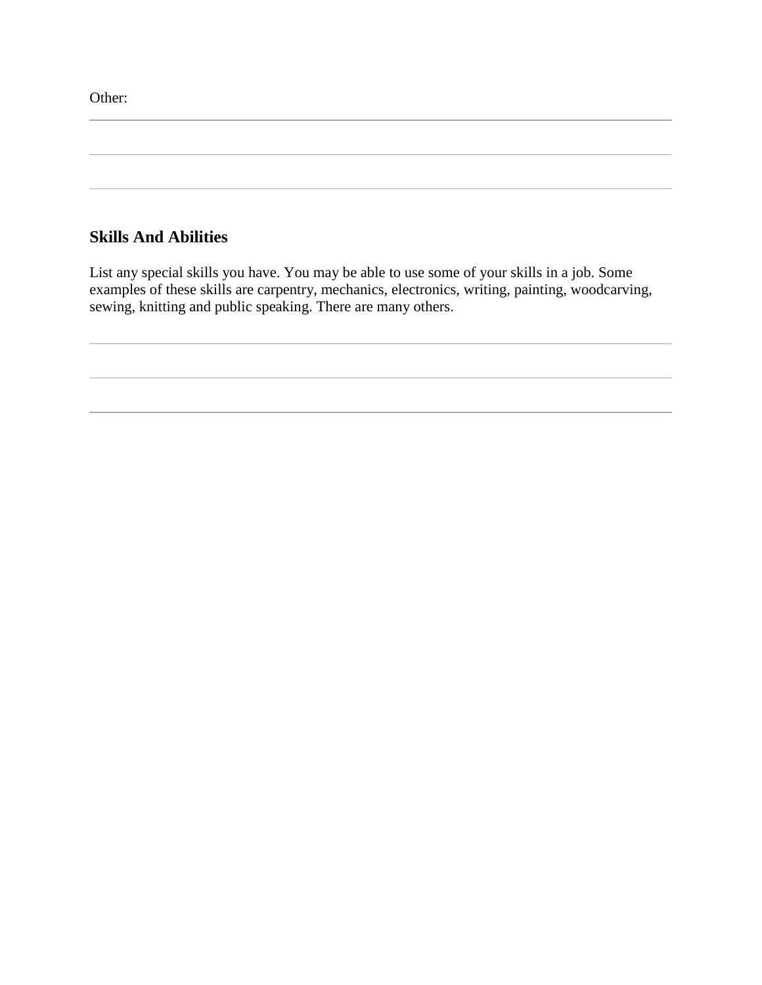<span id="page-18-0"></span>Other:

# **Skills And Abilities**

List any special skills you have. You may be able to use some of your skills in a job. Some examples of these skills are carpentry, mechanics, electronics, writing, painting, woodcarving, sewing, knitting and public speaking. There are many others.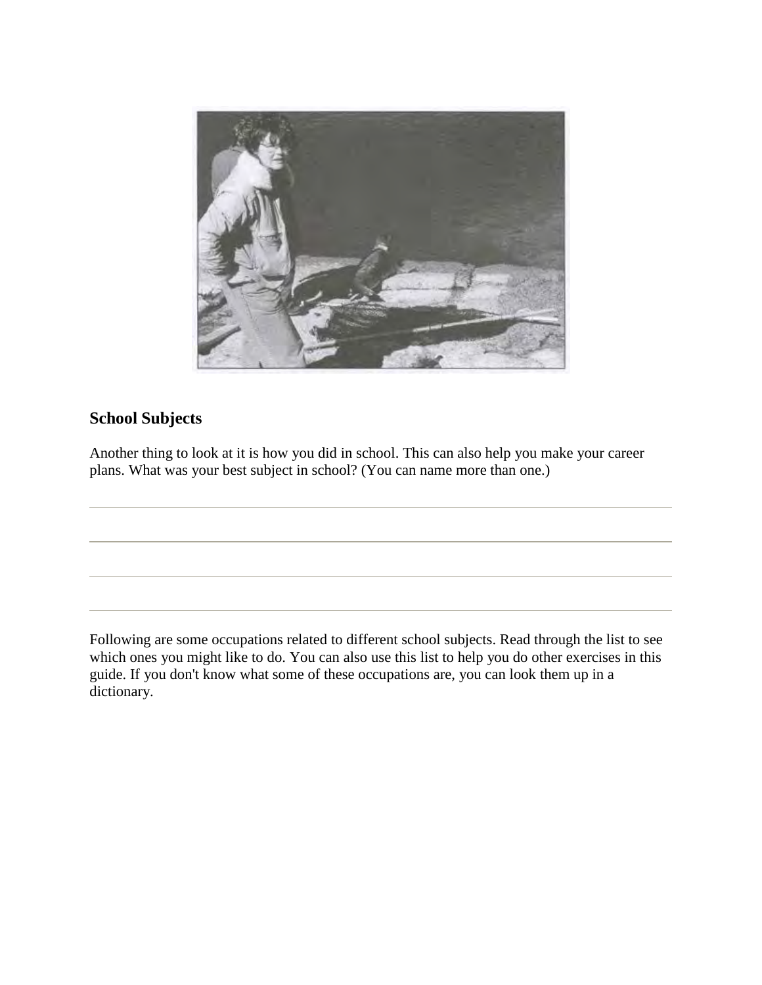<span id="page-19-0"></span>

# **School Subjects**

Another thing to look at it is how you did in school. This can also help you make your career plans. What was your best subject in school? (You can name more than one.)

Following are some occupations related to different school subjects. Read through the list to see which ones you might like to do. You can also use this list to help you do other exercises in this guide. If you don't know what some of these occupations are, you can look them up in a dictionary.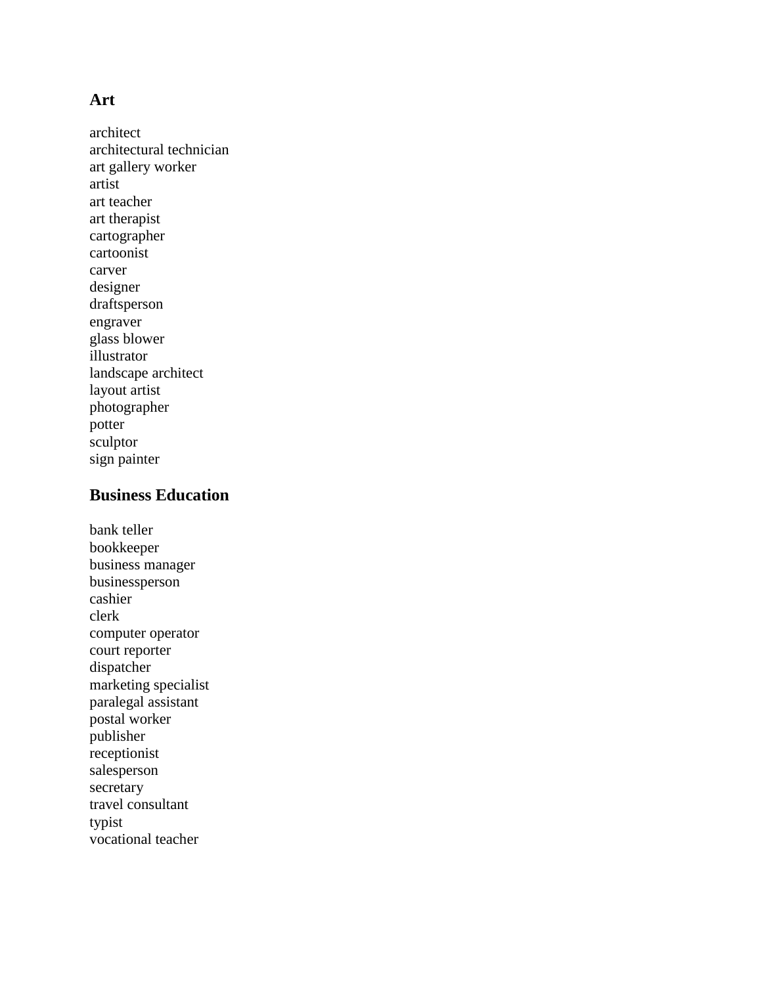#### **Art**

architect architectural technician art gallery worker artist art teacher art therapist cartographer cartoonist carver designer draftsperson engraver glass blower illustrator landscape architect layout artist photographer potter sculptor sign painter

## **Business Education**

bank teller bookkeeper business manager businessperson cashier clerk computer operator court reporter dispatcher marketing specialist paralegal assistant postal worker publisher receptionist salesperson secretary travel consultant typist vocational teacher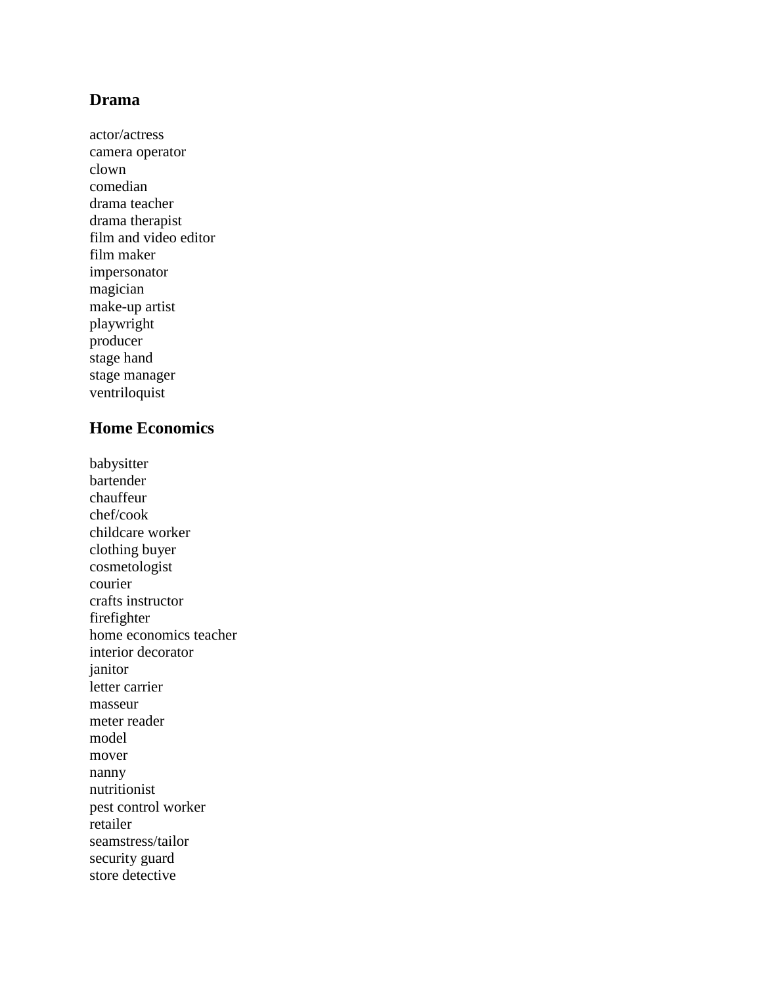#### **Drama**

actor/actress camera operator clown comedian drama teacher drama therapist film and video editor film maker impersonator magician make-up artist playwright producer stage hand stage manager ventriloquist

# **Home Economics**

babysitter bartender chauffeur chef/cook childcare worker clothing buyer cosmetologist courier crafts instructor firefighter home economics teacher interior decorator janitor letter carrier masseur meter reader model mover nanny nutritionist pest control worker retailer seamstress/tailor security guard store detective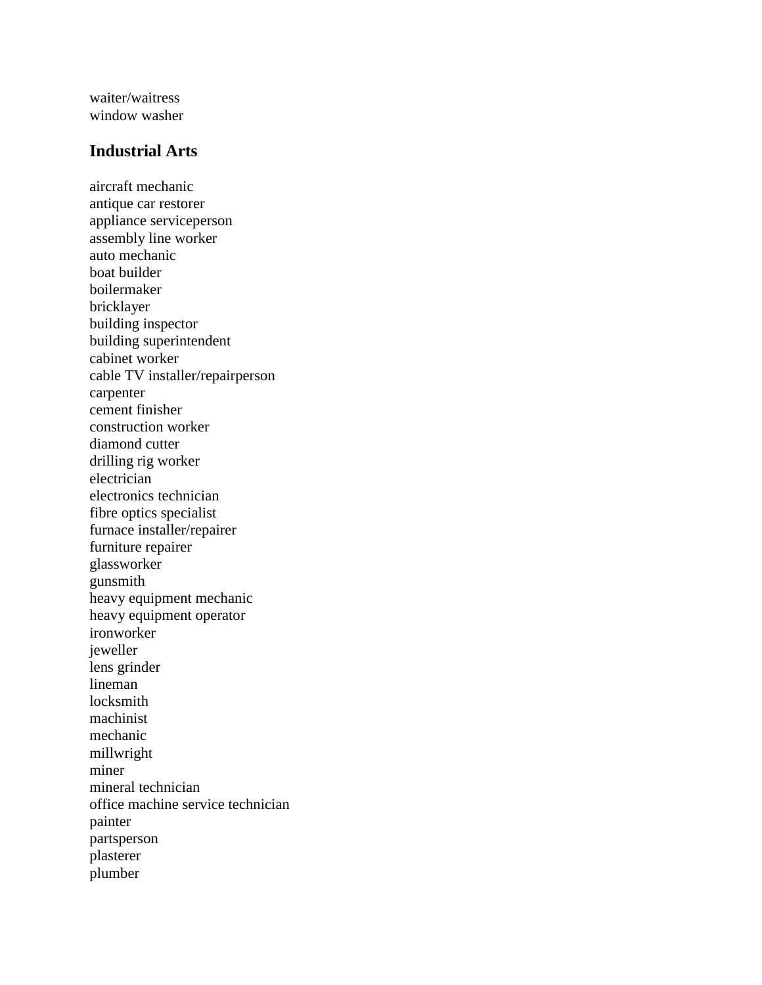waiter/waitress window washer

#### **Industrial Arts**

aircraft mechanic antique car restorer appliance serviceperson assembly line worker auto mechanic boat builder boilermaker bricklayer building inspector building superintendent cabinet worker cable TV installer/repairperson carpenter cement finisher construction worker diamond cutter drilling rig worker electrician electronics technician fibre optics specialist furnace installer/repairer furniture repairer glassworker gunsmith heavy equipment mechanic heavy equipment operator ironworker jeweller lens grinder lineman locksmith machinist mechanic millwright miner mineral technician office machine service technician painter partsperson plasterer plumber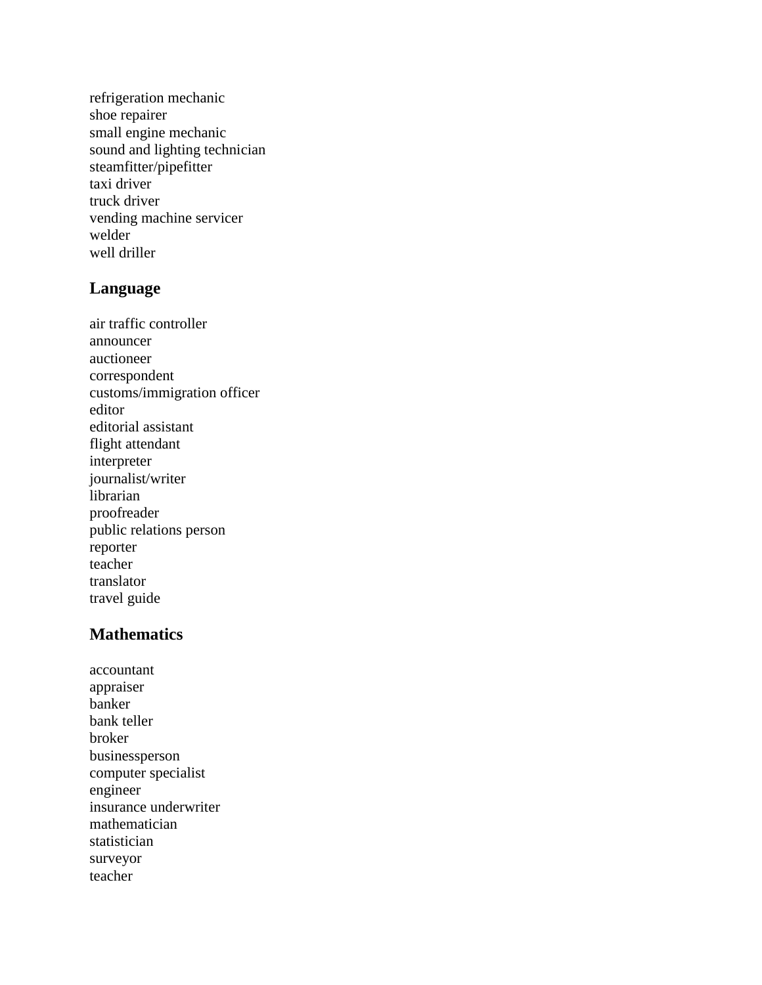refrigeration mechanic shoe repairer small engine mechanic sound and lighting technician steamfitter/pipefitter taxi driver truck driver vending machine servicer welder well driller

### **Language**

air traffic controller announcer auctioneer correspondent customs/immigration officer editor editorial assistant flight attendant interpreter journalist/writer librarian proofreader public relations person reporter teacher translator travel guide

## **Mathematics**

accountant appraiser banker bank teller broker businessperson computer specialist engineer insurance underwriter mathematician statistician surveyor teacher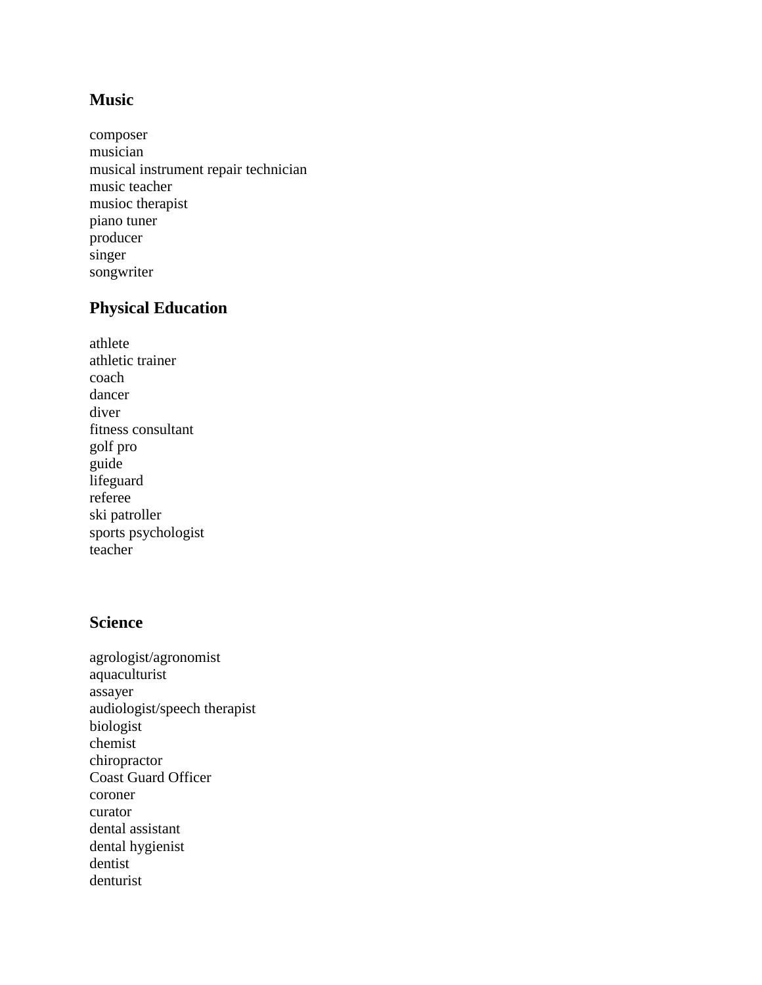#### **Music**

composer musician musical instrument repair technician music teacher musioc therapist piano tuner producer singer songwriter

# **Physical Education**

athlete athletic trainer coach dancer diver fitness consultant golf pro guide lifeguard referee ski patroller sports psychologist teacher

#### **Science**

agrologist/agronomist aquaculturist assayer audiologist/speech therapist biologist chemist chiropractor Coast Guard Officer coroner curator dental assistant dental hygienist dentist denturist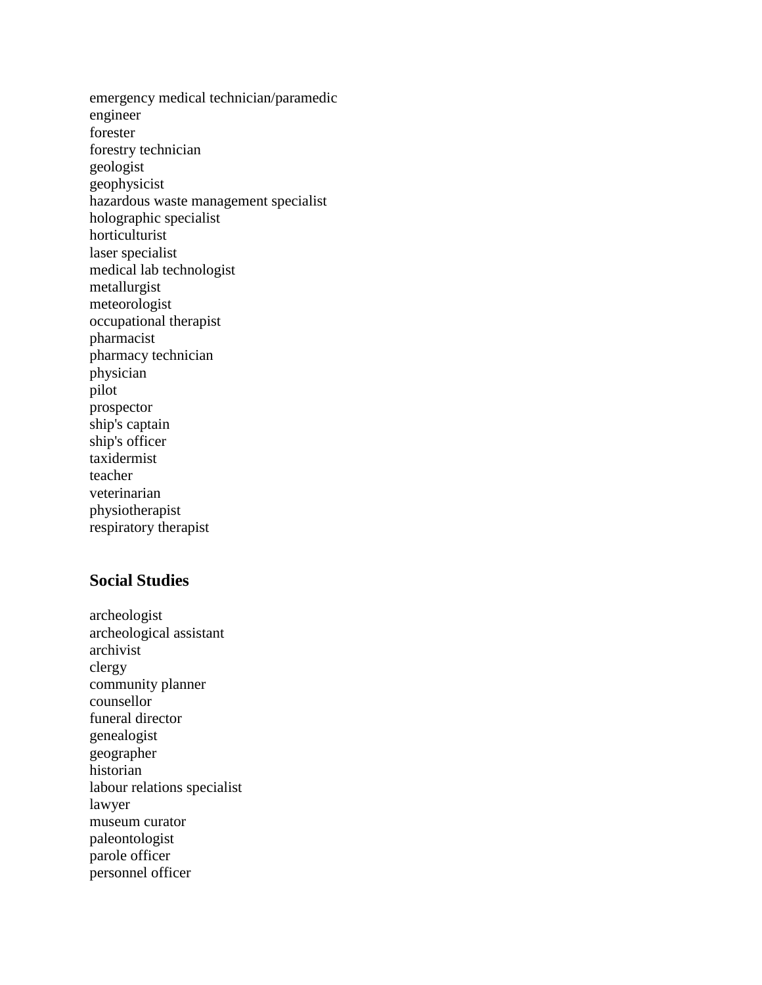emergency medical technician/paramedic engineer forester forestry technician geologist geophysicist hazardous waste management specialist holographic specialist horticulturist laser specialist medical lab technologist metallurgist meteorologist occupational therapist pharmacist pharmacy technician physician pilot prospector ship's captain ship's officer taxidermist teacher veterinarian physiotherapist respiratory therapist

### **Social Studies**

archeologist archeological assistant archivist clergy community planner counsellor funeral director genealogist geographer historian labour relations specialist lawyer museum curator paleontologist parole officer personnel officer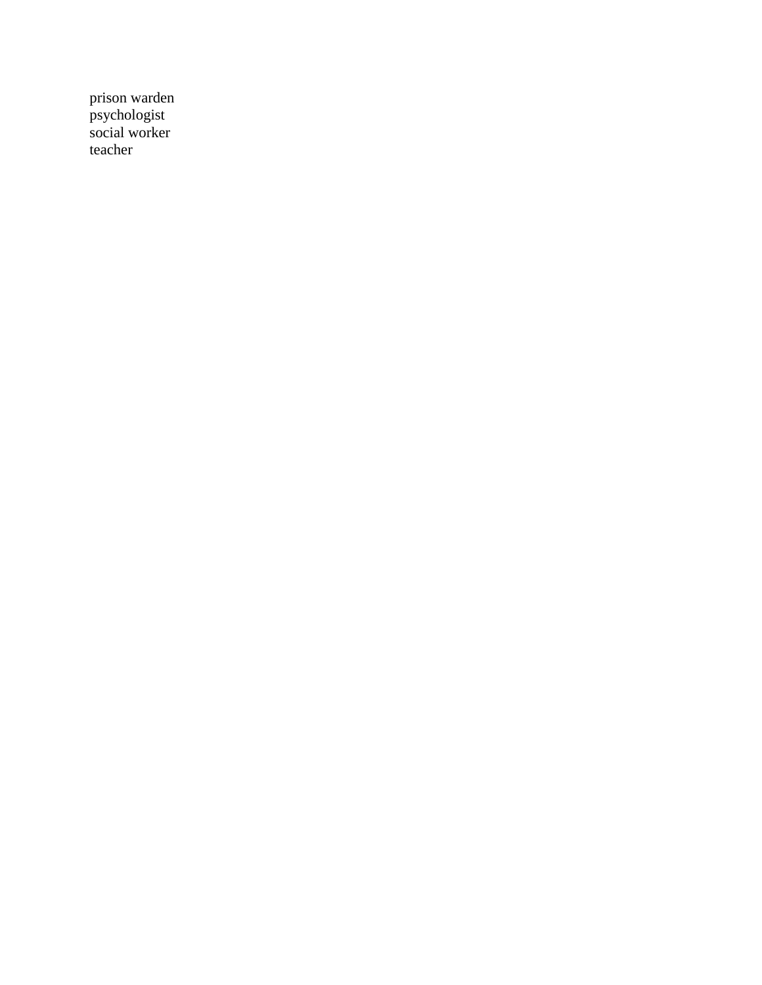prison warden psychologist social worker teacher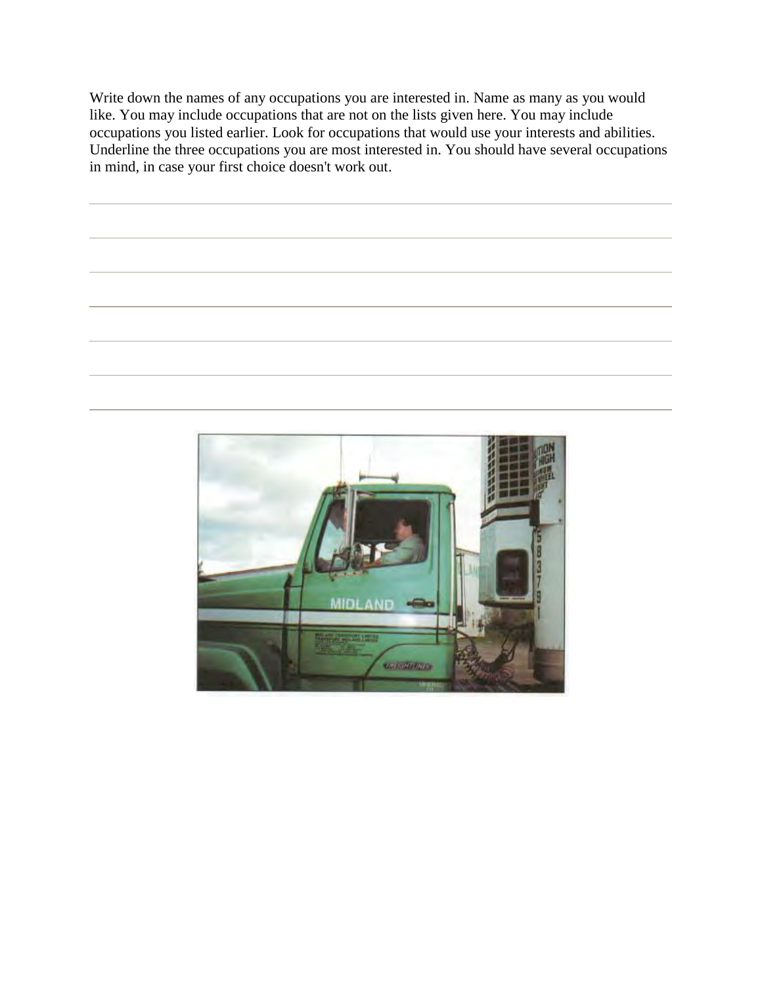Write down the names of any occupations you are interested in. Name as many as you would like. You may include occupations that are not on the lists given here. You may include occupations you listed earlier. Look for occupations that would use your interests and abilities. Underline the three occupations you are most interested in. You should have several occupations in mind, in case your first choice doesn't work out.

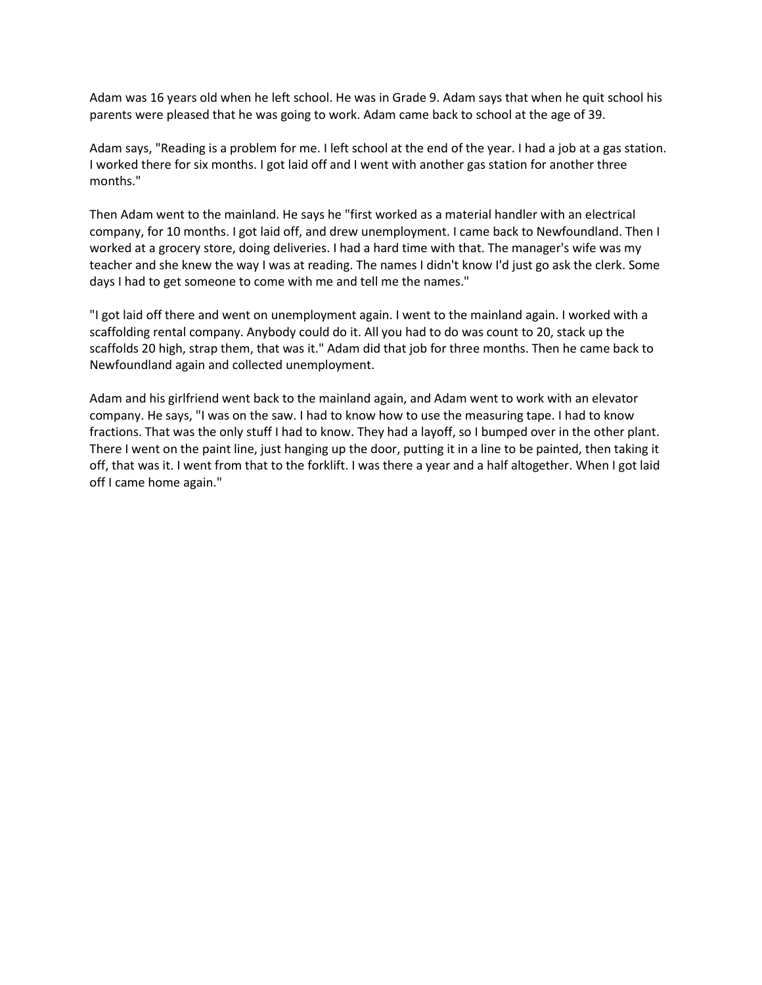<span id="page-28-0"></span>Adam was 16 years old when he left school. He was in Grade 9. Adam says that when he quit school his parents were pleased that he was going to work. Adam came back to school at the age of 39.

Adam says, "Reading is a problem for me. I left school at the end of the year. I had a job at a gas station. I worked there for six months. I got laid off and I went with another gas station for another three months."

Then Adam went to the mainland. He says he "first worked as a material handler with an electrical company, for 10 months. I got laid off, and drew unemployment. I came back to Newfoundland. Then I worked at a grocery store, doing deliveries. I had a hard time with that. The manager's wife was my teacher and she knew the way I was at reading. The names I didn't know I'd just go ask the clerk. Some days I had to get someone to come with me and tell me the names."

"I got laid off there and went on unemployment again. I went to the mainland again. I worked with a scaffolding rental company. Anybody could do it. All you had to do was count to 20, stack up the scaffolds 20 high, strap them, that was it." Adam did that job for three months. Then he came back to Newfoundland again and collected unemployment.

Adam and his girlfriend went back to the mainland again, and Adam went to work with an elevator company. He says, "I was on the saw. I had to know how to use the measuring tape. I had to know fractions. That was the only stuff I had to know. They had a layoff, so I bumped over in the other plant. There I went on the paint line, just hanging up the door, putting it in a line to be painted, then taking it off, that was it. I went from that to the forklift. I was there a year and a half altogether. When I got laid off I came home again."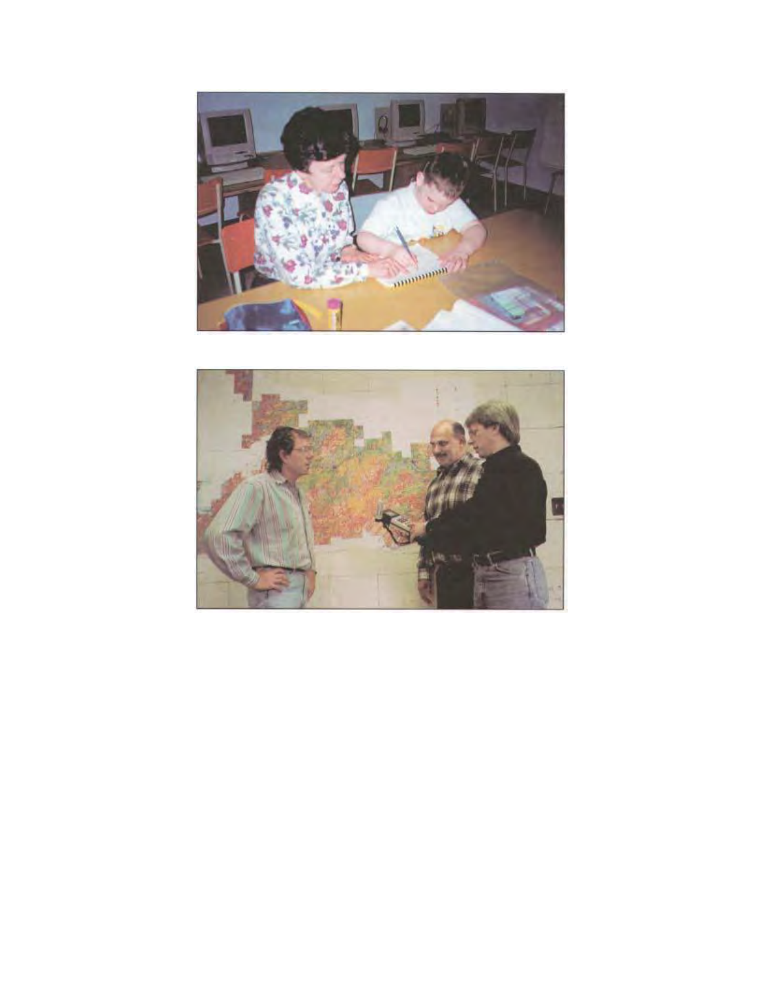

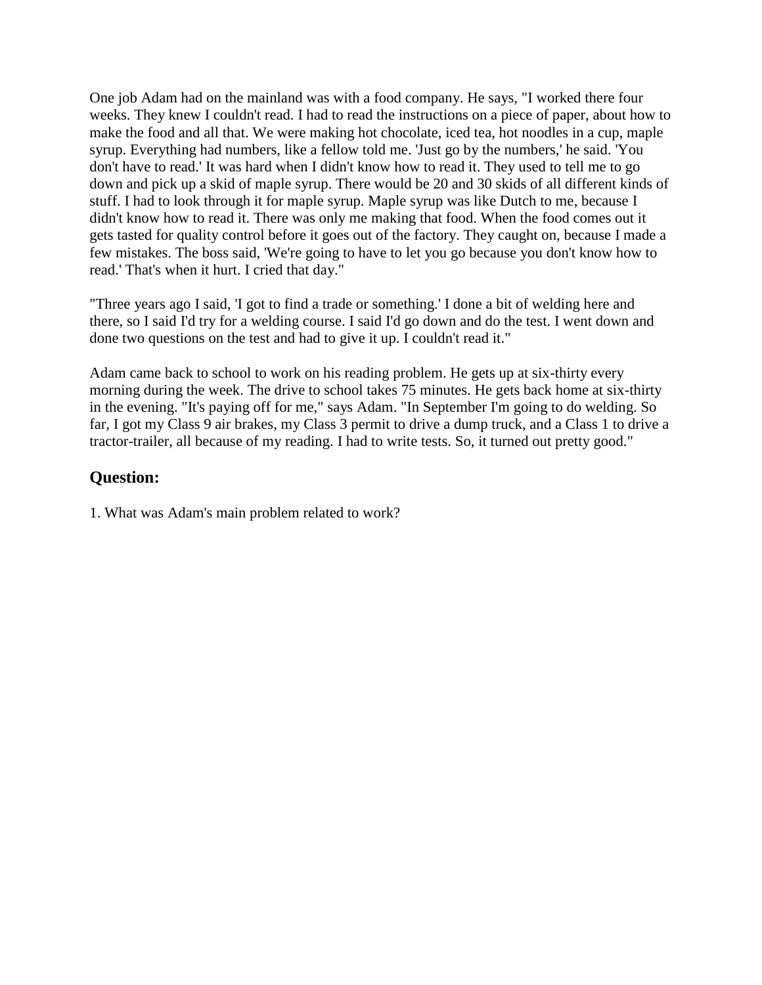One job Adam had on the mainland was with a food company. He says, "I worked there four weeks. They knew I couldn't read. I had to read the instructions on a piece of paper, about how to make the food and all that. We were making hot chocolate, iced tea, hot noodles in a cup, maple syrup. Everything had numbers, like a fellow told me. 'Just go by the numbers,' he said. 'You don't have to read.' It was hard when I didn't know how to read it. They used to tell me to go down and pick up a skid of maple syrup. There would be 20 and 30 skids of all different kinds of stuff. I had to look through it for maple syrup. Maple syrup was like Dutch to me, because I didn't know how to read it. There was only me making that food. When the food comes out it gets tasted for quality control before it goes out of the factory. They caught on, because I made a few mistakes. The boss said, 'We're going to have to let you go because you don't know how to read.' That's when it hurt. I cried that day."

"Three years ago I said, 'I got to find a trade or something.' I done a bit of welding here and there, so I said I'd try for a welding course. I said I'd go down and do the test. I went down and done two questions on the test and had to give it up. I couldn't read it."

Adam came back to school to work on his reading problem. He gets up at six-thirty every morning during the week. The drive to school takes 75 minutes. He gets back home at six-thirty in the evening. "It's paying off for me," says Adam. "In September I'm going to do welding. So far, I got my Class 9 air brakes, my Class 3 permit to drive a dump truck, and a Class 1 to drive a tractor-trailer, all because of my reading. I had to write tests. So, it turned out pretty good."

## **Question:**

1. What was Adam's main problem related to work?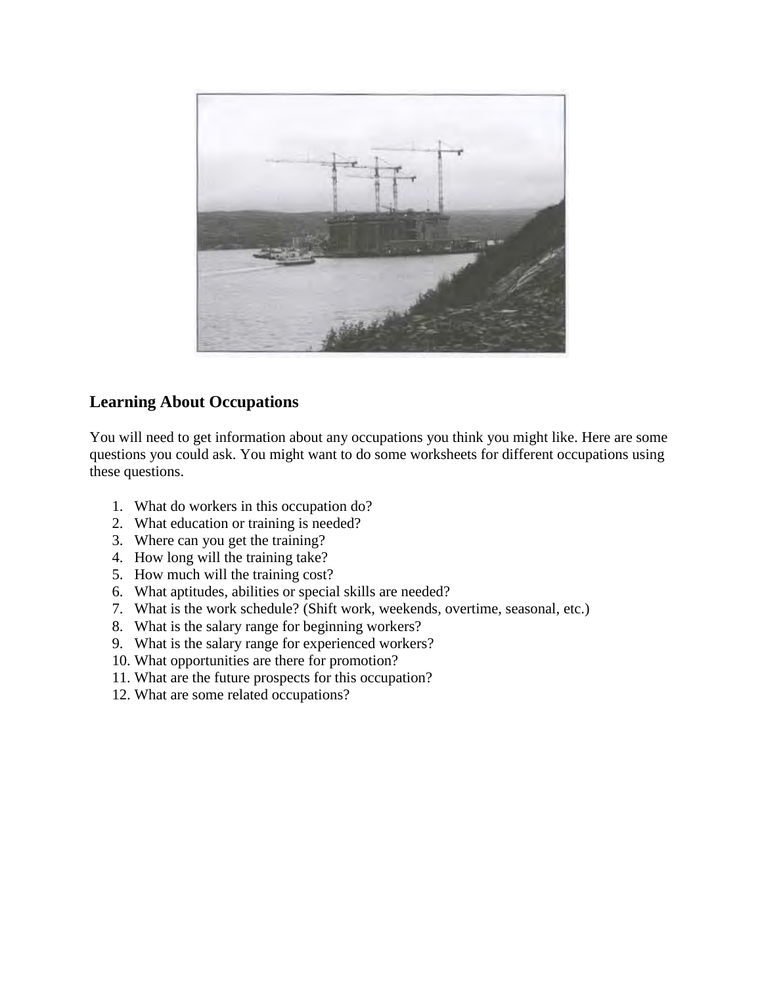<span id="page-31-0"></span>

# **Learning About Occupations**

You will need to get information about any occupations you think you might like. Here are some questions you could ask. You might want to do some worksheets for different occupations using these questions.

- 1. What do workers in this occupation do?
- 2. What education or training is needed?
- 3. Where can you get the training?
- 4. How long will the training take?
- 5. How much will the training cost?
- 6. What aptitudes, abilities or special skills are needed?
- 7. What is the work schedule? (Shift work, weekends, overtime, seasonal, etc.)
- 8. What is the salary range for beginning workers?
- 9. What is the salary range for experienced workers?
- 10. What opportunities are there for promotion?
- 11. What are the future prospects for this occupation?
- 12. What are some related occupations?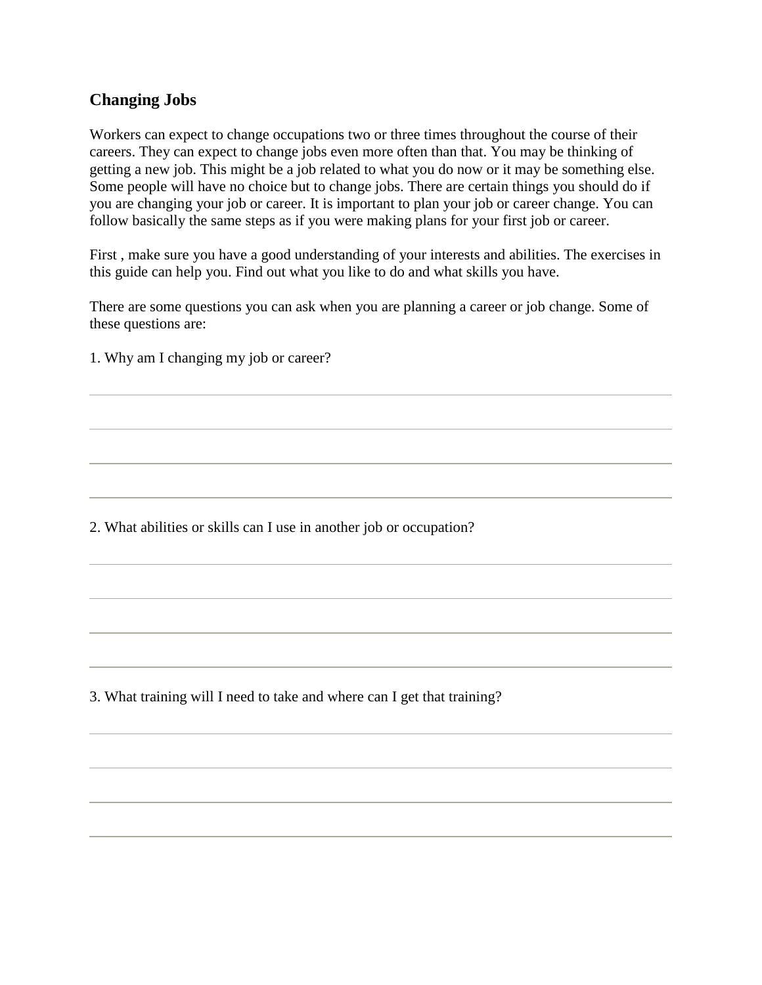### <span id="page-32-0"></span>**Changing Jobs**

Workers can expect to change occupations two or three times throughout the course of their careers. They can expect to change jobs even more often than that. You may be thinking of getting a new job. This might be a job related to what you do now or it may be something else. Some people will have no choice but to change jobs. There are certain things you should do if you are changing your job or career. It is important to plan your job or career change. You can follow basically the same steps as if you were making plans for your first job or career.

First , make sure you have a good understanding of your interests and abilities. The exercises in this guide can help you. Find out what you like to do and what skills you have.

There are some questions you can ask when you are planning a career or job change. Some of these questions are:

1. Why am I changing my job or career?

2. What abilities or skills can I use in another job or occupation?

3. What training will I need to take and where can I get that training?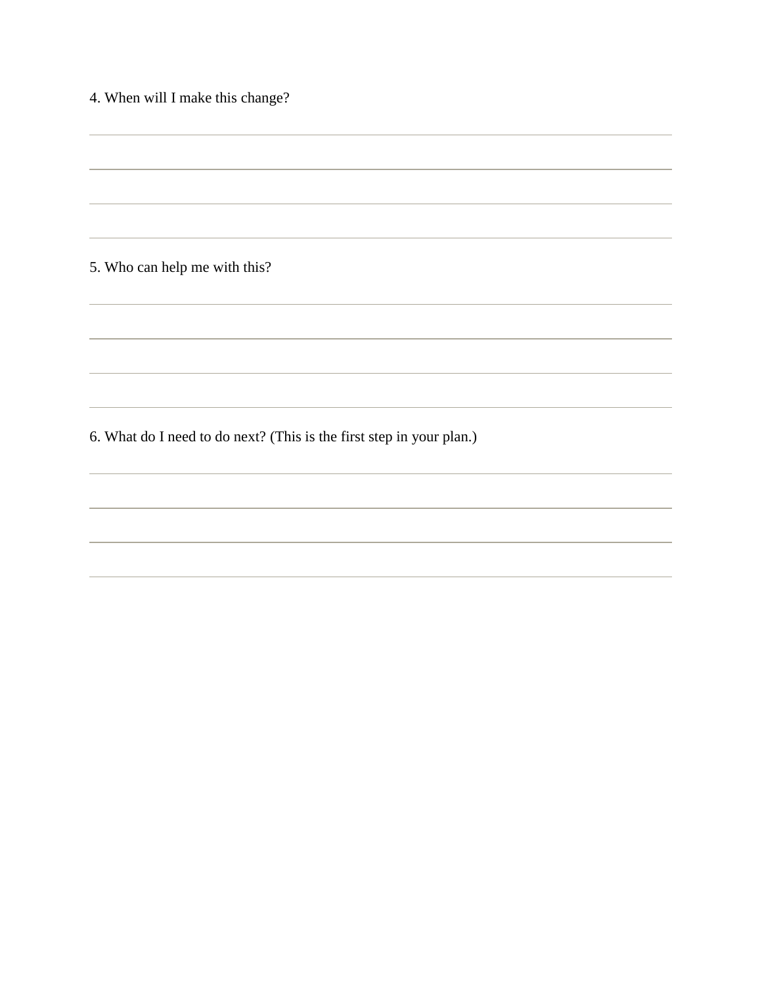4. When will I make this change?

5. Who can help me with this?

6. What do I need to do next? (This is the first step in your plan.)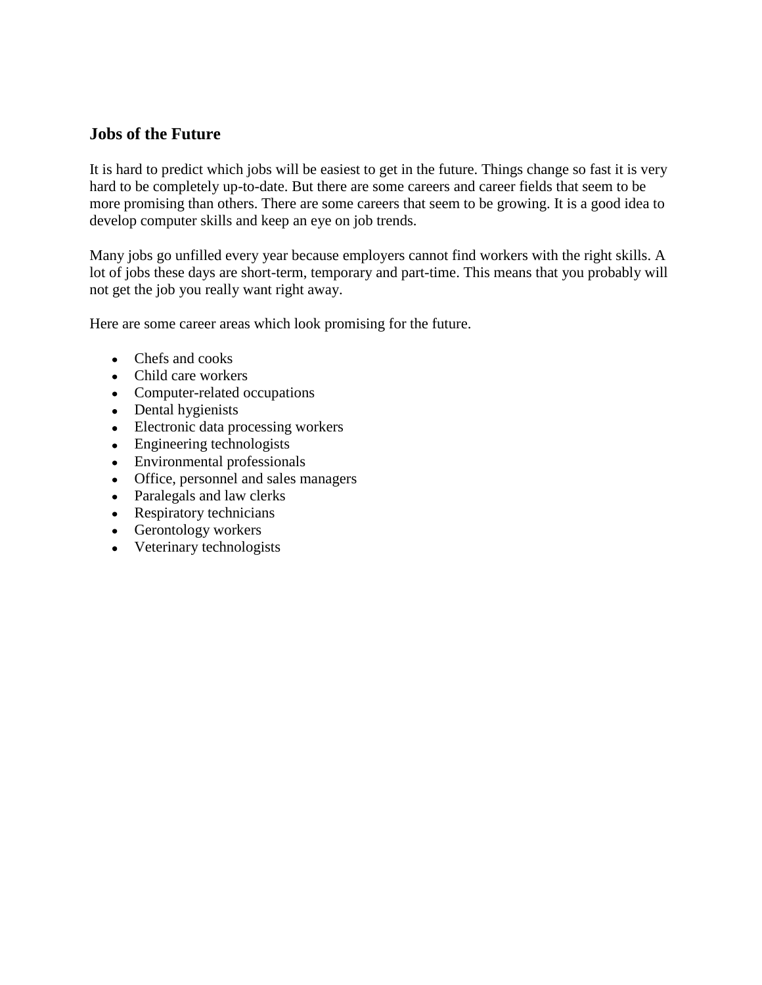### <span id="page-34-0"></span>**Jobs of the Future**

It is hard to predict which jobs will be easiest to get in the future. Things change so fast it is very hard to be completely up-to-date. But there are some careers and career fields that seem to be more promising than others. There are some careers that seem to be growing. It is a good idea to develop computer skills and keep an eye on job trends.

Many jobs go unfilled every year because employers cannot find workers with the right skills. A lot of jobs these days are short-term, temporary and part-time. This means that you probably will not get the job you really want right away.

Here are some career areas which look promising for the future.

- Chefs and cooks
- Child care workers
- Computer-related occupations
- Dental hygienists
- Electronic data processing workers
- Engineering technologists
- Environmental professionals
- Office, personnel and sales managers
- Paralegals and law clerks
- Respiratory technicians
- Gerontology workers
- Veterinary technologists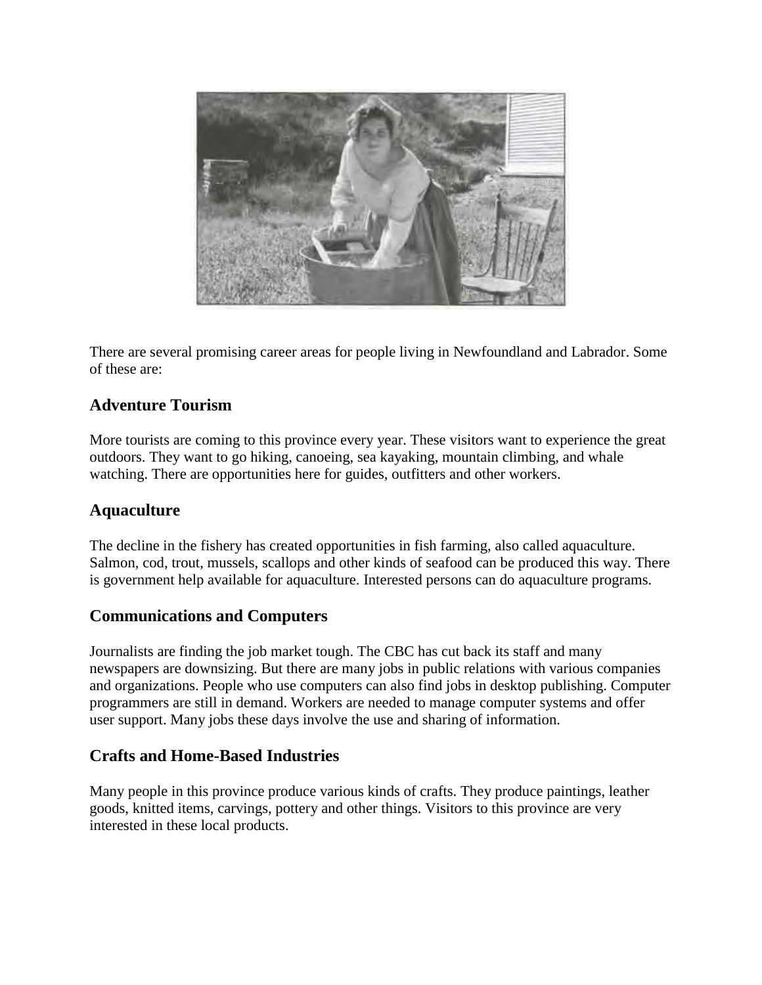

There are several promising career areas for people living in Newfoundland and Labrador. Some of these are:

## **Adventure Tourism**

More tourists are coming to this province every year. These visitors want to experience the great outdoors. They want to go hiking, canoeing, sea kayaking, mountain climbing, and whale watching. There are opportunities here for guides, outfitters and other workers.

## **Aquaculture**

The decline in the fishery has created opportunities in fish farming, also called aquaculture. Salmon, cod, trout, mussels, scallops and other kinds of seafood can be produced this way. There is government help available for aquaculture. Interested persons can do aquaculture programs.

## **Communications and Computers**

Journalists are finding the job market tough. The CBC has cut back its staff and many newspapers are downsizing. But there are many jobs in public relations with various companies and organizations. People who use computers can also find jobs in desktop publishing. Computer programmers are still in demand. Workers are needed to manage computer systems and offer user support. Many jobs these days involve the use and sharing of information.

## **Crafts and Home-Based Industries**

Many people in this province produce various kinds of crafts. They produce paintings, leather goods, knitted items, carvings, pottery and other things. Visitors to this province are very interested in these local products.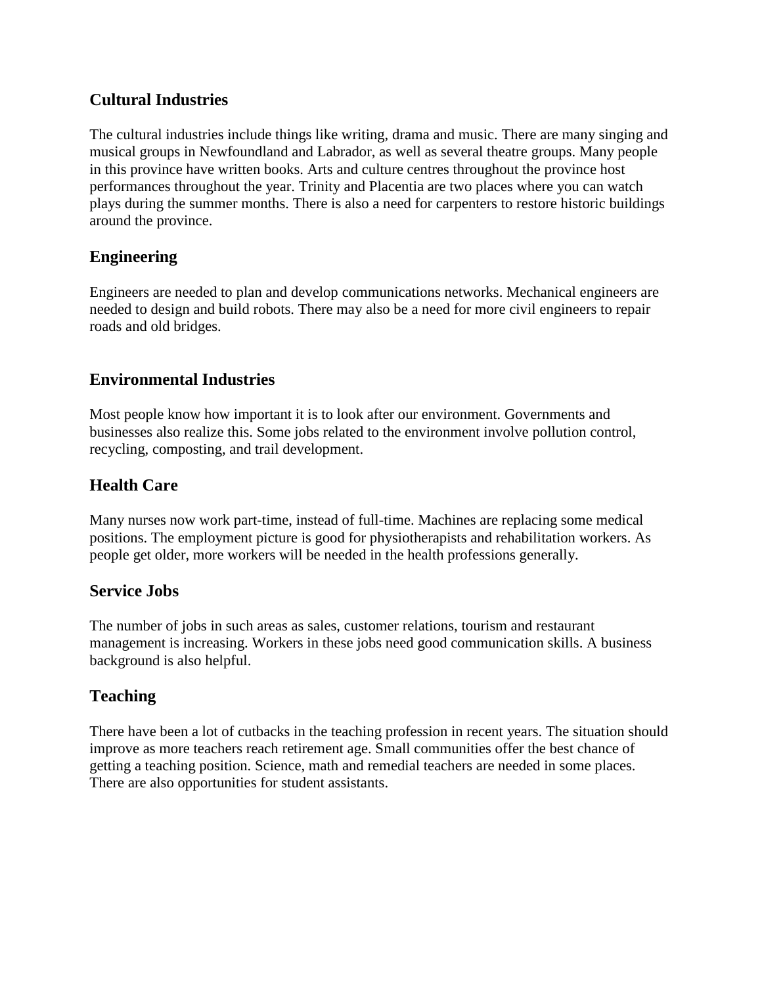## **Cultural Industries**

The cultural industries include things like writing, drama and music. There are many singing and musical groups in Newfoundland and Labrador, as well as several theatre groups. Many people in this province have written books. Arts and culture centres throughout the province host performances throughout the year. Trinity and Placentia are two places where you can watch plays during the summer months. There is also a need for carpenters to restore historic buildings around the province.

## **Engineering**

Engineers are needed to plan and develop communications networks. Mechanical engineers are needed to design and build robots. There may also be a need for more civil engineers to repair roads and old bridges.

## **Environmental Industries**

Most people know how important it is to look after our environment. Governments and businesses also realize this. Some jobs related to the environment involve pollution control, recycling, composting, and trail development.

## **Health Care**

Many nurses now work part-time, instead of full-time. Machines are replacing some medical positions. The employment picture is good for physiotherapists and rehabilitation workers. As people get older, more workers will be needed in the health professions generally.

### **Service Jobs**

The number of jobs in such areas as sales, customer relations, tourism and restaurant management is increasing. Workers in these jobs need good communication skills. A business background is also helpful.

## **Teaching**

There have been a lot of cutbacks in the teaching profession in recent years. The situation should improve as more teachers reach retirement age. Small communities offer the best chance of getting a teaching position. Science, math and remedial teachers are needed in some places. There are also opportunities for student assistants.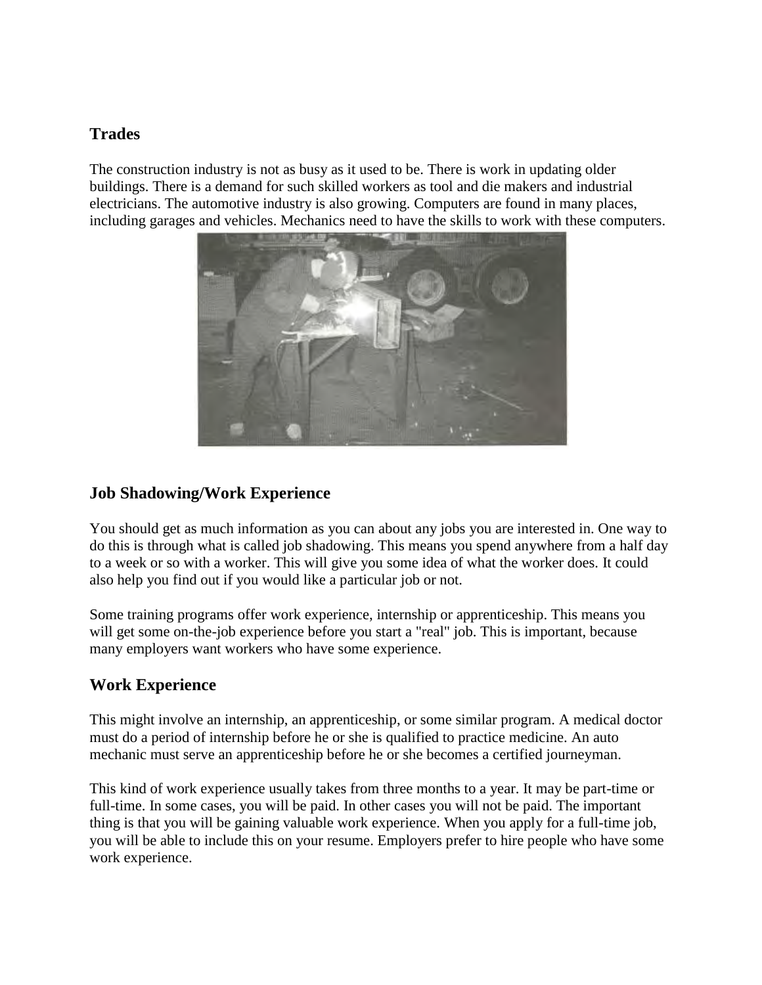## **Trades**

The construction industry is not as busy as it used to be. There is work in updating older buildings. There is a demand for such skilled workers as tool and die makers and industrial electricians. The automotive industry is also growing. Computers are found in many places, including garages and vehicles. Mechanics need to have the skills to work with these computers.



## **Job Shadowing/Work Experience**

You should get as much information as you can about any jobs you are interested in. One way to do this is through what is called job shadowing. This means you spend anywhere from a half day to a week or so with a worker. This will give you some idea of what the worker does. It could also help you find out if you would like a particular job or not.

Some training programs offer work experience, internship or apprenticeship. This means you will get some on-the-job experience before you start a "real" job. This is important, because many employers want workers who have some experience.

## **Work Experience**

This might involve an internship, an apprenticeship, or some similar program. A medical doctor must do a period of internship before he or she is qualified to practice medicine. An auto mechanic must serve an apprenticeship before he or she becomes a certified journeyman.

This kind of work experience usually takes from three months to a year. It may be part-time or full-time. In some cases, you will be paid. In other cases you will not be paid. The important thing is that you will be gaining valuable work experience. When you apply for a full-time job, you will be able to include this on your resume. Employers prefer to hire people who have some work experience.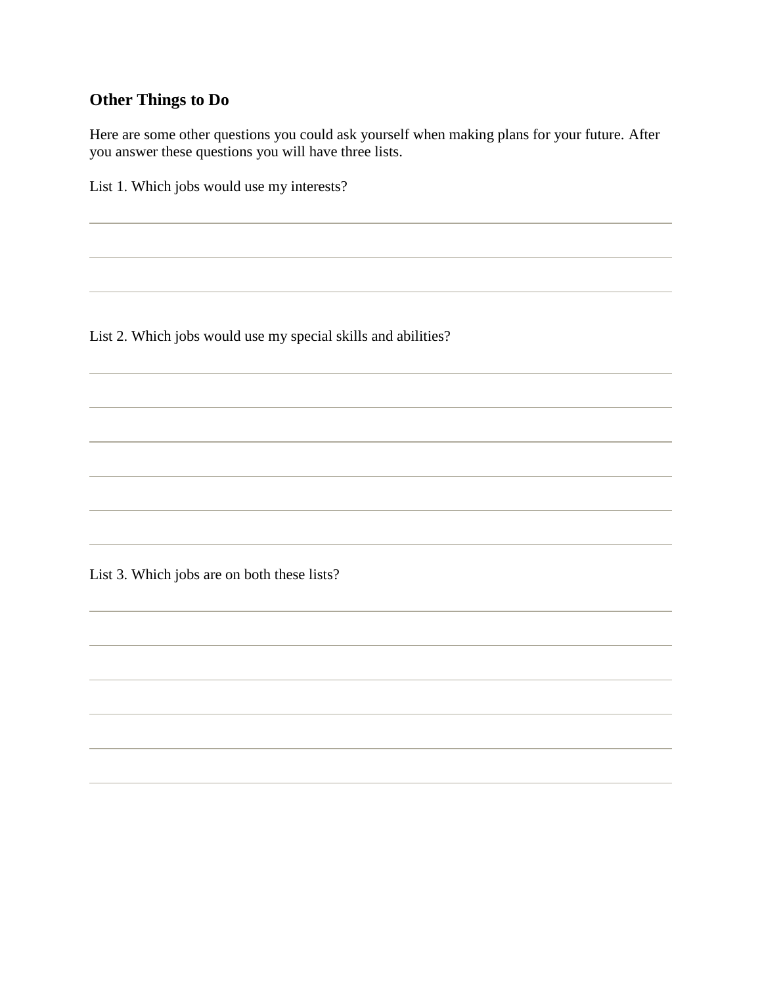## **Other Things to Do**

Here are some other questions you could ask yourself when making plans for your future. After you answer these questions you will have three lists.

List 1. Which jobs would use my interests?

List 2. Which jobs would use my special skills and abilities?

List 3. Which jobs are on both these lists?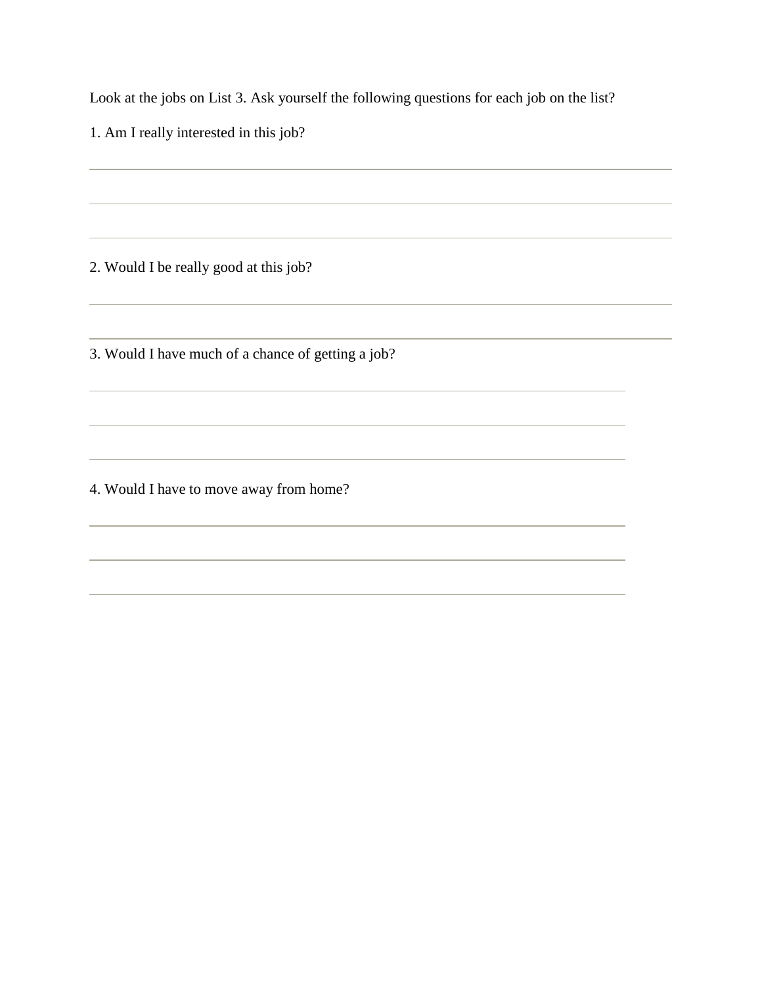Look at the jobs on List 3. Ask yourself the following questions for each job on the list?

<u> 1980 - Johann Barbara, martin amerikan basal dan berasal dan berasal dalam basal dan berasal dan berasal dan</u>

| 1. Am I really interested in this job? |
|----------------------------------------|
|                                        |
|                                        |
| 2. Would I be really good at this job? |

3. Would I have much of a chance of getting a job?

4. Would I have to move away from home?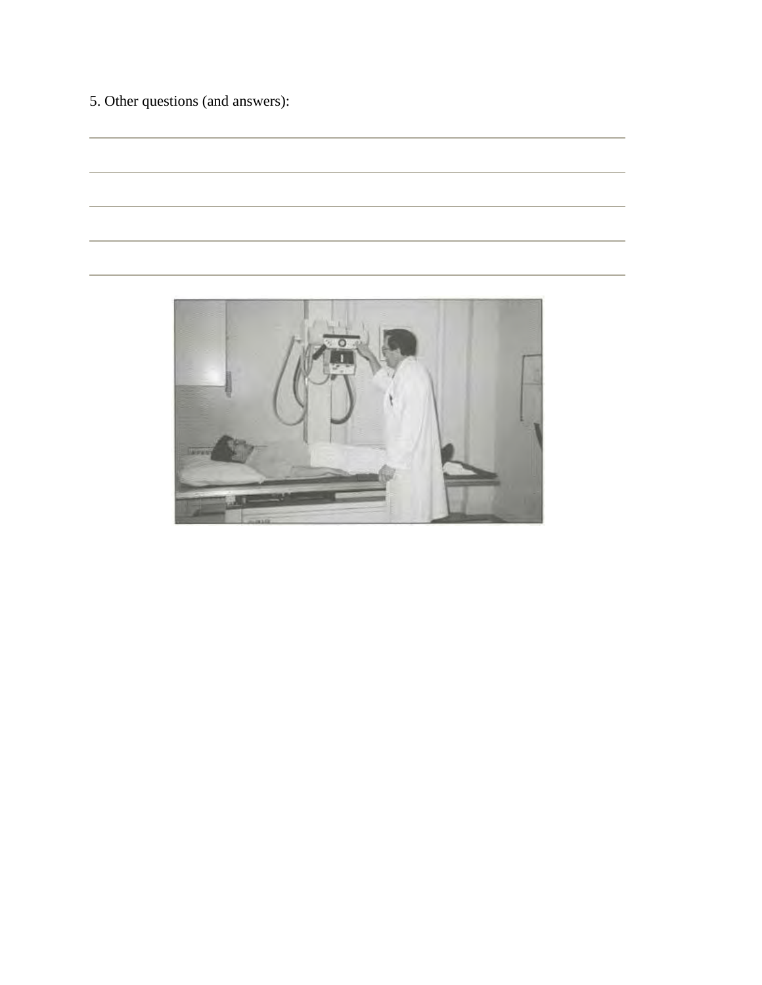5. Other questions (and answers):

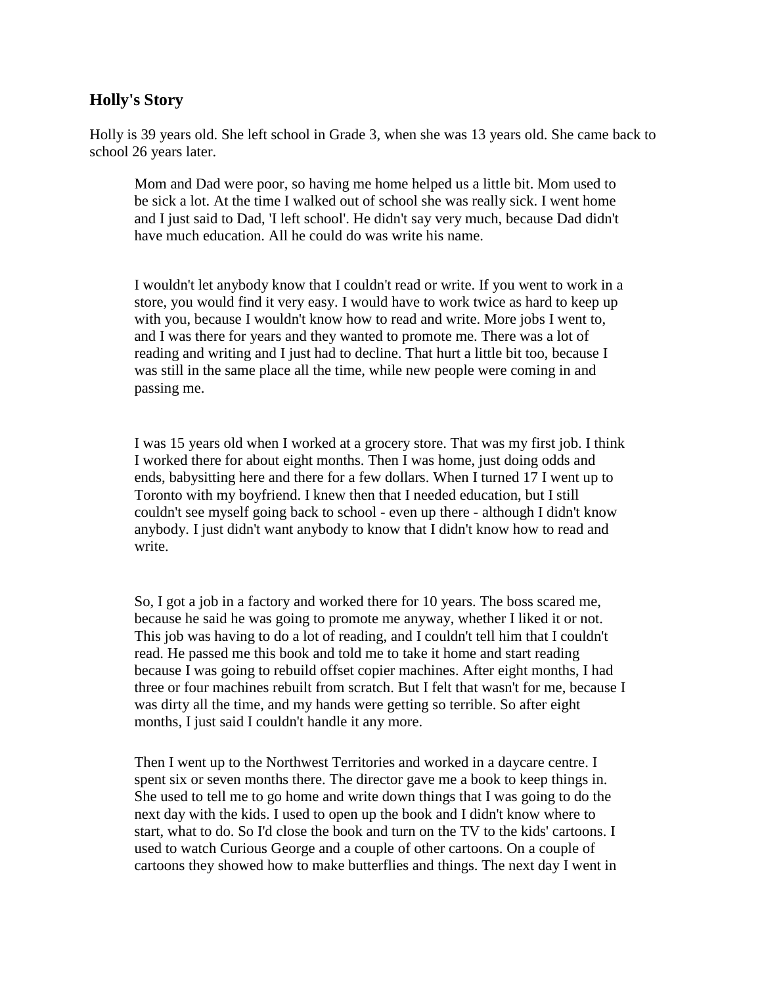#### **Holly's Story**

Holly is 39 years old. She left school in Grade 3, when she was 13 years old. She came back to school 26 years later.

Mom and Dad were poor, so having me home helped us a little bit. Mom used to be sick a lot. At the time I walked out of school she was really sick. I went home and I just said to Dad, 'I left school'. He didn't say very much, because Dad didn't have much education. All he could do was write his name.

I wouldn't let anybody know that I couldn't read or write. If you went to work in a store, you would find it very easy. I would have to work twice as hard to keep up with you, because I wouldn't know how to read and write. More jobs I went to, and I was there for years and they wanted to promote me. There was a lot of reading and writing and I just had to decline. That hurt a little bit too, because I was still in the same place all the time, while new people were coming in and passing me.

I was 15 years old when I worked at a grocery store. That was my first job. I think I worked there for about eight months. Then I was home, just doing odds and ends, babysitting here and there for a few dollars. When I turned 17 I went up to Toronto with my boyfriend. I knew then that I needed education, but I still couldn't see myself going back to school - even up there - although I didn't know anybody. I just didn't want anybody to know that I didn't know how to read and write.

So, I got a job in a factory and worked there for 10 years. The boss scared me, because he said he was going to promote me anyway, whether I liked it or not. This job was having to do a lot of reading, and I couldn't tell him that I couldn't read. He passed me this book and told me to take it home and start reading because I was going to rebuild offset copier machines. After eight months, I had three or four machines rebuilt from scratch. But I felt that wasn't for me, because I was dirty all the time, and my hands were getting so terrible. So after eight months, I just said I couldn't handle it any more.

Then I went up to the Northwest Territories and worked in a daycare centre. I spent six or seven months there. The director gave me a book to keep things in. She used to tell me to go home and write down things that I was going to do the next day with the kids. I used to open up the book and I didn't know where to start, what to do. So I'd close the book and turn on the TV to the kids' cartoons. I used to watch Curious George and a couple of other cartoons. On a couple of cartoons they showed how to make butterflies and things. The next day I went in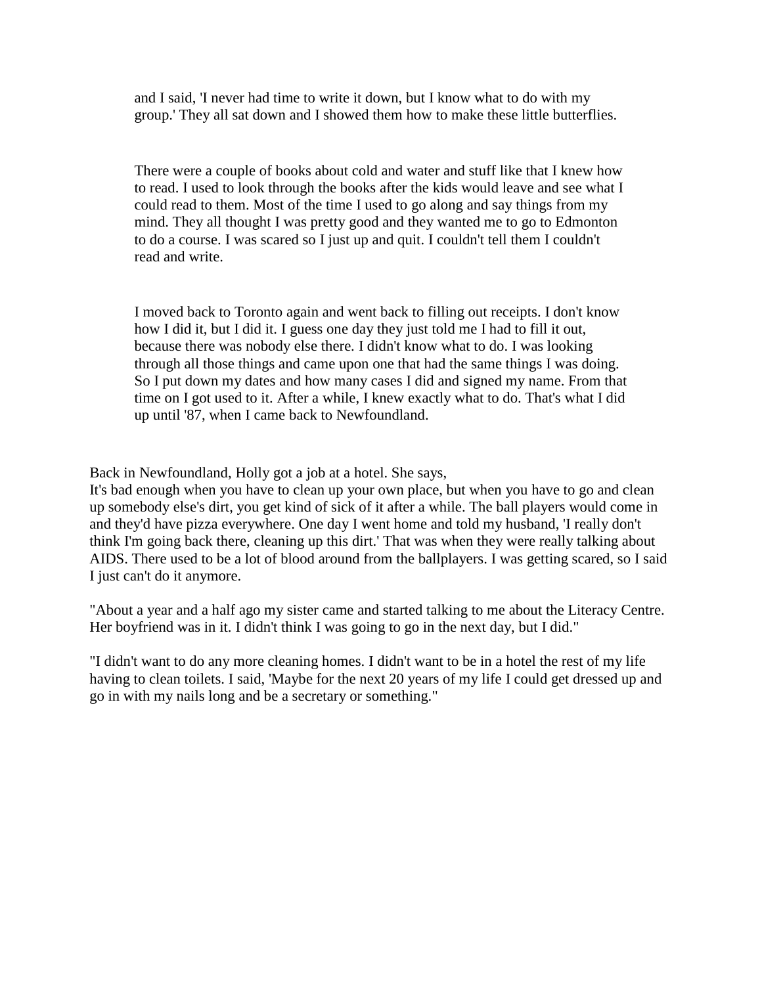and I said, 'I never had time to write it down, but I know what to do with my group.' They all sat down and I showed them how to make these little butterflies.

There were a couple of books about cold and water and stuff like that I knew how to read. I used to look through the books after the kids would leave and see what I could read to them. Most of the time I used to go along and say things from my mind. They all thought I was pretty good and they wanted me to go to Edmonton to do a course. I was scared so I just up and quit. I couldn't tell them I couldn't read and write.

I moved back to Toronto again and went back to filling out receipts. I don't know how I did it, but I did it. I guess one day they just told me I had to fill it out, because there was nobody else there. I didn't know what to do. I was looking through all those things and came upon one that had the same things I was doing. So I put down my dates and how many cases I did and signed my name. From that time on I got used to it. After a while, I knew exactly what to do. That's what I did up until '87, when I came back to Newfoundland.

Back in Newfoundland, Holly got a job at a hotel. She says,

It's bad enough when you have to clean up your own place, but when you have to go and clean up somebody else's dirt, you get kind of sick of it after a while. The ball players would come in and they'd have pizza everywhere. One day I went home and told my husband, 'I really don't think I'm going back there, cleaning up this dirt.' That was when they were really talking about AIDS. There used to be a lot of blood around from the ballplayers. I was getting scared, so I said I just can't do it anymore.

"About a year and a half ago my sister came and started talking to me about the Literacy Centre. Her boyfriend was in it. I didn't think I was going to go in the next day, but I did."

"I didn't want to do any more cleaning homes. I didn't want to be in a hotel the rest of my life having to clean toilets. I said, 'Maybe for the next 20 years of my life I could get dressed up and go in with my nails long and be a secretary or something."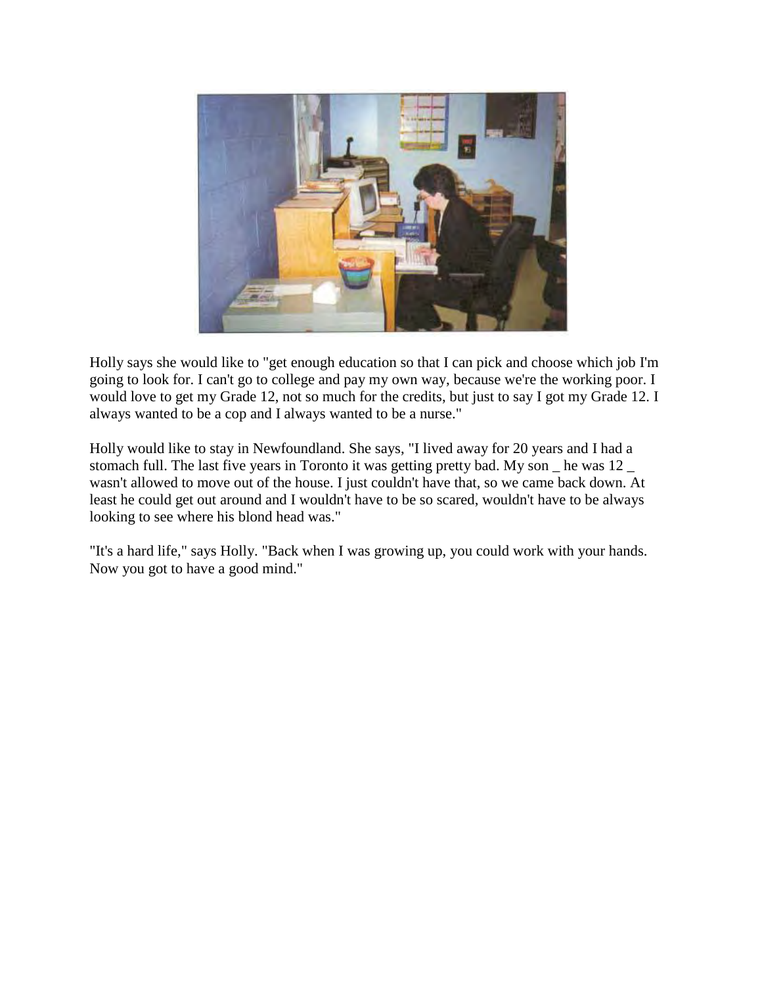

Holly says she would like to "get enough education so that I can pick and choose which job I'm going to look for. I can't go to college and pay my own way, because we're the working poor. I would love to get my Grade 12, not so much for the credits, but just to say I got my Grade 12. I always wanted to be a cop and I always wanted to be a nurse."

Holly would like to stay in Newfoundland. She says, "I lived away for 20 years and I had a stomach full. The last five years in Toronto it was getting pretty bad. My son \_ he was 12 \_ wasn't allowed to move out of the house. I just couldn't have that, so we came back down. At least he could get out around and I wouldn't have to be so scared, wouldn't have to be always looking to see where his blond head was."

"It's a hard life," says Holly. "Back when I was growing up, you could work with your hands. Now you got to have a good mind."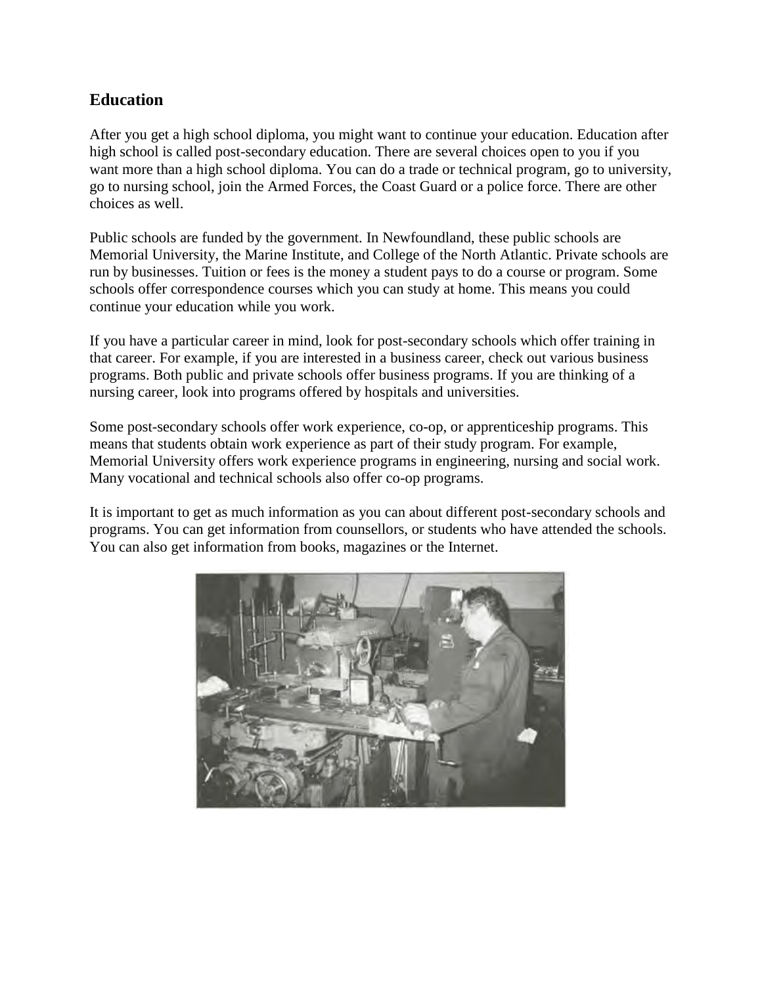## **Education**

After you get a high school diploma, you might want to continue your education. Education after high school is called post-secondary education. There are several choices open to you if you want more than a high school diploma. You can do a trade or technical program, go to university, go to nursing school, join the Armed Forces, the Coast Guard or a police force. There are other choices as well.

Public schools are funded by the government. In Newfoundland, these public schools are Memorial University, the Marine Institute, and College of the North Atlantic. Private schools are run by businesses. Tuition or fees is the money a student pays to do a course or program. Some schools offer correspondence courses which you can study at home. This means you could continue your education while you work.

If you have a particular career in mind, look for post-secondary schools which offer training in that career. For example, if you are interested in a business career, check out various business programs. Both public and private schools offer business programs. If you are thinking of a nursing career, look into programs offered by hospitals and universities.

Some post-secondary schools offer work experience, co-op, or apprenticeship programs. This means that students obtain work experience as part of their study program. For example, Memorial University offers work experience programs in engineering, nursing and social work. Many vocational and technical schools also offer co-op programs.

It is important to get as much information as you can about different post-secondary schools and programs. You can get information from counsellors, or students who have attended the schools. You can also get information from books, magazines or the Internet.

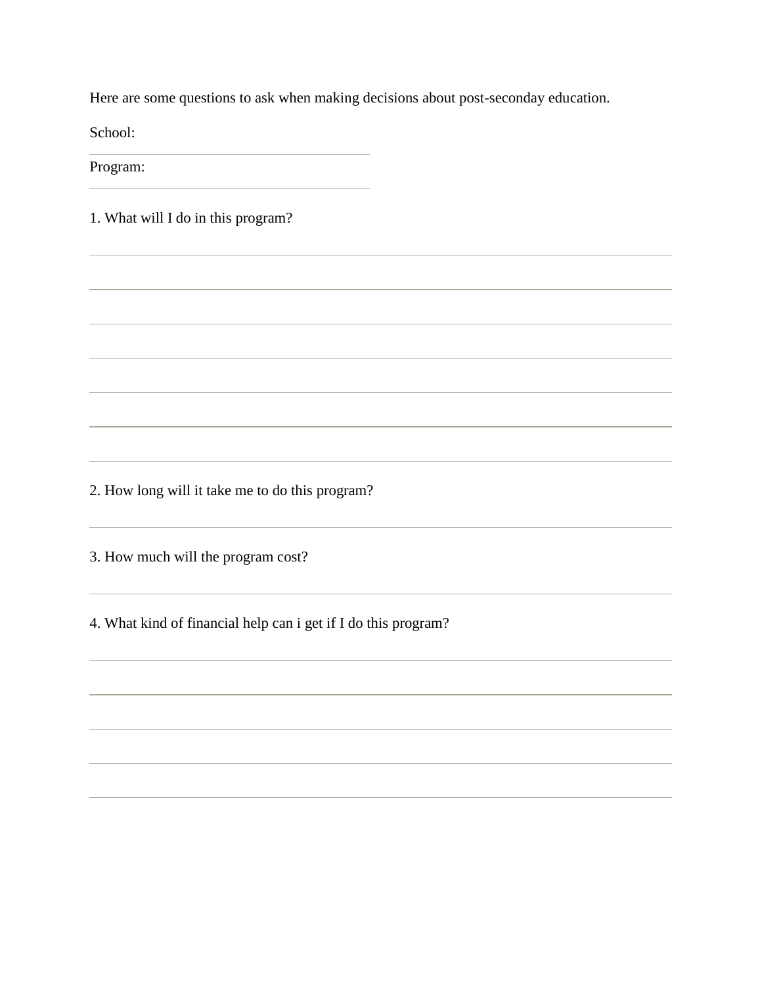Here are some questions to ask when making decisions about post-seconday education.

School:

Program:

1. What will I do in this program?

2. How long will it take me to do this program?

3. How much will the program cost?

4. What kind of financial help can i get if I do this program?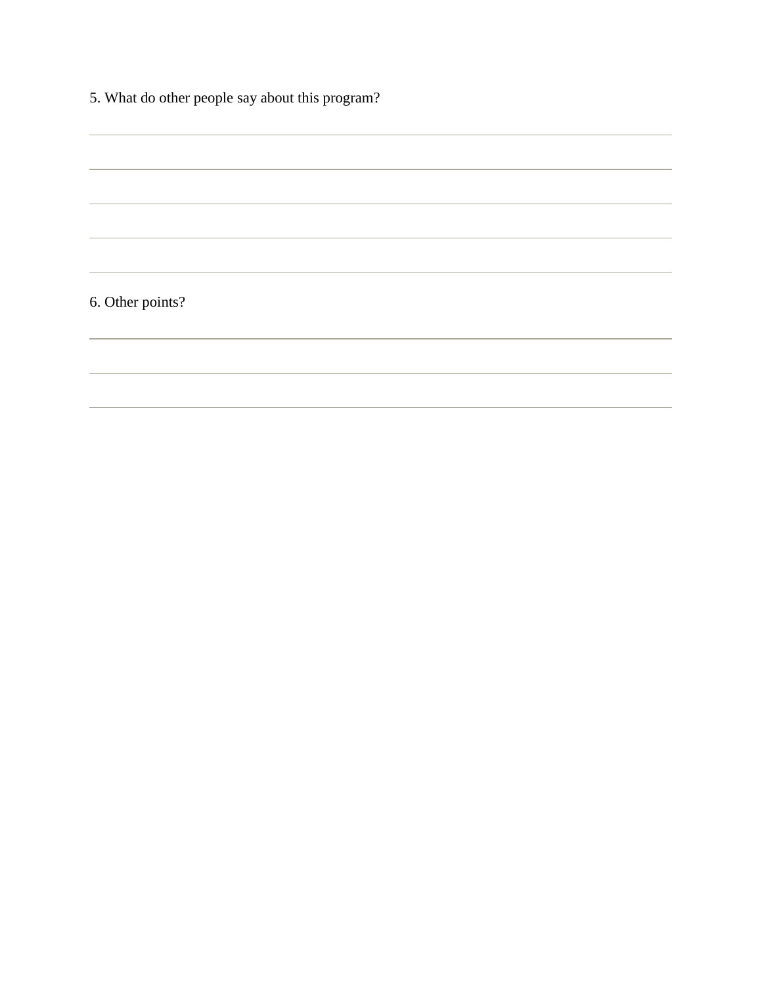5. What do other people say about this program?

6. Other points?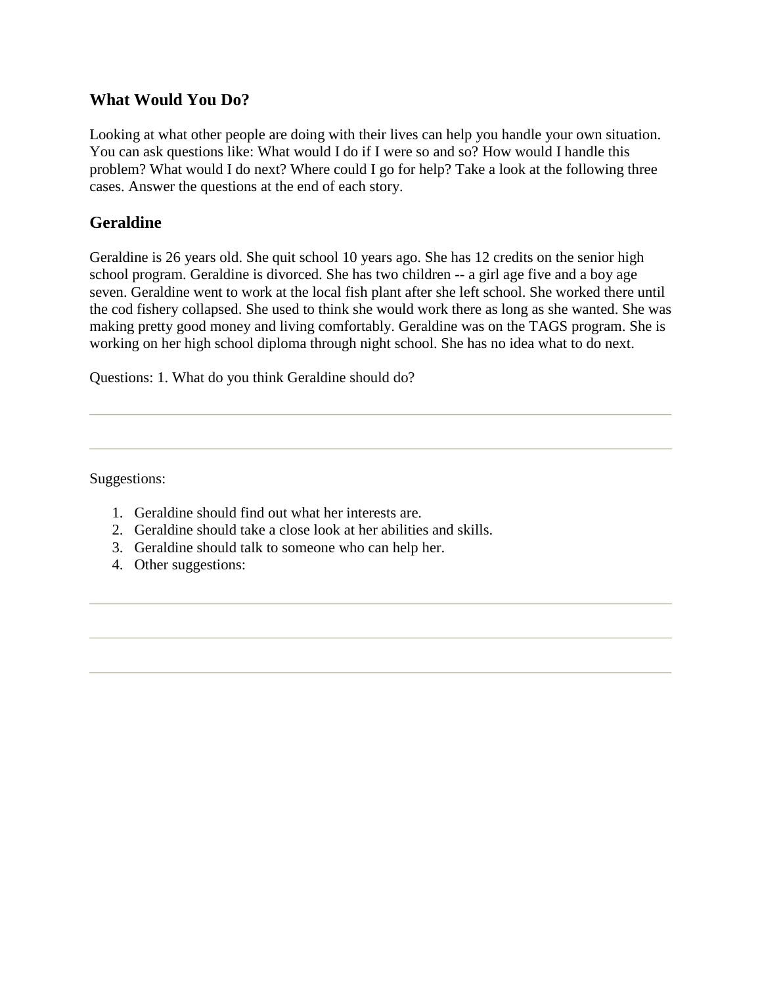#### **What Would You Do?**

Looking at what other people are doing with their lives can help you handle your own situation. You can ask questions like: What would I do if I were so and so? How would I handle this problem? What would I do next? Where could I go for help? Take a look at the following three cases. Answer the questions at the end of each story.

#### **Geraldine**

Geraldine is 26 years old. She quit school 10 years ago. She has 12 credits on the senior high school program. Geraldine is divorced. She has two children -- a girl age five and a boy age seven. Geraldine went to work at the local fish plant after she left school. She worked there until the cod fishery collapsed. She used to think she would work there as long as she wanted. She was making pretty good money and living comfortably. Geraldine was on the TAGS program. She is working on her high school diploma through night school. She has no idea what to do next.

Questions: 1. What do you think Geraldine should do?

Suggestions:

- 1. Geraldine should find out what her interests are.
- 2. Geraldine should take a close look at her abilities and skills.
- 3. Geraldine should talk to someone who can help her.
- 4. Other suggestions: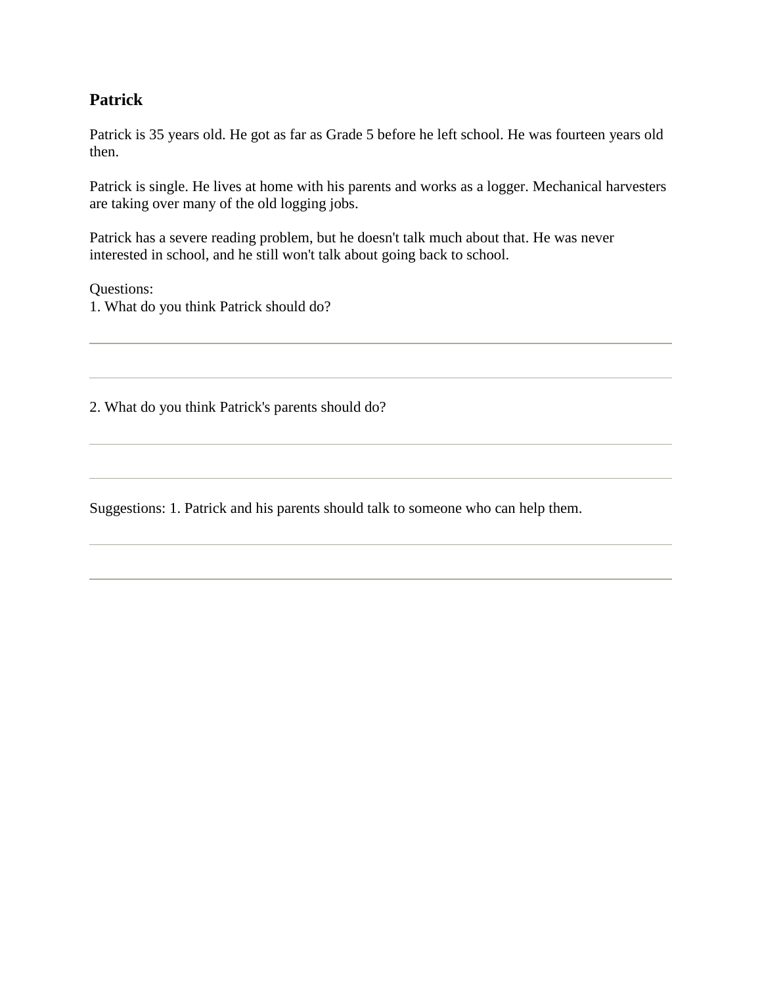## **Patrick**

Patrick is 35 years old. He got as far as Grade 5 before he left school. He was fourteen years old then.

Patrick is single. He lives at home with his parents and works as a logger. Mechanical harvesters are taking over many of the old logging jobs.

Patrick has a severe reading problem, but he doesn't talk much about that. He was never interested in school, and he still won't talk about going back to school.

Questions:

1. What do you think Patrick should do?

2. What do you think Patrick's parents should do?

Suggestions: 1. Patrick and his parents should talk to someone who can help them.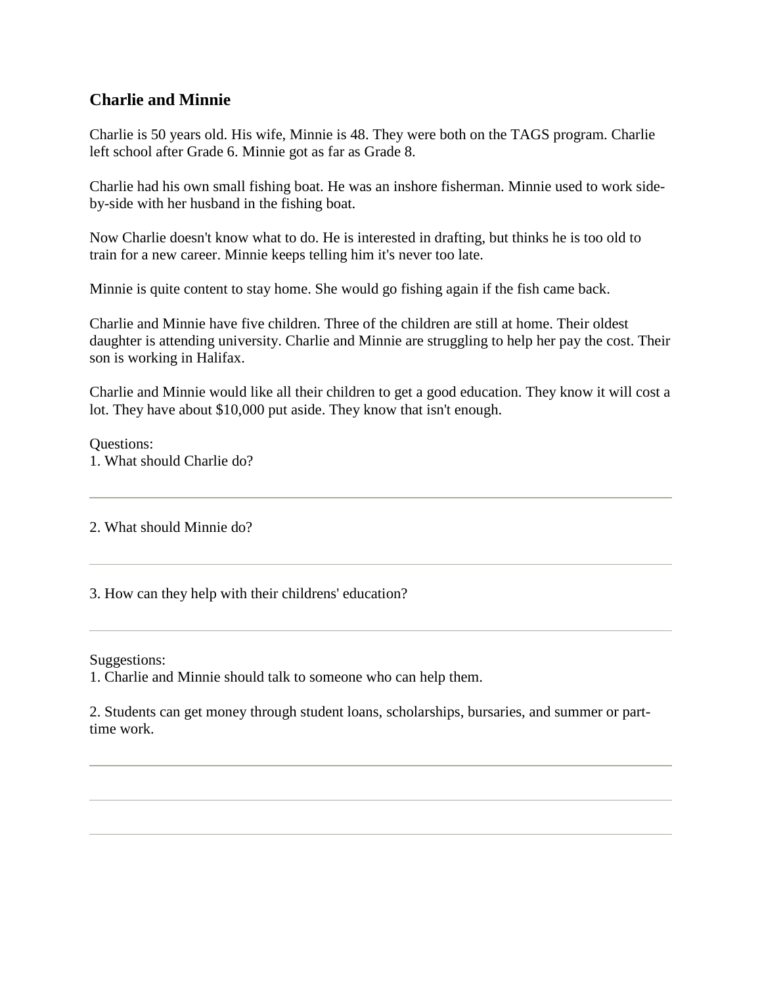## **Charlie and Minnie**

Charlie is 50 years old. His wife, Minnie is 48. They were both on the TAGS program. Charlie left school after Grade 6. Minnie got as far as Grade 8.

Charlie had his own small fishing boat. He was an inshore fisherman. Minnie used to work sideby-side with her husband in the fishing boat.

Now Charlie doesn't know what to do. He is interested in drafting, but thinks he is too old to train for a new career. Minnie keeps telling him it's never too late.

Minnie is quite content to stay home. She would go fishing again if the fish came back.

Charlie and Minnie have five children. Three of the children are still at home. Their oldest daughter is attending university. Charlie and Minnie are struggling to help her pay the cost. Their son is working in Halifax.

Charlie and Minnie would like all their children to get a good education. They know it will cost a lot. They have about \$10,000 put aside. They know that isn't enough.

Questions: 1. What should Charlie do?

2. What should Minnie do?

3. How can they help with their childrens' education?

Suggestions:

1. Charlie and Minnie should talk to someone who can help them.

2. Students can get money through student loans, scholarships, bursaries, and summer or parttime work.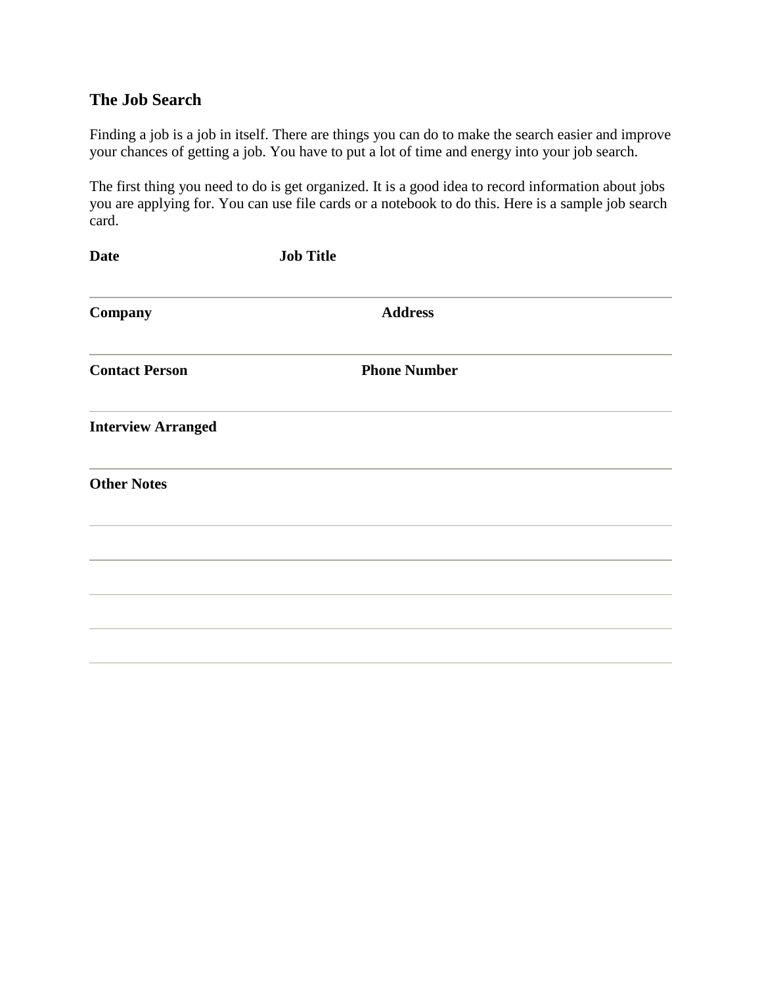## **The Job Search**

Finding a job is a job in itself. There are things you can do to make the search easier and improve your chances of getting a job. You have to put a lot of time and energy into your job search.

The first thing you need to do is get organized. It is a good idea to record information about jobs you are applying for. You can use file cards or a notebook to do this. Here is a sample job search card.

| <b>Date</b>               | <b>Job Title</b> |                     |  |  |
|---------------------------|------------------|---------------------|--|--|
| Company                   |                  | <b>Address</b>      |  |  |
| <b>Contact Person</b>     |                  | <b>Phone Number</b> |  |  |
| <b>Interview Arranged</b> |                  |                     |  |  |
| <b>Other Notes</b>        |                  |                     |  |  |
|                           |                  |                     |  |  |
|                           |                  |                     |  |  |
|                           |                  |                     |  |  |
|                           |                  |                     |  |  |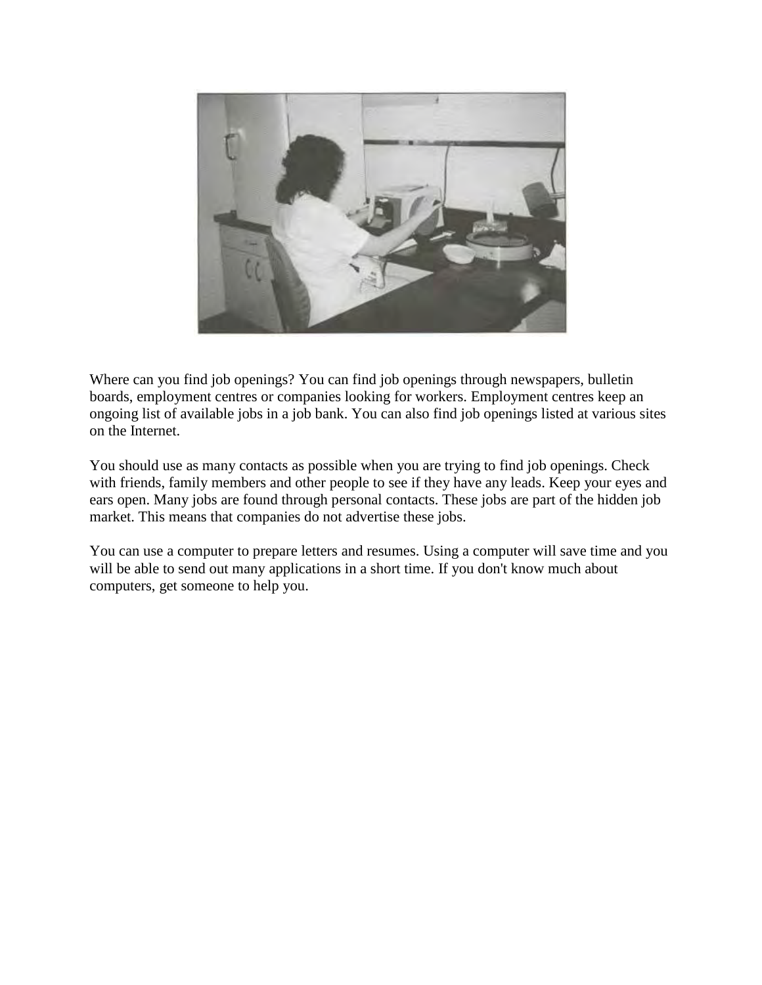

Where can you find job openings? You can find job openings through newspapers, bulletin boards, employment centres or companies looking for workers. Employment centres keep an ongoing list of available jobs in a job bank. You can also find job openings listed at various sites on the Internet.

You should use as many contacts as possible when you are trying to find job openings. Check with friends, family members and other people to see if they have any leads. Keep your eyes and ears open. Many jobs are found through personal contacts. These jobs are part of the hidden job market. This means that companies do not advertise these jobs.

You can use a computer to prepare letters and resumes. Using a computer will save time and you will be able to send out many applications in a short time. If you don't know much about computers, get someone to help you.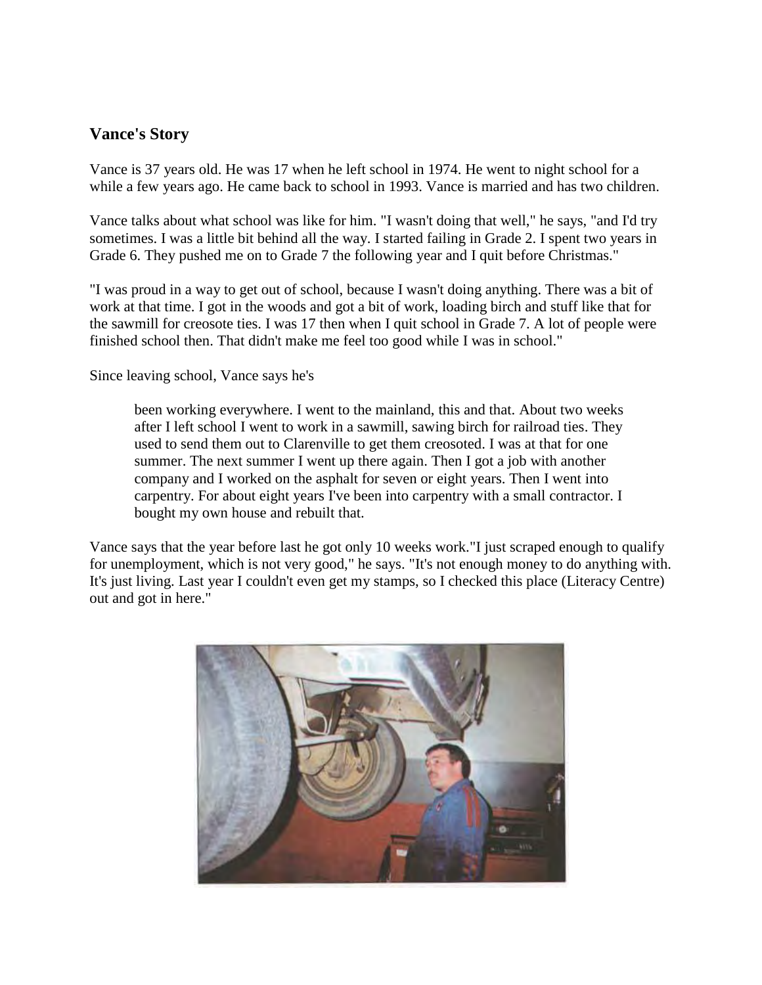#### **Vance's Story**

Vance is 37 years old. He was 17 when he left school in 1974. He went to night school for a while a few years ago. He came back to school in 1993. Vance is married and has two children.

Vance talks about what school was like for him. "I wasn't doing that well," he says, "and I'd try sometimes. I was a little bit behind all the way. I started failing in Grade 2. I spent two years in Grade 6. They pushed me on to Grade 7 the following year and I quit before Christmas."

"I was proud in a way to get out of school, because I wasn't doing anything. There was a bit of work at that time. I got in the woods and got a bit of work, loading birch and stuff like that for the sawmill for creosote ties. I was 17 then when I quit school in Grade 7. A lot of people were finished school then. That didn't make me feel too good while I was in school."

Since leaving school, Vance says he's

been working everywhere. I went to the mainland, this and that. About two weeks after I left school I went to work in a sawmill, sawing birch for railroad ties. They used to send them out to Clarenville to get them creosoted. I was at that for one summer. The next summer I went up there again. Then I got a job with another company and I worked on the asphalt for seven or eight years. Then I went into carpentry. For about eight years I've been into carpentry with a small contractor. I bought my own house and rebuilt that.

Vance says that the year before last he got only 10 weeks work."I just scraped enough to qualify for unemployment, which is not very good," he says. "It's not enough money to do anything with. It's just living. Last year I couldn't even get my stamps, so I checked this place (Literacy Centre) out and got in here."

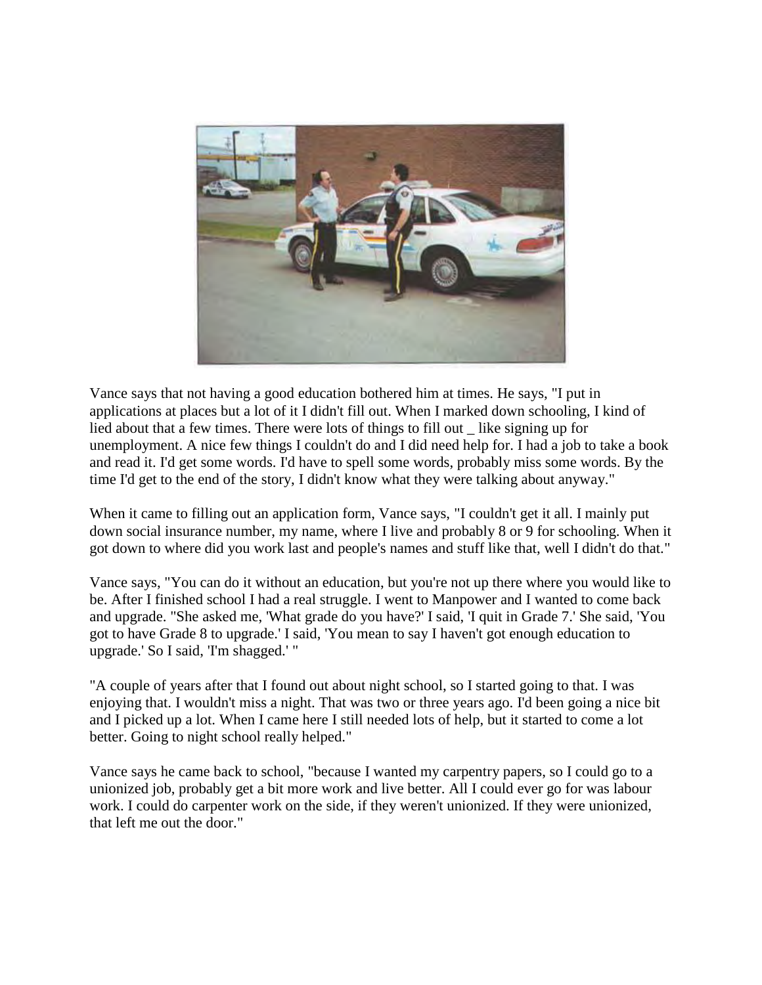

Vance says that not having a good education bothered him at times. He says, "I put in applications at places but a lot of it I didn't fill out. When I marked down schooling, I kind of lied about that a few times. There were lots of things to fill out \_ like signing up for unemployment. A nice few things I couldn't do and I did need help for. I had a job to take a book and read it. I'd get some words. I'd have to spell some words, probably miss some words. By the time I'd get to the end of the story, I didn't know what they were talking about anyway."

When it came to filling out an application form, Vance says, "I couldn't get it all. I mainly put down social insurance number, my name, where I live and probably 8 or 9 for schooling. When it got down to where did you work last and people's names and stuff like that, well I didn't do that."

Vance says, "You can do it without an education, but you're not up there where you would like to be. After I finished school I had a real struggle. I went to Manpower and I wanted to come back and upgrade. "She asked me, 'What grade do you have?' I said, 'I quit in Grade 7.' She said, 'You got to have Grade 8 to upgrade.' I said, 'You mean to say I haven't got enough education to upgrade.' So I said, 'I'm shagged.' "

"A couple of years after that I found out about night school, so I started going to that. I was enjoying that. I wouldn't miss a night. That was two or three years ago. I'd been going a nice bit and I picked up a lot. When I came here I still needed lots of help, but it started to come a lot better. Going to night school really helped."

Vance says he came back to school, "because I wanted my carpentry papers, so I could go to a unionized job, probably get a bit more work and live better. All I could ever go for was labour work. I could do carpenter work on the side, if they weren't unionized. If they were unionized, that left me out the door."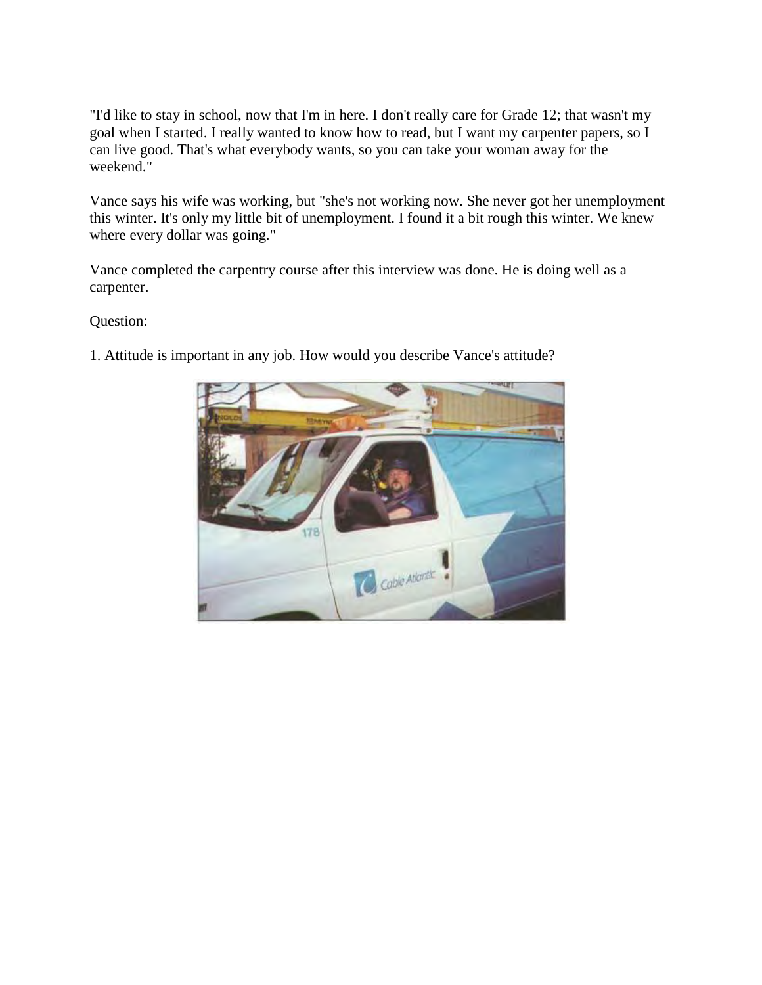"I'd like to stay in school, now that I'm in here. I don't really care for Grade 12; that wasn't my goal when I started. I really wanted to know how to read, but I want my carpenter papers, so I can live good. That's what everybody wants, so you can take your woman away for the weekend."

Vance says his wife was working, but "she's not working now. She never got her unemployment this winter. It's only my little bit of unemployment. I found it a bit rough this winter. We knew where every dollar was going."

Vance completed the carpentry course after this interview was done. He is doing well as a carpenter.

Question:



1. Attitude is important in any job. How would you describe Vance's attitude?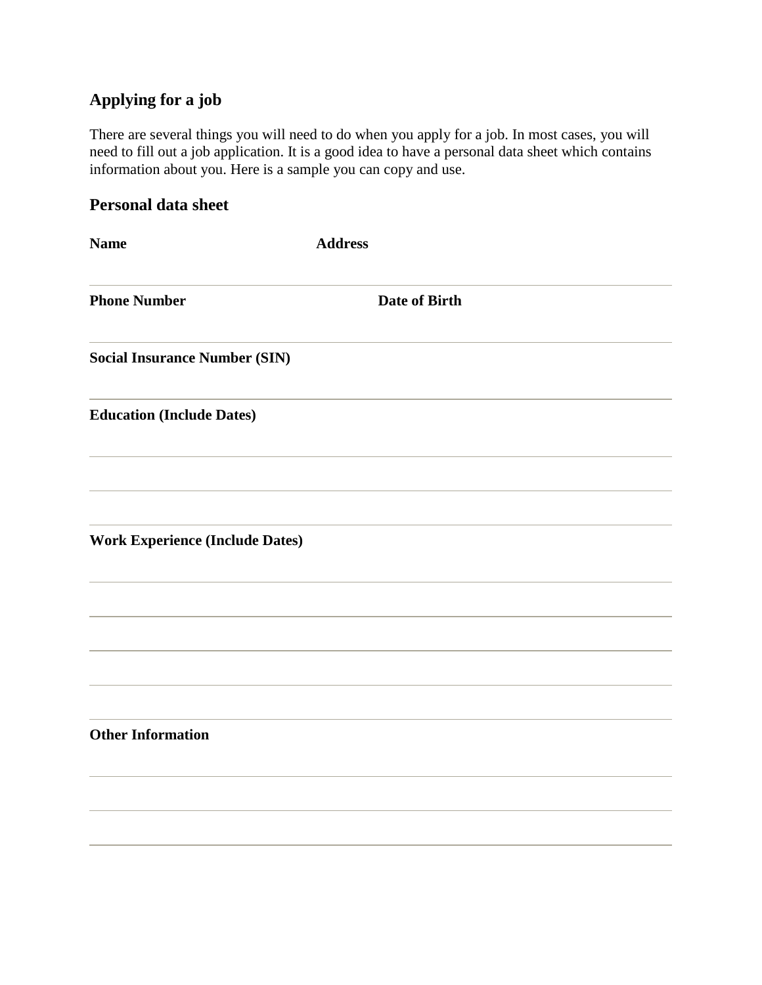# **Applying for a job**

There are several things you will need to do when you apply for a job. In most cases, you will need to fill out a job application. It is a good idea to have a personal data sheet which contains information about you. Here is a sample you can copy and use.

| Personal data sheet                    |                      |  |  |
|----------------------------------------|----------------------|--|--|
| <b>Name</b>                            | <b>Address</b>       |  |  |
| <b>Phone Number</b>                    | <b>Date of Birth</b> |  |  |
| <b>Social Insurance Number (SIN)</b>   |                      |  |  |
| <b>Education (Include Dates)</b>       |                      |  |  |
|                                        |                      |  |  |
| <b>Work Experience (Include Dates)</b> |                      |  |  |
|                                        |                      |  |  |
|                                        |                      |  |  |
| <b>Other Information</b>               |                      |  |  |
|                                        |                      |  |  |
|                                        |                      |  |  |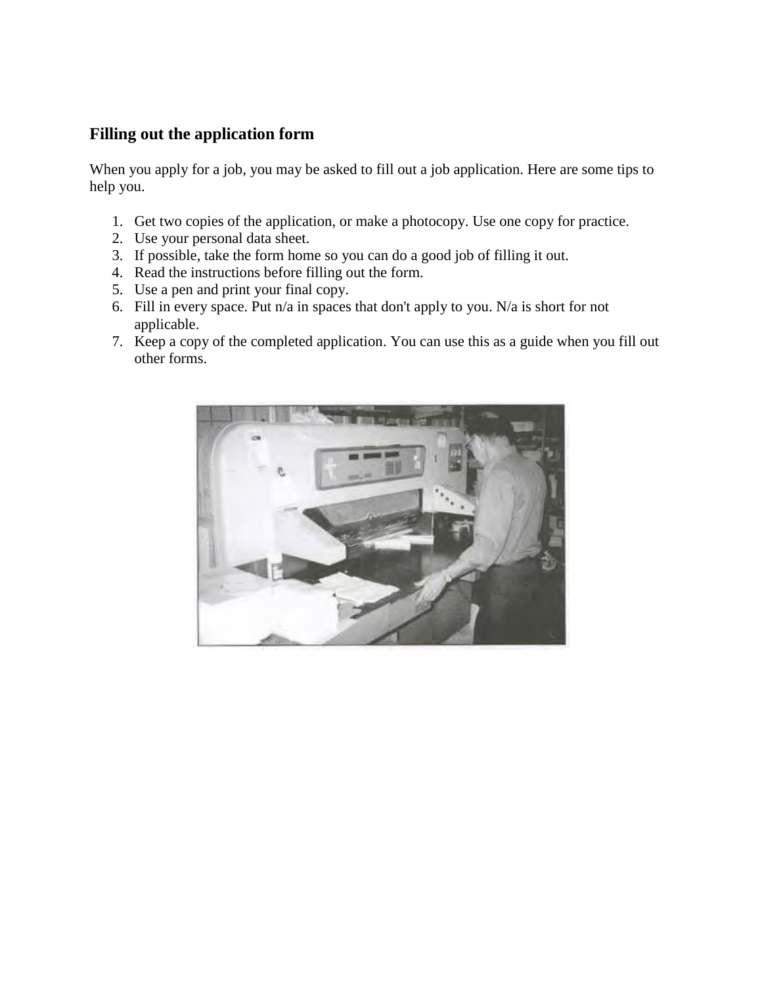## **Filling out the application form**

When you apply for a job, you may be asked to fill out a job application. Here are some tips to help you.

- 1. Get two copies of the application, or make a photocopy. Use one copy for practice.
- 2. Use your personal data sheet.
- 3. If possible, take the form home so you can do a good job of filling it out.
- 4. Read the instructions before filling out the form.
- 5. Use a pen and print your final copy.
- 6. Fill in every space. Put n/a in spaces that don't apply to you. N/a is short for not applicable.
- 7. Keep a copy of the completed application. You can use this as a guide when you fill out other forms.

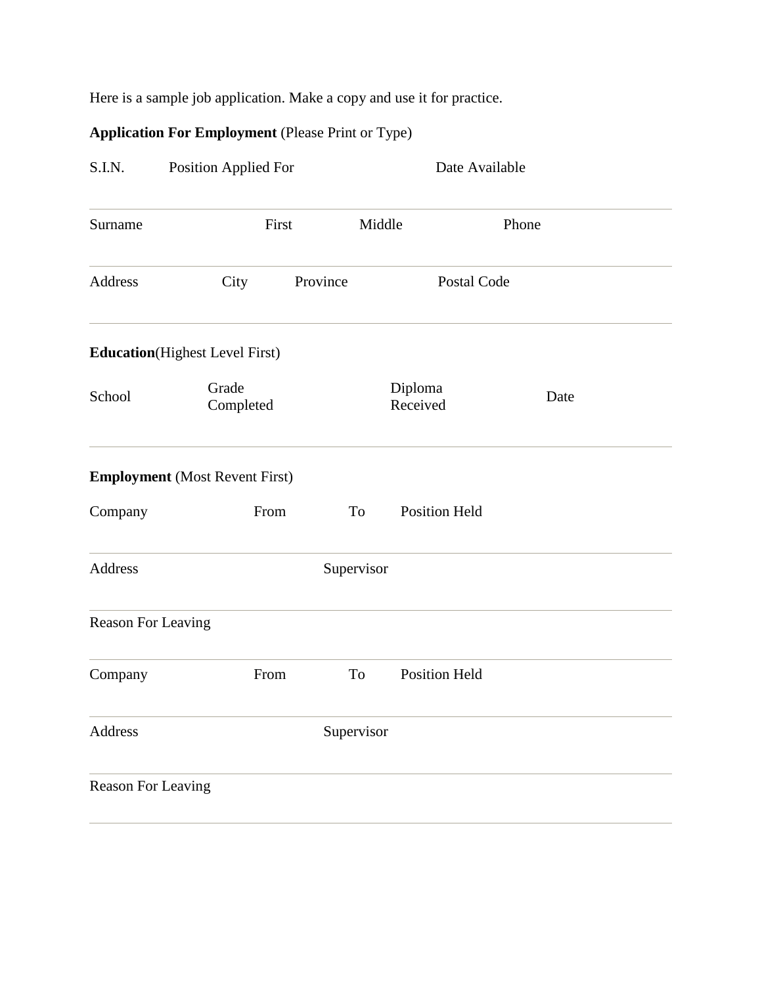Here is a sample job application. Make a copy and use it for practice.

# **Application For Employment** (Please Print or Type)

| S.I.N.             | <b>Position Applied For</b><br>Date Available |            |                      |       |  |  |  |
|--------------------|-----------------------------------------------|------------|----------------------|-------|--|--|--|
| Surname            | First                                         | Middle     |                      | Phone |  |  |  |
| Address            | City                                          | Province   | Postal Code          |       |  |  |  |
|                    | <b>Education</b> (Highest Level First)        |            |                      |       |  |  |  |
| School             | Grade<br>Completed                            |            | Diploma<br>Received  | Date  |  |  |  |
|                    | <b>Employment</b> (Most Revent First)         |            |                      |       |  |  |  |
| Company            | From                                          | To         | <b>Position Held</b> |       |  |  |  |
| Address            |                                               | Supervisor |                      |       |  |  |  |
| Reason For Leaving |                                               |            |                      |       |  |  |  |
| Company            | From                                          | To         | <b>Position Held</b> |       |  |  |  |
| Address            |                                               | Supervisor |                      |       |  |  |  |
| Reason For Leaving |                                               |            |                      |       |  |  |  |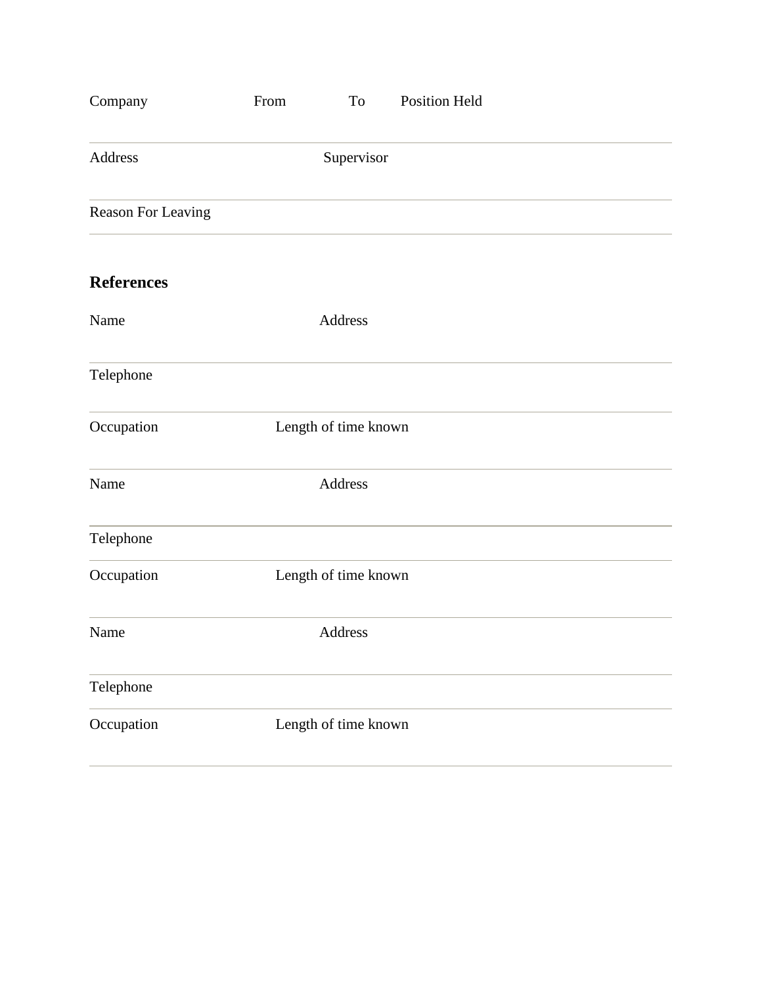| Company            | From       | To                   | <b>Position Held</b> |  |
|--------------------|------------|----------------------|----------------------|--|
| Address            | Supervisor |                      |                      |  |
| Reason For Leaving |            |                      |                      |  |
| <b>References</b>  |            |                      |                      |  |
| Name               |            | Address              |                      |  |
| Telephone          |            |                      |                      |  |
| Occupation         |            | Length of time known |                      |  |
| Name               |            | Address              |                      |  |
| Telephone          |            |                      |                      |  |
| Occupation         |            | Length of time known |                      |  |
| Name               |            | Address              |                      |  |
| Telephone          |            |                      |                      |  |
| Occupation         |            | Length of time known |                      |  |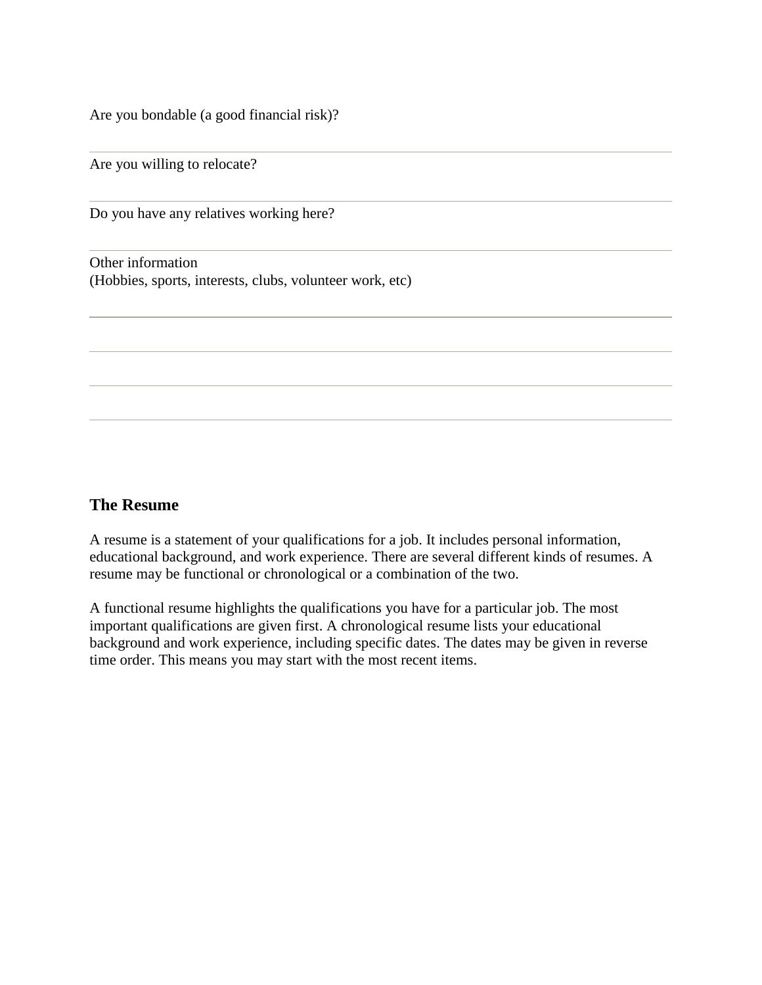Are you bondable (a good financial risk)?

Are you willing to relocate?

Do you have any relatives working here?

Other information (Hobbies, sports, interests, clubs, volunteer work, etc)

#### **The Resume**

A resume is a statement of your qualifications for a job. It includes personal information, educational background, and work experience. There are several different kinds of resumes. A resume may be functional or chronological or a combination of the two.

A functional resume highlights the qualifications you have for a particular job. The most important qualifications are given first. A chronological resume lists your educational background and work experience, including specific dates. The dates may be given in reverse time order. This means you may start with the most recent items.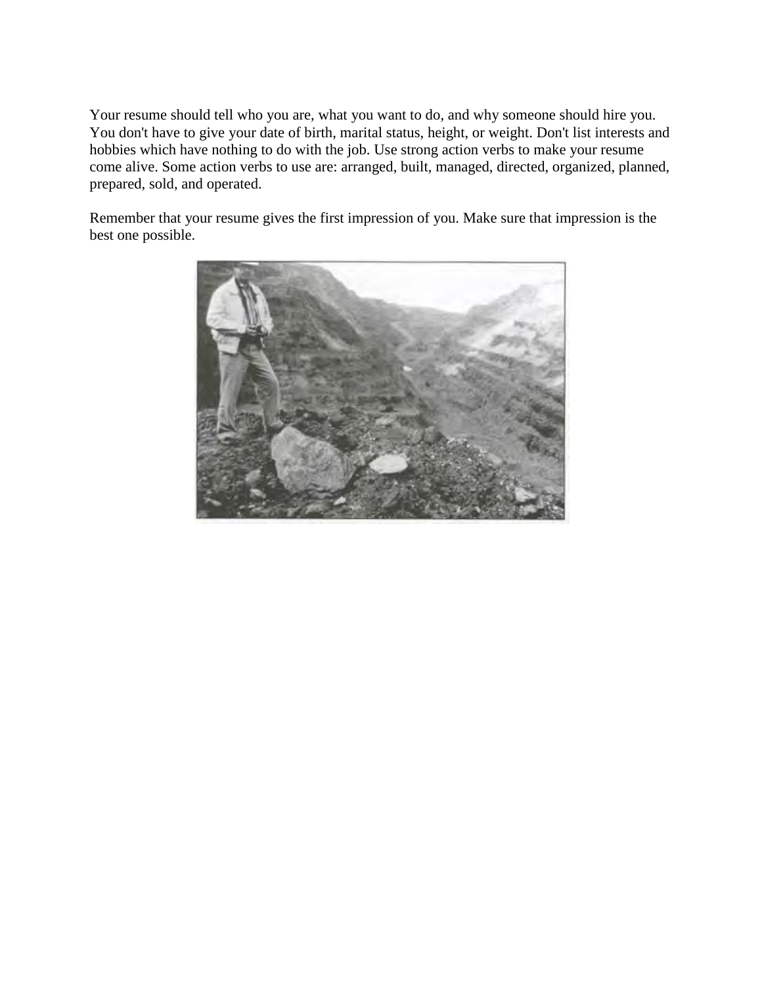Your resume should tell who you are, what you want to do, and why someone should hire you. You don't have to give your date of birth, marital status, height, or weight. Don't list interests and hobbies which have nothing to do with the job. Use strong action verbs to make your resume come alive. Some action verbs to use are: arranged, built, managed, directed, organized, planned, prepared, sold, and operated.

Remember that your resume gives the first impression of you. Make sure that impression is the best one possible.

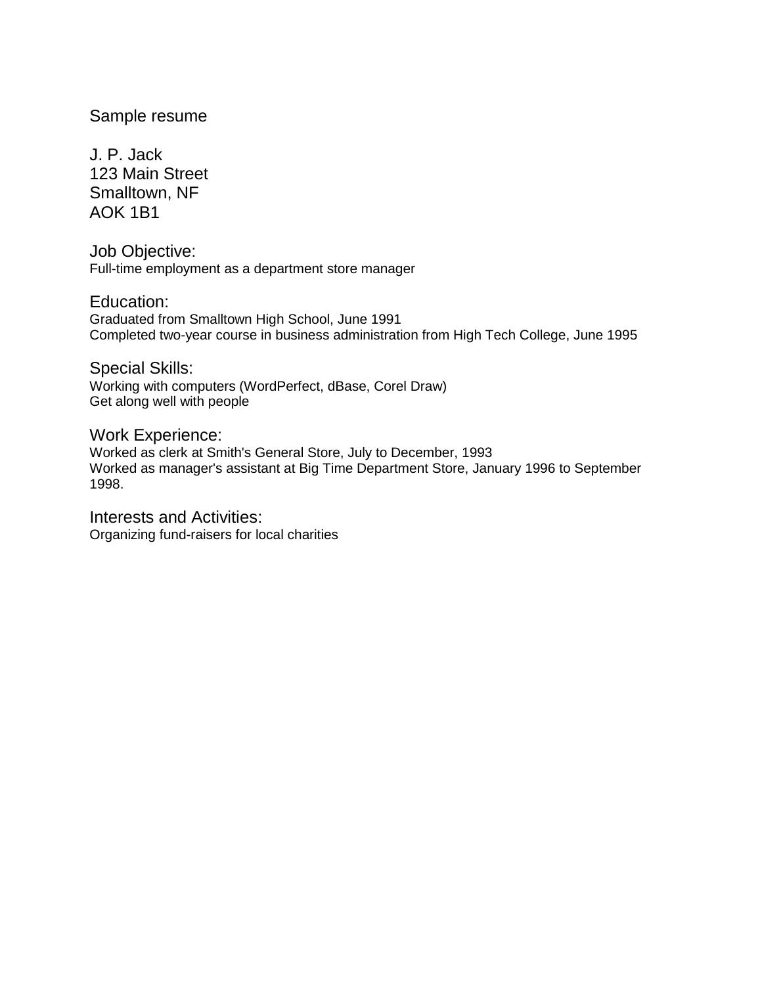#### Sample resume

J. P. Jack 123 Main Street Smalltown, NF AOK 1B1

Job Objective: Full-time employment as a department store manager

Education: Graduated from Smalltown High School, June 1991 Completed two-year course in business administration from High Tech College, June 1995

Special Skills: Working with computers (WordPerfect, dBase, Corel Draw) Get along well with people

Work Experience: Worked as clerk at Smith's General Store, July to December, 1993 Worked as manager's assistant at Big Time Department Store, January 1996 to September 1998.

Interests and Activities: Organizing fund-raisers for local charities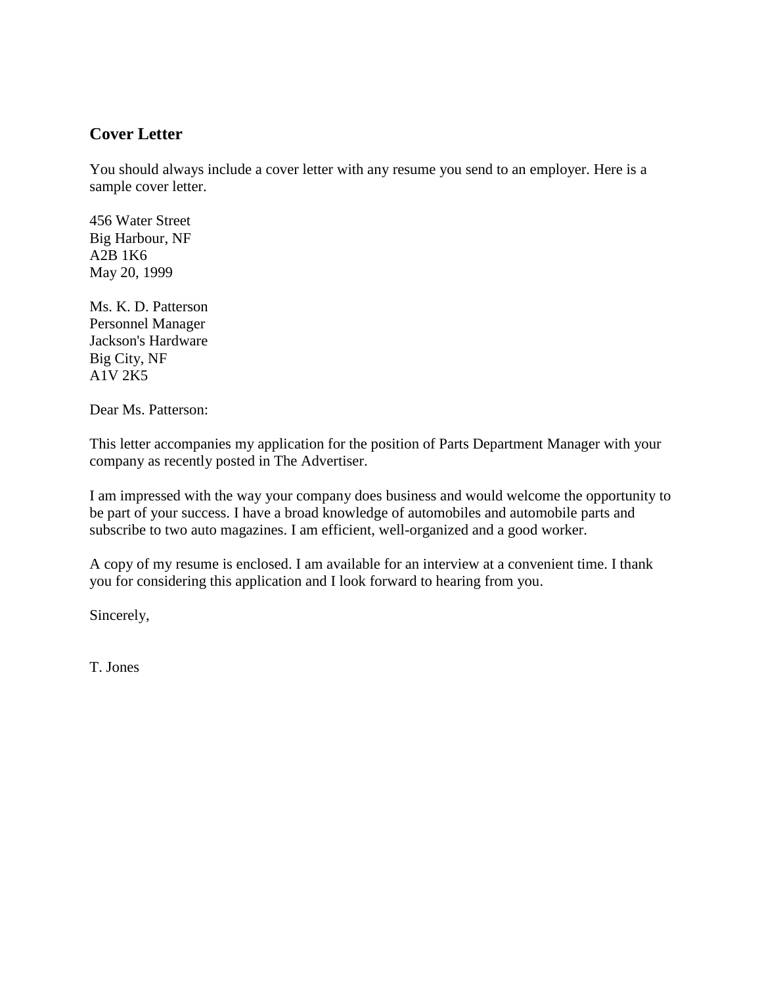### **Cover Letter**

You should always include a cover letter with any resume you send to an employer. Here is a sample cover letter.

456 Water Street Big Harbour, NF A2B 1K6 May 20, 1999

Ms. K. D. Patterson Personnel Manager Jackson's Hardware Big City, NF A1V 2K5

Dear Ms. Patterson:

This letter accompanies my application for the position of Parts Department Manager with your company as recently posted in The Advertiser.

I am impressed with the way your company does business and would welcome the opportunity to be part of your success. I have a broad knowledge of automobiles and automobile parts and subscribe to two auto magazines. I am efficient, well-organized and a good worker.

A copy of my resume is enclosed. I am available for an interview at a convenient time. I thank you for considering this application and I look forward to hearing from you.

Sincerely,

T. Jones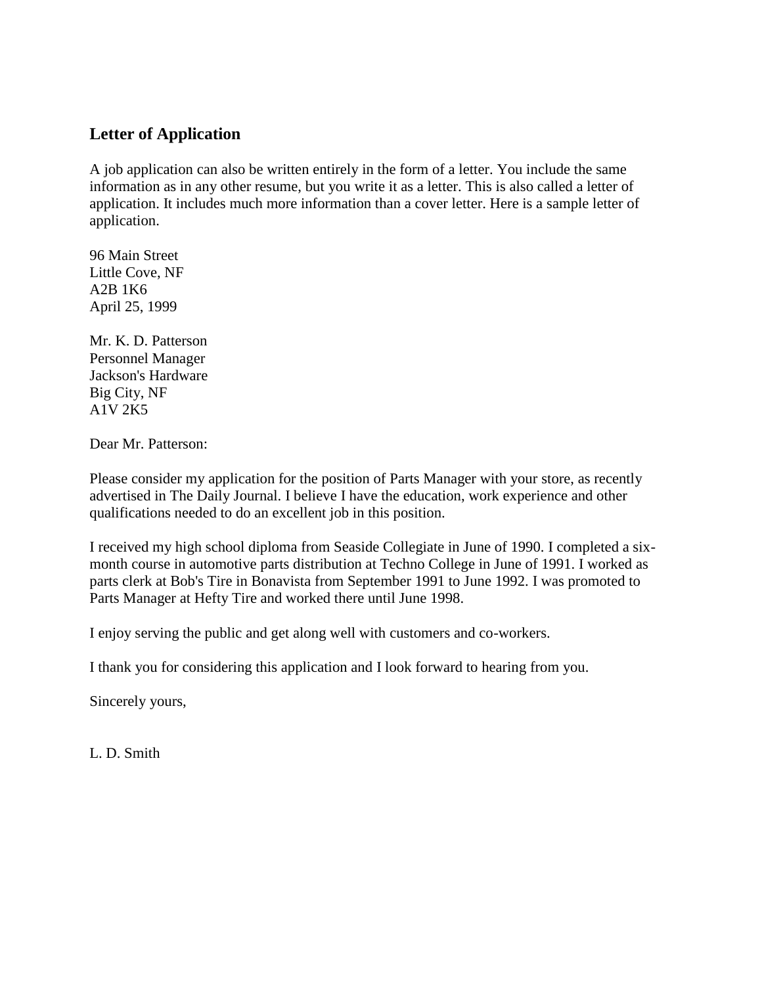#### **Letter of Application**

A job application can also be written entirely in the form of a letter. You include the same information as in any other resume, but you write it as a letter. This is also called a letter of application. It includes much more information than a cover letter. Here is a sample letter of application.

96 Main Street Little Cove, NF A2B 1K6 April 25, 1999

Mr. K. D. Patterson Personnel Manager Jackson's Hardware Big City, NF A1V 2K5

Dear Mr. Patterson:

Please consider my application for the position of Parts Manager with your store, as recently advertised in The Daily Journal. I believe I have the education, work experience and other qualifications needed to do an excellent job in this position.

I received my high school diploma from Seaside Collegiate in June of 1990. I completed a sixmonth course in automotive parts distribution at Techno College in June of 1991. I worked as parts clerk at Bob's Tire in Bonavista from September 1991 to June 1992. I was promoted to Parts Manager at Hefty Tire and worked there until June 1998.

I enjoy serving the public and get along well with customers and co-workers.

I thank you for considering this application and I look forward to hearing from you.

Sincerely yours,

L. D. Smith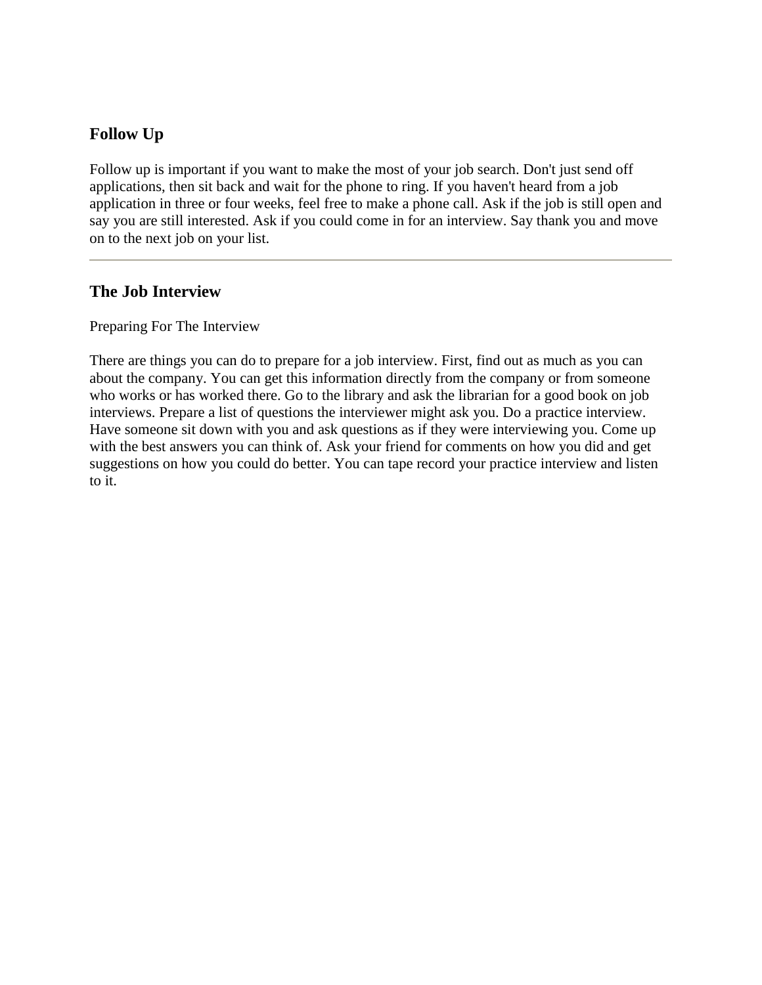### **Follow Up**

Follow up is important if you want to make the most of your job search. Don't just send off applications, then sit back and wait for the phone to ring. If you haven't heard from a job application in three or four weeks, feel free to make a phone call. Ask if the job is still open and say you are still interested. Ask if you could come in for an interview. Say thank you and move on to the next job on your list.

#### **The Job Interview**

Preparing For The Interview

There are things you can do to prepare for a job interview. First, find out as much as you can about the company. You can get this information directly from the company or from someone who works or has worked there. Go to the library and ask the librarian for a good book on job interviews. Prepare a list of questions the interviewer might ask you. Do a practice interview. Have someone sit down with you and ask questions as if they were interviewing you. Come up with the best answers you can think of. Ask your friend for comments on how you did and get suggestions on how you could do better. You can tape record your practice interview and listen to it.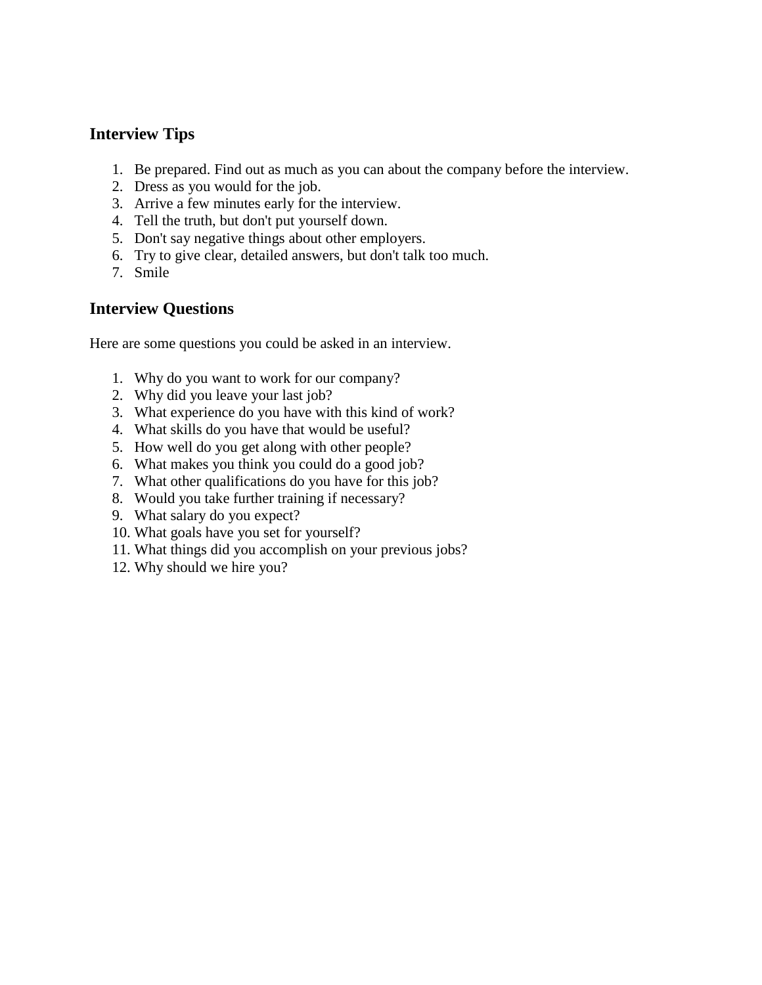### **Interview Tips**

- 1. Be prepared. Find out as much as you can about the company before the interview.
- 2. Dress as you would for the job.
- 3. Arrive a few minutes early for the interview.
- 4. Tell the truth, but don't put yourself down.
- 5. Don't say negative things about other employers.
- 6. Try to give clear, detailed answers, but don't talk too much.
- 7. Smile

#### **Interview Questions**

Here are some questions you could be asked in an interview.

- 1. Why do you want to work for our company?
- 2. Why did you leave your last job?
- 3. What experience do you have with this kind of work?
- 4. What skills do you have that would be useful?
- 5. How well do you get along with other people?
- 6. What makes you think you could do a good job?
- 7. What other qualifications do you have for this job?
- 8. Would you take further training if necessary?
- 9. What salary do you expect?
- 10. What goals have you set for yourself?
- 11. What things did you accomplish on your previous jobs?
- 12. Why should we hire you?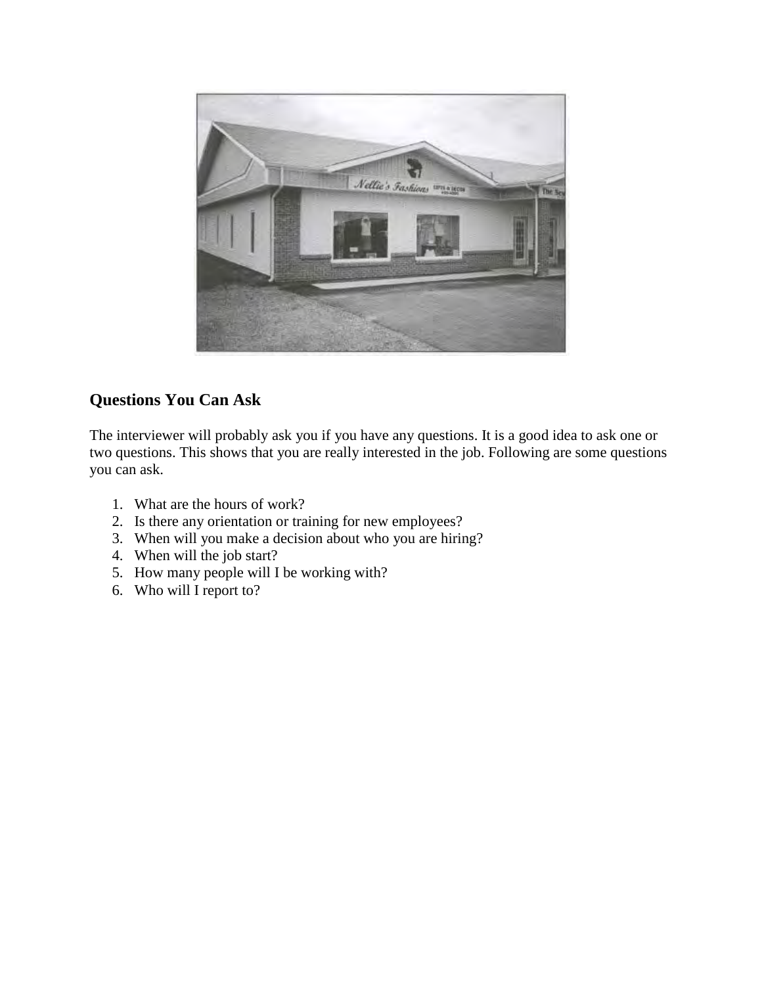

## **Questions You Can Ask**

The interviewer will probably ask you if you have any questions. It is a good idea to ask one or two questions. This shows that you are really interested in the job. Following are some questions you can ask.

- 1. What are the hours of work?
- 2. Is there any orientation or training for new employees?
- 3. When will you make a decision about who you are hiring?
- 4. When will the job start?
- 5. How many people will I be working with?
- 6. Who will I report to?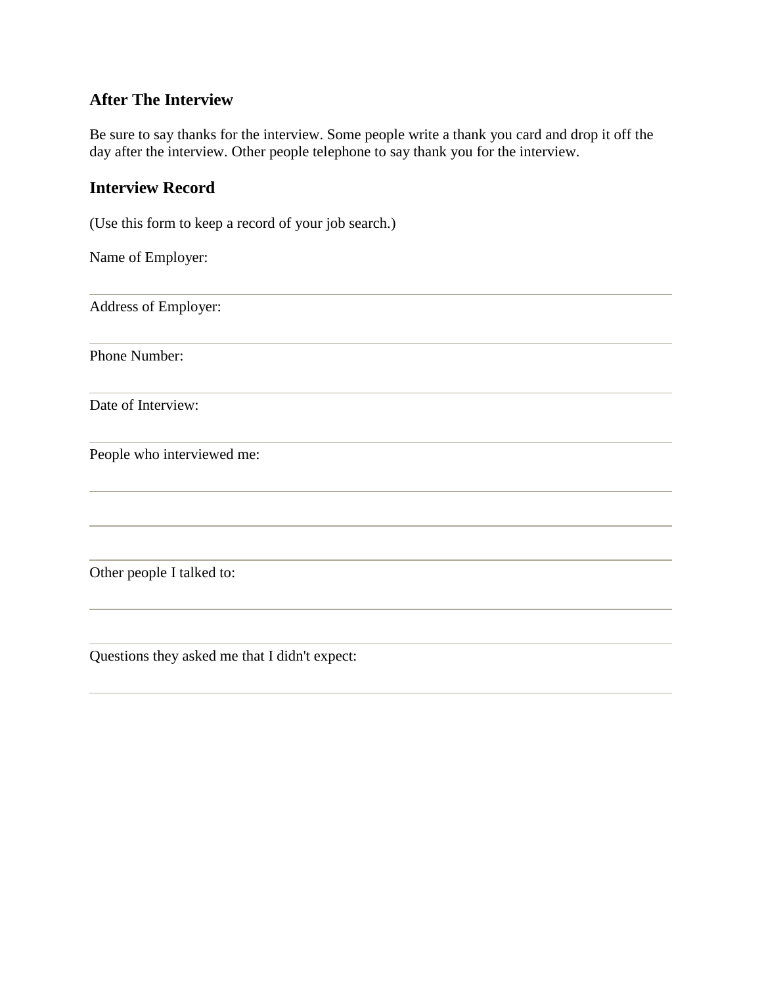## **After The Interview**

Be sure to say thanks for the interview. Some people write a thank you card and drop it off the day after the interview. Other people telephone to say thank you for the interview.

#### **Interview Record**

(Use this form to keep a record of your job search.)

Name of Employer:

Address of Employer:

Phone Number:

Date of Interview:

People who interviewed me:

Other people I talked to:

Questions they asked me that I didn't expect: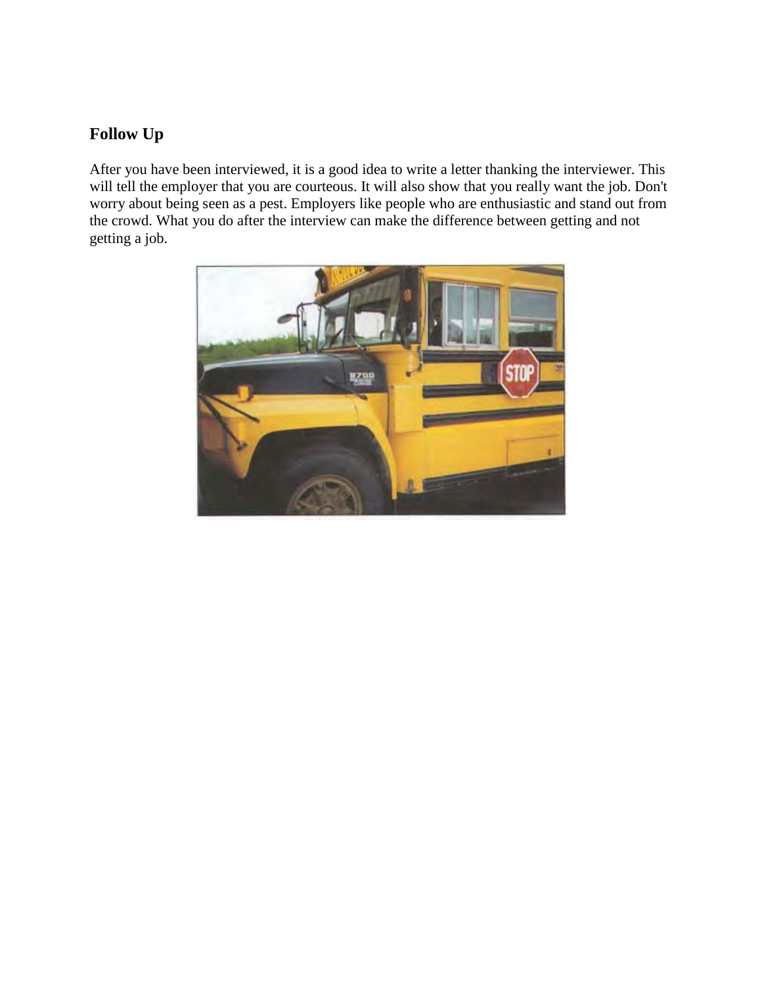## **Follow Up**

After you have been interviewed, it is a good idea to write a letter thanking the interviewer. This will tell the employer that you are courteous. It will also show that you really want the job. Don't worry about being seen as a pest. Employers like people who are enthusiastic and stand out from the crowd. What you do after the interview can make the difference between getting and not getting a job.

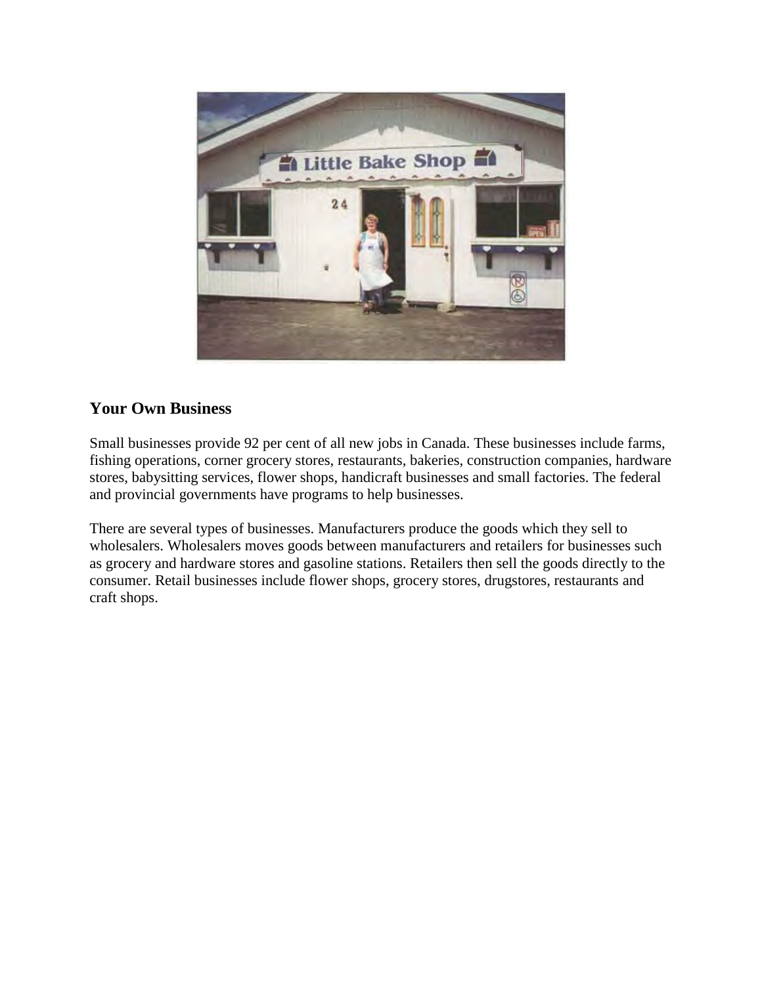

## **Your Own Business**

Small businesses provide 92 per cent of all new jobs in Canada. These businesses include farms, fishing operations, corner grocery stores, restaurants, bakeries, construction companies, hardware stores, babysitting services, flower shops, handicraft businesses and small factories. The federal and provincial governments have programs to help businesses.

There are several types of businesses. Manufacturers produce the goods which they sell to wholesalers. Wholesalers moves goods between manufacturers and retailers for businesses such as grocery and hardware stores and gasoline stations. Retailers then sell the goods directly to the consumer. Retail businesses include flower shops, grocery stores, drugstores, restaurants and craft shops.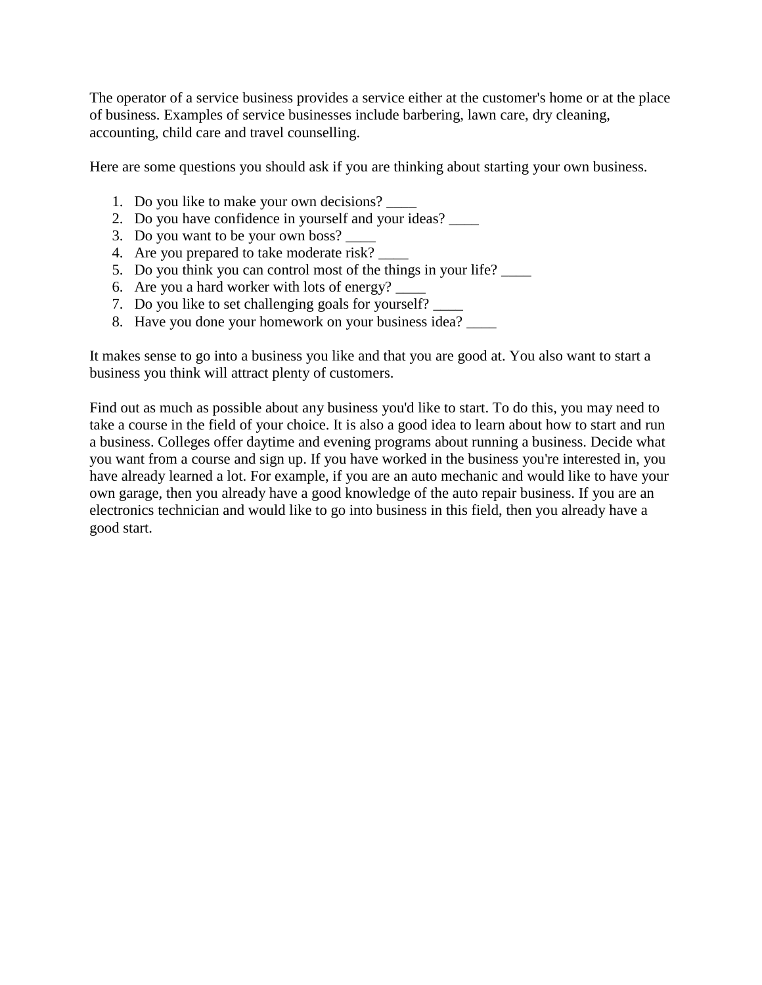The operator of a service business provides a service either at the customer's home or at the place of business. Examples of service businesses include barbering, lawn care, dry cleaning, accounting, child care and travel counselling.

Here are some questions you should ask if you are thinking about starting your own business.

- 1. Do you like to make your own decisions? \_\_\_\_
- 2. Do you have confidence in yourself and your ideas? \_\_\_\_
- 3. Do you want to be your own boss? \_\_\_\_
- 4. Are you prepared to take moderate risk?
- 5. Do you think you can control most of the things in your life? \_\_\_\_
- 6. Are you a hard worker with lots of energy? \_\_\_\_
- 7. Do you like to set challenging goals for yourself? \_\_\_\_
- 8. Have you done your homework on your business idea?

It makes sense to go into a business you like and that you are good at. You also want to start a business you think will attract plenty of customers.

Find out as much as possible about any business you'd like to start. To do this, you may need to take a course in the field of your choice. It is also a good idea to learn about how to start and run a business. Colleges offer daytime and evening programs about running a business. Decide what you want from a course and sign up. If you have worked in the business you're interested in, you have already learned a lot. For example, if you are an auto mechanic and would like to have your own garage, then you already have a good knowledge of the auto repair business. If you are an electronics technician and would like to go into business in this field, then you already have a good start.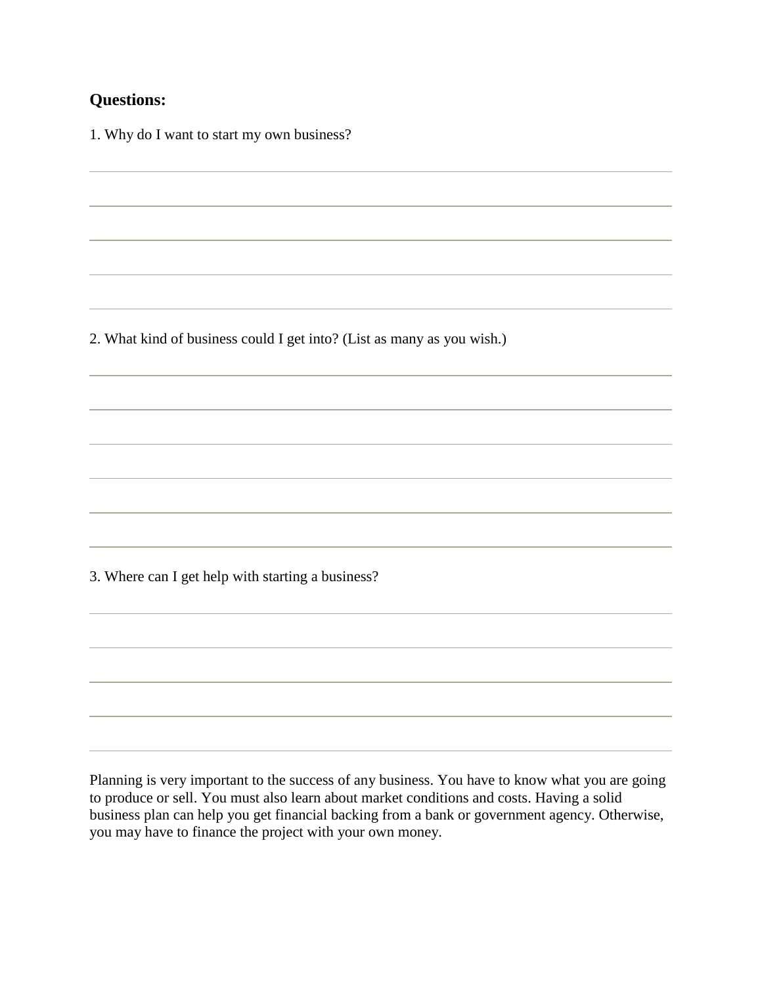## **Questions:**

1. Why do I want to start my own business? 2. What kind of business could I get into? (List as many as you wish.) 3. Where can I get help with starting a business?

Planning is very important to the success of any business. You have to know what you are going to produce or sell. You must also learn about market conditions and costs. Having a solid business plan can help you get financial backing from a bank or government agency. Otherwise, you may have to finance the project with your own money.